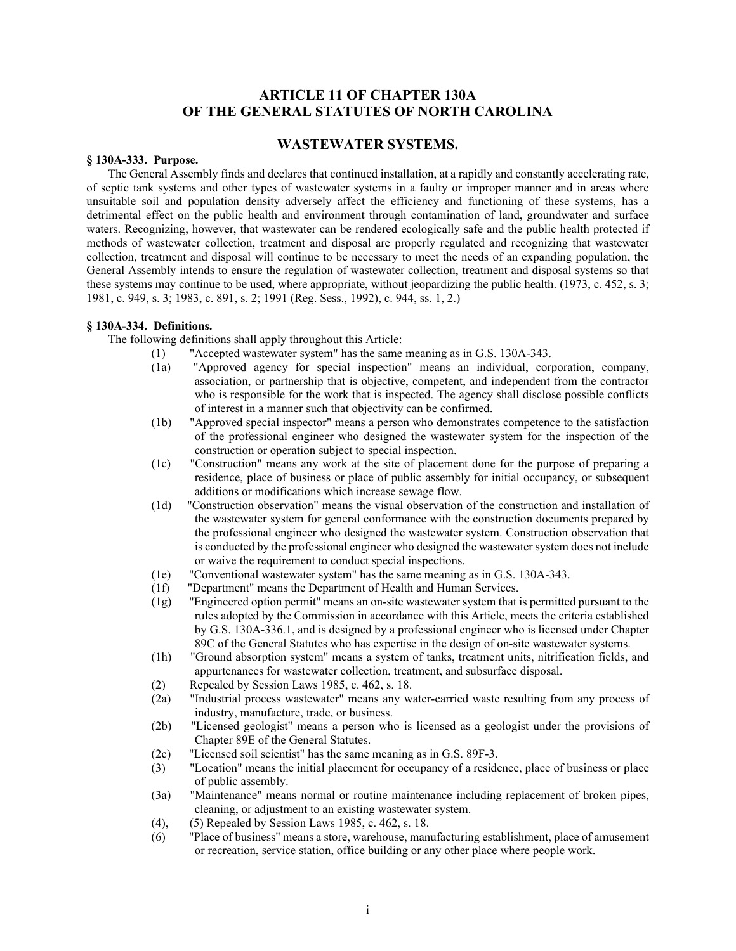# **ARTICLE 11 OF CHAPTER 130A OF THE GENERAL STATUTES OF NORTH CAROLINA**

## **WASTEWATER SYSTEMS.**

### **§ 130A-333. Purpose.**

The General Assembly finds and declares that continued installation, at a rapidly and constantly accelerating rate, of septic tank systems and other types of wastewater systems in a faulty or improper manner and in areas where unsuitable soil and population density adversely affect the efficiency and functioning of these systems, has a detrimental effect on the public health and environment through contamination of land, groundwater and surface waters. Recognizing, however, that wastewater can be rendered ecologically safe and the public health protected if methods of wastewater collection, treatment and disposal are properly regulated and recognizing that wastewater collection, treatment and disposal will continue to be necessary to meet the needs of an expanding population, the General Assembly intends to ensure the regulation of wastewater collection, treatment and disposal systems so that these systems may continue to be used, where appropriate, without jeopardizing the public health. (1973, c. 452, s. 3; 1981, c. 949, s. 3; 1983, c. 891, s. 2; 1991 (Reg. Sess., 1992), c. 944, ss. 1, 2.)

### **§ 130A-334. Definitions.**

The following definitions shall apply throughout this Article:

- (1) "Accepted wastewater system" has the same meaning as in G.S. 130A-343.
- (1a) "Approved agency for special inspection" means an individual, corporation, company, association, or partnership that is objective, competent, and independent from the contractor who is responsible for the work that is inspected. The agency shall disclose possible conflicts of interest in a manner such that objectivity can be confirmed.
- (1b) "Approved special inspector" means a person who demonstrates competence to the satisfaction of the professional engineer who designed the wastewater system for the inspection of the construction or operation subject to special inspection.
- (1c) "Construction" means any work at the site of placement done for the purpose of preparing a residence, place of business or place of public assembly for initial occupancy, or subsequent additions or modifications which increase sewage flow.
- (1d) "Construction observation" means the visual observation of the construction and installation of the wastewater system for general conformance with the construction documents prepared by the professional engineer who designed the wastewater system. Construction observation that is conducted by the professional engineer who designed the wastewater system does not include or waive the requirement to conduct special inspections.
- (1e) "Conventional wastewater system" has the same meaning as in G.S. 130A-343.<br>(1f) "Department" means the Department of Health and Human Services.
- "Department" means the Department of Health and Human Services.
- (1g) "Engineered option permit" means an on-site wastewater system that is permitted pursuant to the rules adopted by the Commission in accordance with this Article, meets the criteria established by G.S. 130A-336.1, and is designed by a professional engineer who is licensed under Chapter 89C of the General Statutes who has expertise in the design of on-site wastewater systems.
- (1h) "Ground absorption system" means a system of tanks, treatment units, nitrification fields, and appurtenances for wastewater collection, treatment, and subsurface disposal.
- (2) Repealed by Session Laws 1985, c. 462, s. 18.
- (2a) "Industrial process wastewater" means any water-carried waste resulting from any process of industry, manufacture, trade, or business.
- (2b) "Licensed geologist" means a person who is licensed as a geologist under the provisions of Chapter 89E of the General Statutes.
- (2c) "Licensed soil scientist" has the same meaning as in G.S. 89F-3.
- (3) "Location" means the initial placement for occupancy of a residence, place of business or place of public assembly.
- (3a) "Maintenance" means normal or routine maintenance including replacement of broken pipes, cleaning, or adjustment to an existing wastewater system.
- (4), (5) Repealed by Session Laws 1985, c. 462, s. 18.
- (6) "Place of business" means a store, warehouse, manufacturing establishment, place of amusement or recreation, service station, office building or any other place where people work.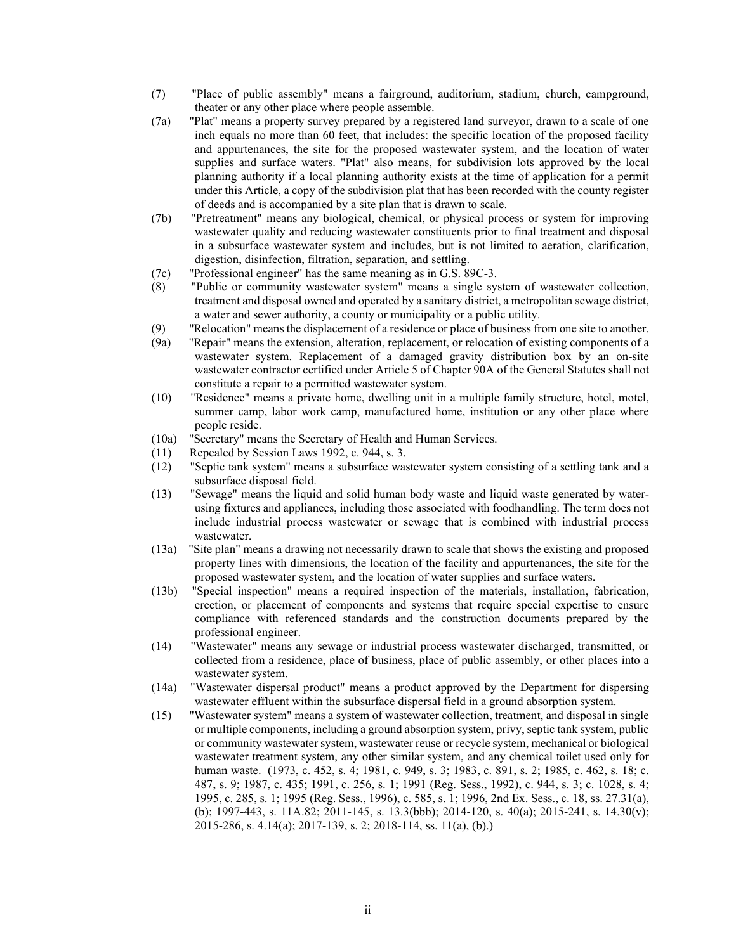- (7) "Place of public assembly" means a fairground, auditorium, stadium, church, campground, theater or any other place where people assemble.
- (7a) "Plat" means a property survey prepared by a registered land surveyor, drawn to a scale of one inch equals no more than 60 feet, that includes: the specific location of the proposed facility and appurtenances, the site for the proposed wastewater system, and the location of water supplies and surface waters. "Plat" also means, for subdivision lots approved by the local planning authority if a local planning authority exists at the time of application for a permit under this Article, a copy of the subdivision plat that has been recorded with the county register of deeds and is accompanied by a site plan that is drawn to scale.
- (7b) "Pretreatment" means any biological, chemical, or physical process or system for improving wastewater quality and reducing wastewater constituents prior to final treatment and disposal in a subsurface wastewater system and includes, but is not limited to aeration, clarification, digestion, disinfection, filtration, separation, and settling.
- (7c) "Professional engineer" has the same meaning as in G.S. 89C-3.
- (8) "Public or community wastewater system" means a single system of wastewater collection, treatment and disposal owned and operated by a sanitary district, a metropolitan sewage district, a water and sewer authority, a county or municipality or a public utility.
- (9) "Relocation" means the displacement of a residence or place of business from one site to another.
- (9a) "Repair" means the extension, alteration, replacement, or relocation of existing components of a wastewater system. Replacement of a damaged gravity distribution box by an on-site wastewater contractor certified under Article 5 of Chapter 90A of the General Statutes shall not constitute a repair to a permitted wastewater system.
- (10) "Residence" means a private home, dwelling unit in a multiple family structure, hotel, motel, summer camp, labor work camp, manufactured home, institution or any other place where people reside.
- (10a) "Secretary" means the Secretary of Health and Human Services.
- (11) Repealed by Session Laws 1992, c. 944, s. 3.
- (12) "Septic tank system" means a subsurface wastewater system consisting of a settling tank and a subsurface disposal field.
- (13) "Sewage" means the liquid and solid human body waste and liquid waste generated by waterusing fixtures and appliances, including those associated with foodhandling. The term does not include industrial process wastewater or sewage that is combined with industrial process wastewater.
- (13a) "Site plan" means a drawing not necessarily drawn to scale that shows the existing and proposed property lines with dimensions, the location of the facility and appurtenances, the site for the proposed wastewater system, and the location of water supplies and surface waters.
- (13b) "Special inspection" means a required inspection of the materials, installation, fabrication, erection, or placement of components and systems that require special expertise to ensure compliance with referenced standards and the construction documents prepared by the professional engineer.
- (14) "Wastewater" means any sewage or industrial process wastewater discharged, transmitted, or collected from a residence, place of business, place of public assembly, or other places into a wastewater system.
- (14a) "Wastewater dispersal product" means a product approved by the Department for dispersing wastewater effluent within the subsurface dispersal field in a ground absorption system.
- (15) "Wastewater system" means a system of wastewater collection, treatment, and disposal in single or multiple components, including a ground absorption system, privy, septic tank system, public or community wastewater system, wastewater reuse or recycle system, mechanical or biological wastewater treatment system, any other similar system, and any chemical toilet used only for human waste. (1973, c. 452, s. 4; 1981, c. 949, s. 3; 1983, c. 891, s. 2; 1985, c. 462, s. 18; c. 487, s. 9; 1987, c. 435; 1991, c. 256, s. 1; 1991 (Reg. Sess., 1992), c. 944, s. 3; c. 1028, s. 4; 1995, c. 285, s. 1; 1995 (Reg. Sess., 1996), c. 585, s. 1; 1996, 2nd Ex. Sess., c. 18, ss. 27.31(a), (b); 1997-443, s. 11A.82; 2011-145, s. 13.3(bbb); 2014-120, s. 40(a); 2015-241, s. 14.30(v); 2015-286, s. 4.14(a); 2017-139, s. 2; 2018-114, ss. 11(a), (b).)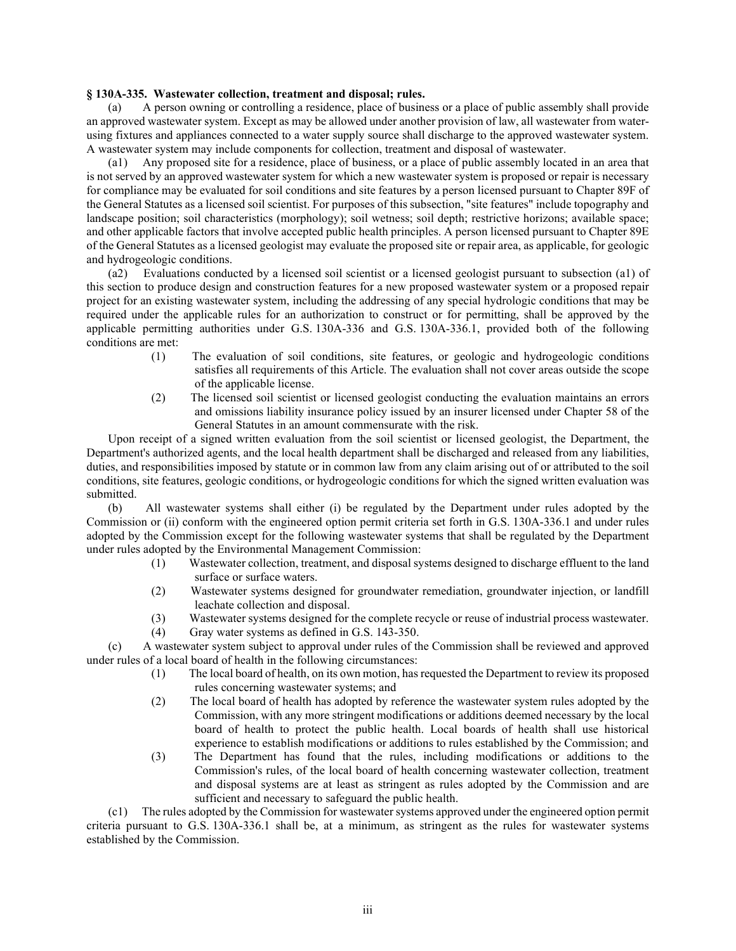### **§ 130A-335. Wastewater collection, treatment and disposal; rules.**

(a) A person owning or controlling a residence, place of business or a place of public assembly shall provide an approved wastewater system. Except as may be allowed under another provision of law, all wastewater from waterusing fixtures and appliances connected to a water supply source shall discharge to the approved wastewater system. A wastewater system may include components for collection, treatment and disposal of wastewater.

(a1) Any proposed site for a residence, place of business, or a place of public assembly located in an area that is not served by an approved wastewater system for which a new wastewater system is proposed or repair is necessary for compliance may be evaluated for soil conditions and site features by a person licensed pursuant to Chapter 89F of the General Statutes as a licensed soil scientist. For purposes of this subsection, "site features" include topography and landscape position; soil characteristics (morphology); soil wetness; soil depth; restrictive horizons; available space; and other applicable factors that involve accepted public health principles. A person licensed pursuant to Chapter 89E of the General Statutes as a licensed geologist may evaluate the proposed site or repair area, as applicable, for geologic and hydrogeologic conditions.

(a2) Evaluations conducted by a licensed soil scientist or a licensed geologist pursuant to subsection (a1) of this section to produce design and construction features for a new proposed wastewater system or a proposed repair project for an existing wastewater system, including the addressing of any special hydrologic conditions that may be required under the applicable rules for an authorization to construct or for permitting, shall be approved by the applicable permitting authorities under G.S. 130A-336 and G.S. 130A-336.1, provided both of the following conditions are met:

- (1) The evaluation of soil conditions, site features, or geologic and hydrogeologic conditions satisfies all requirements of this Article. The evaluation shall not cover areas outside the scope of the applicable license.
- (2) The licensed soil scientist or licensed geologist conducting the evaluation maintains an errors and omissions liability insurance policy issued by an insurer licensed under Chapter 58 of the General Statutes in an amount commensurate with the risk.

Upon receipt of a signed written evaluation from the soil scientist or licensed geologist, the Department, the Department's authorized agents, and the local health department shall be discharged and released from any liabilities, duties, and responsibilities imposed by statute or in common law from any claim arising out of or attributed to the soil conditions, site features, geologic conditions, or hydrogeologic conditions for which the signed written evaluation was submitted.

(b) All wastewater systems shall either (i) be regulated by the Department under rules adopted by the Commission or (ii) conform with the engineered option permit criteria set forth in G.S. 130A-336.1 and under rules adopted by the Commission except for the following wastewater systems that shall be regulated by the Department under rules adopted by the Environmental Management Commission:

- (1) Wastewater collection, treatment, and disposal systems designed to discharge effluent to the land surface or surface waters.
- (2) Wastewater systems designed for groundwater remediation, groundwater injection, or landfill leachate collection and disposal.
- (3) Wastewater systems designed for the complete recycle or reuse of industrial process wastewater.
- (4) Gray water systems as defined in G.S. 143-350.

(c) A wastewater system subject to approval under rules of the Commission shall be reviewed and approved under rules of a local board of health in the following circumstances:

- (1) The local board of health, on its own motion, has requested the Department to review its proposed rules concerning wastewater systems; and
- (2) The local board of health has adopted by reference the wastewater system rules adopted by the Commission, with any more stringent modifications or additions deemed necessary by the local board of health to protect the public health. Local boards of health shall use historical experience to establish modifications or additions to rules established by the Commission; and
- (3) The Department has found that the rules, including modifications or additions to the Commission's rules, of the local board of health concerning wastewater collection, treatment and disposal systems are at least as stringent as rules adopted by the Commission and are sufficient and necessary to safeguard the public health.

(c1) The rules adopted by the Commission for wastewater systems approved under the engineered option permit criteria pursuant to G.S. 130A-336.1 shall be, at a minimum, as stringent as the rules for wastewater systems established by the Commission.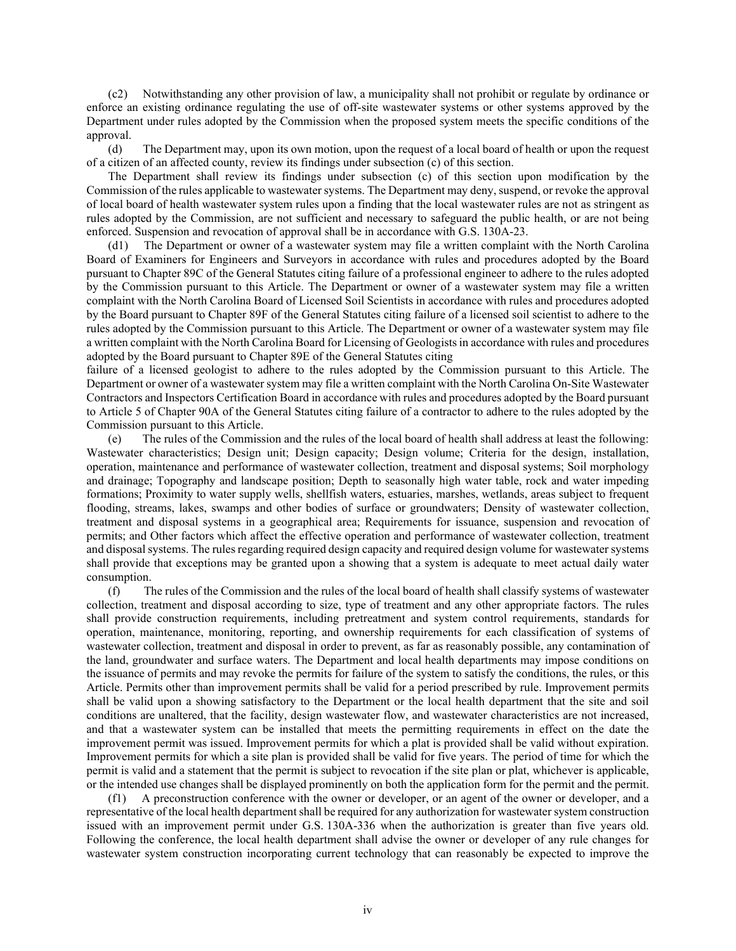(c2) Notwithstanding any other provision of law, a municipality shall not prohibit or regulate by ordinance or enforce an existing ordinance regulating the use of off-site wastewater systems or other systems approved by the Department under rules adopted by the Commission when the proposed system meets the specific conditions of the approval.

(d) The Department may, upon its own motion, upon the request of a local board of health or upon the request of a citizen of an affected county, review its findings under subsection (c) of this section.

The Department shall review its findings under subsection (c) of this section upon modification by the Commission of the rules applicable to wastewater systems. The Department may deny, suspend, or revoke the approval of local board of health wastewater system rules upon a finding that the local wastewater rules are not as stringent as rules adopted by the Commission, are not sufficient and necessary to safeguard the public health, or are not being enforced. Suspension and revocation of approval shall be in accordance with G.S. 130A-23.

(d1) The Department or owner of a wastewater system may file a written complaint with the North Carolina Board of Examiners for Engineers and Surveyors in accordance with rules and procedures adopted by the Board pursuant to Chapter 89C of the General Statutes citing failure of a professional engineer to adhere to the rules adopted by the Commission pursuant to this Article. The Department or owner of a wastewater system may file a written complaint with the North Carolina Board of Licensed Soil Scientists in accordance with rules and procedures adopted by the Board pursuant to Chapter 89F of the General Statutes citing failure of a licensed soil scientist to adhere to the rules adopted by the Commission pursuant to this Article. The Department or owner of a wastewater system may file a written complaint with the North Carolina Board for Licensing of Geologists in accordance with rules and procedures adopted by the Board pursuant to Chapter 89E of the General Statutes citing

failure of a licensed geologist to adhere to the rules adopted by the Commission pursuant to this Article. The Department or owner of a wastewater system may file a written complaint with the North Carolina On-Site Wastewater Contractors and Inspectors Certification Board in accordance with rules and procedures adopted by the Board pursuant to Article 5 of Chapter 90A of the General Statutes citing failure of a contractor to adhere to the rules adopted by the Commission pursuant to this Article.

(e) The rules of the Commission and the rules of the local board of health shall address at least the following: Wastewater characteristics; Design unit; Design capacity; Design volume; Criteria for the design, installation, operation, maintenance and performance of wastewater collection, treatment and disposal systems; Soil morphology and drainage; Topography and landscape position; Depth to seasonally high water table, rock and water impeding formations; Proximity to water supply wells, shellfish waters, estuaries, marshes, wetlands, areas subject to frequent flooding, streams, lakes, swamps and other bodies of surface or groundwaters; Density of wastewater collection, treatment and disposal systems in a geographical area; Requirements for issuance, suspension and revocation of permits; and Other factors which affect the effective operation and performance of wastewater collection, treatment and disposal systems. The rules regarding required design capacity and required design volume for wastewater systems shall provide that exceptions may be granted upon a showing that a system is adequate to meet actual daily water consumption.

(f) The rules of the Commission and the rules of the local board of health shall classify systems of wastewater collection, treatment and disposal according to size, type of treatment and any other appropriate factors. The rules shall provide construction requirements, including pretreatment and system control requirements, standards for operation, maintenance, monitoring, reporting, and ownership requirements for each classification of systems of wastewater collection, treatment and disposal in order to prevent, as far as reasonably possible, any contamination of the land, groundwater and surface waters. The Department and local health departments may impose conditions on the issuance of permits and may revoke the permits for failure of the system to satisfy the conditions, the rules, or this Article. Permits other than improvement permits shall be valid for a period prescribed by rule. Improvement permits shall be valid upon a showing satisfactory to the Department or the local health department that the site and soil conditions are unaltered, that the facility, design wastewater flow, and wastewater characteristics are not increased, and that a wastewater system can be installed that meets the permitting requirements in effect on the date the improvement permit was issued. Improvement permits for which a plat is provided shall be valid without expiration. Improvement permits for which a site plan is provided shall be valid for five years. The period of time for which the permit is valid and a statement that the permit is subject to revocation if the site plan or plat, whichever is applicable, or the intended use changes shall be displayed prominently on both the application form for the permit and the permit.

(f1) A preconstruction conference with the owner or developer, or an agent of the owner or developer, and a representative of the local health department shall be required for any authorization for wastewater system construction issued with an improvement permit under G.S. 130A-336 when the authorization is greater than five years old. Following the conference, the local health department shall advise the owner or developer of any rule changes for wastewater system construction incorporating current technology that can reasonably be expected to improve the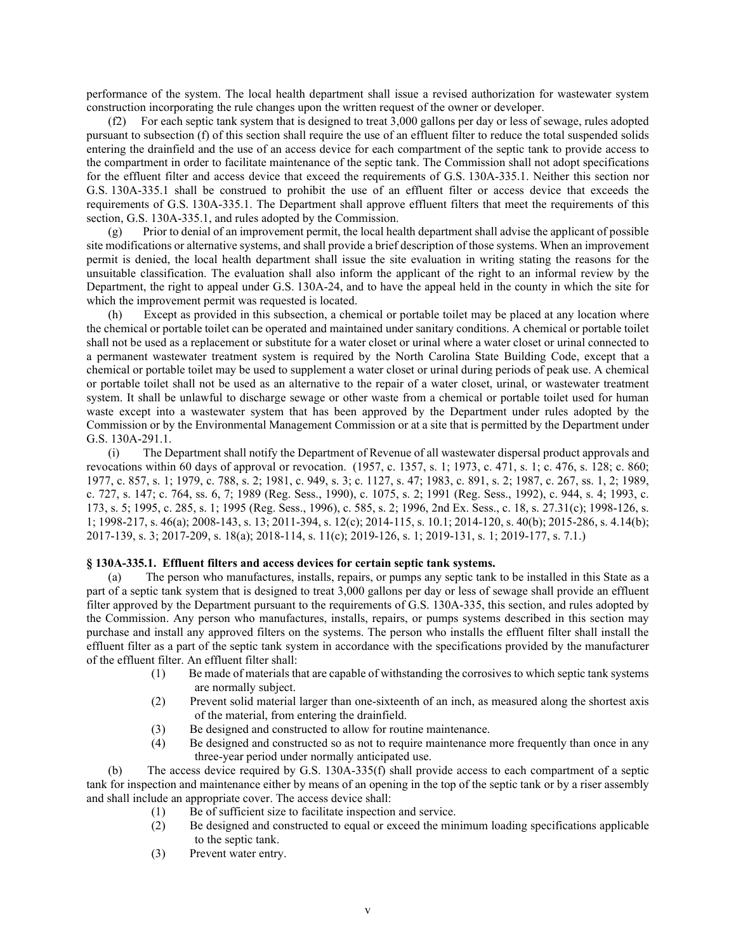performance of the system. The local health department shall issue a revised authorization for wastewater system construction incorporating the rule changes upon the written request of the owner or developer.

(f2) For each septic tank system that is designed to treat 3,000 gallons per day or less of sewage, rules adopted pursuant to subsection (f) of this section shall require the use of an effluent filter to reduce the total suspended solids entering the drainfield and the use of an access device for each compartment of the septic tank to provide access to the compartment in order to facilitate maintenance of the septic tank. The Commission shall not adopt specifications for the effluent filter and access device that exceed the requirements of G.S. 130A-335.1. Neither this section nor G.S. 130A-335.1 shall be construed to prohibit the use of an effluent filter or access device that exceeds the requirements of G.S. 130A-335.1. The Department shall approve effluent filters that meet the requirements of this section, G.S. 130A-335.1, and rules adopted by the Commission.

(g) Prior to denial of an improvement permit, the local health department shall advise the applicant of possible site modifications or alternative systems, and shall provide a brief description of those systems. When an improvement permit is denied, the local health department shall issue the site evaluation in writing stating the reasons for the unsuitable classification. The evaluation shall also inform the applicant of the right to an informal review by the Department, the right to appeal under G.S. 130A-24, and to have the appeal held in the county in which the site for which the improvement permit was requested is located.

(h) Except as provided in this subsection, a chemical or portable toilet may be placed at any location where the chemical or portable toilet can be operated and maintained under sanitary conditions. A chemical or portable toilet shall not be used as a replacement or substitute for a water closet or urinal where a water closet or urinal connected to a permanent wastewater treatment system is required by the North Carolina State Building Code, except that a chemical or portable toilet may be used to supplement a water closet or urinal during periods of peak use. A chemical or portable toilet shall not be used as an alternative to the repair of a water closet, urinal, or wastewater treatment system. It shall be unlawful to discharge sewage or other waste from a chemical or portable toilet used for human waste except into a wastewater system that has been approved by the Department under rules adopted by the Commission or by the Environmental Management Commission or at a site that is permitted by the Department under G.S. 130A-291.1.

(i) The Department shall notify the Department of Revenue of all wastewater dispersal product approvals and revocations within 60 days of approval or revocation. (1957, c. 1357, s. 1; 1973, c. 471, s. 1; c. 476, s. 128; c. 860; 1977, c. 857, s. 1; 1979, c. 788, s. 2; 1981, c. 949, s. 3; c. 1127, s. 47; 1983, c. 891, s. 2; 1987, c. 267, ss. 1, 2; 1989, c. 727, s. 147; c. 764, ss. 6, 7; 1989 (Reg. Sess., 1990), c. 1075, s. 2; 1991 (Reg. Sess., 1992), c. 944, s. 4; 1993, c. 173, s. 5; 1995, c. 285, s. 1; 1995 (Reg. Sess., 1996), c. 585, s. 2; 1996, 2nd Ex. Sess., c. 18, s. 27.31(c); 1998-126, s. 1; 1998-217, s. 46(a); 2008-143, s. 13; 2011-394, s. 12(c); 2014-115, s. 10.1; 2014-120, s. 40(b); 2015-286, s. 4.14(b); 2017-139, s. 3; 2017-209, s. 18(a); 2018-114, s. 11(c); 2019-126, s. 1; 2019-131, s. 1; 2019-177, s. 7.1.)

#### **§ 130A-335.1. Effluent filters and access devices for certain septic tank systems.**

(a) The person who manufactures, installs, repairs, or pumps any septic tank to be installed in this State as a part of a septic tank system that is designed to treat 3,000 gallons per day or less of sewage shall provide an effluent filter approved by the Department pursuant to the requirements of G.S. 130A-335, this section, and rules adopted by the Commission. Any person who manufactures, installs, repairs, or pumps systems described in this section may purchase and install any approved filters on the systems. The person who installs the effluent filter shall install the effluent filter as a part of the septic tank system in accordance with the specifications provided by the manufacturer of the effluent filter. An effluent filter shall:

- (1) Be made of materials that are capable of withstanding the corrosives to which septic tank systems are normally subject.
- (2) Prevent solid material larger than one-sixteenth of an inch, as measured along the shortest axis of the material, from entering the drainfield.
- (3) Be designed and constructed to allow for routine maintenance.
- (4) Be designed and constructed so as not to require maintenance more frequently than once in any three-year period under normally anticipated use.

(b) The access device required by G.S. 130A-335(f) shall provide access to each compartment of a septic tank for inspection and maintenance either by means of an opening in the top of the septic tank or by a riser assembly and shall include an appropriate cover. The access device shall:

- (1) Be of sufficient size to facilitate inspection and service.<br>(2) Be designed and constructed to equal or exceed the min
- (2) Be designed and constructed to equal or exceed the minimum loading specifications applicable to the septic tank.
- (3) Prevent water entry.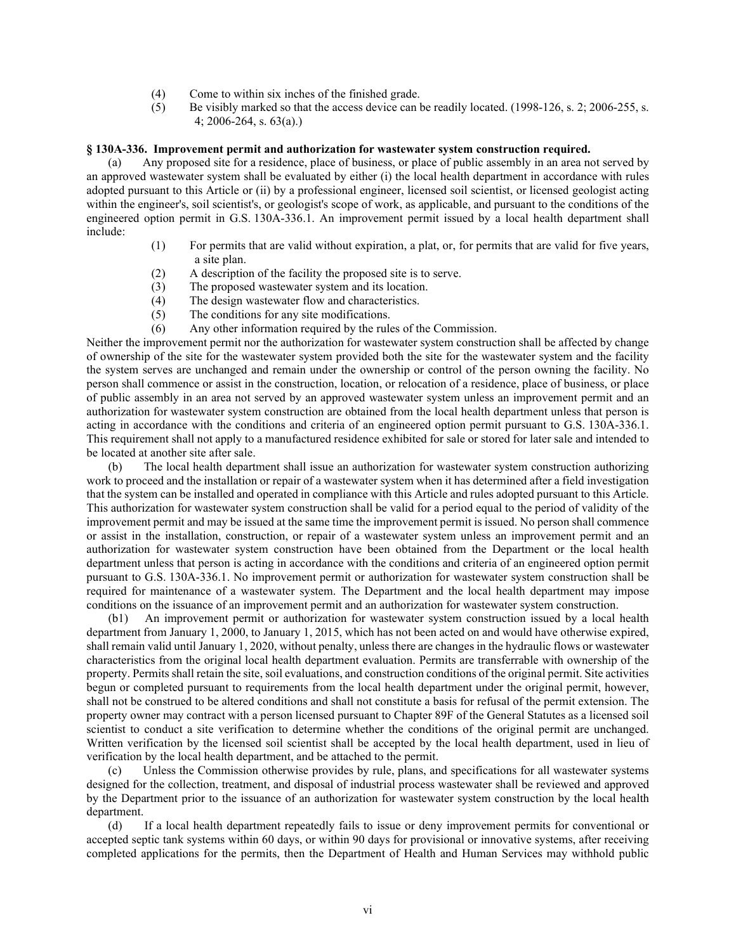- (4) Come to within six inches of the finished grade.
- (5) Be visibly marked so that the access device can be readily located. (1998-126, s. 2; 2006-255, s. 4; 2006-264, s. 63(a).)

#### **§ 130A-336. Improvement permit and authorization for wastewater system construction required.**

(a) Any proposed site for a residence, place of business, or place of public assembly in an area not served by an approved wastewater system shall be evaluated by either (i) the local health department in accordance with rules adopted pursuant to this Article or (ii) by a professional engineer, licensed soil scientist, or licensed geologist acting within the engineer's, soil scientist's, or geologist's scope of work, as applicable, and pursuant to the conditions of the engineered option permit in G.S. 130A-336.1. An improvement permit issued by a local health department shall include:

- (1) For permits that are valid without expiration, a plat, or, for permits that are valid for five years, a site plan.
- (2) A description of the facility the proposed site is to serve.
- (3) The proposed wastewater system and its location.
- (4) The design wastewater flow and characteristics.
- (5) The conditions for any site modifications.
- (6) Any other information required by the rules of the Commission.

Neither the improvement permit nor the authorization for wastewater system construction shall be affected by change of ownership of the site for the wastewater system provided both the site for the wastewater system and the facility the system serves are unchanged and remain under the ownership or control of the person owning the facility. No person shall commence or assist in the construction, location, or relocation of a residence, place of business, or place of public assembly in an area not served by an approved wastewater system unless an improvement permit and an authorization for wastewater system construction are obtained from the local health department unless that person is acting in accordance with the conditions and criteria of an engineered option permit pursuant to G.S. 130A-336.1. This requirement shall not apply to a manufactured residence exhibited for sale or stored for later sale and intended to be located at another site after sale.

(b) The local health department shall issue an authorization for wastewater system construction authorizing work to proceed and the installation or repair of a wastewater system when it has determined after a field investigation that the system can be installed and operated in compliance with this Article and rules adopted pursuant to this Article. This authorization for wastewater system construction shall be valid for a period equal to the period of validity of the improvement permit and may be issued at the same time the improvement permit is issued. No person shall commence or assist in the installation, construction, or repair of a wastewater system unless an improvement permit and an authorization for wastewater system construction have been obtained from the Department or the local health department unless that person is acting in accordance with the conditions and criteria of an engineered option permit pursuant to G.S. 130A-336.1. No improvement permit or authorization for wastewater system construction shall be required for maintenance of a wastewater system. The Department and the local health department may impose conditions on the issuance of an improvement permit and an authorization for wastewater system construction.

(b1) An improvement permit or authorization for wastewater system construction issued by a local health department from January 1, 2000, to January 1, 2015, which has not been acted on and would have otherwise expired, shall remain valid until January 1, 2020, without penalty, unless there are changes in the hydraulic flows or wastewater characteristics from the original local health department evaluation. Permits are transferrable with ownership of the property. Permits shall retain the site, soil evaluations, and construction conditions of the original permit. Site activities begun or completed pursuant to requirements from the local health department under the original permit, however, shall not be construed to be altered conditions and shall not constitute a basis for refusal of the permit extension. The property owner may contract with a person licensed pursuant to Chapter 89F of the General Statutes as a licensed soil scientist to conduct a site verification to determine whether the conditions of the original permit are unchanged. Written verification by the licensed soil scientist shall be accepted by the local health department, used in lieu of verification by the local health department, and be attached to the permit.

(c) Unless the Commission otherwise provides by rule, plans, and specifications for all wastewater systems designed for the collection, treatment, and disposal of industrial process wastewater shall be reviewed and approved by the Department prior to the issuance of an authorization for wastewater system construction by the local health department.

(d) If a local health department repeatedly fails to issue or deny improvement permits for conventional or accepted septic tank systems within 60 days, or within 90 days for provisional or innovative systems, after receiving completed applications for the permits, then the Department of Health and Human Services may withhold public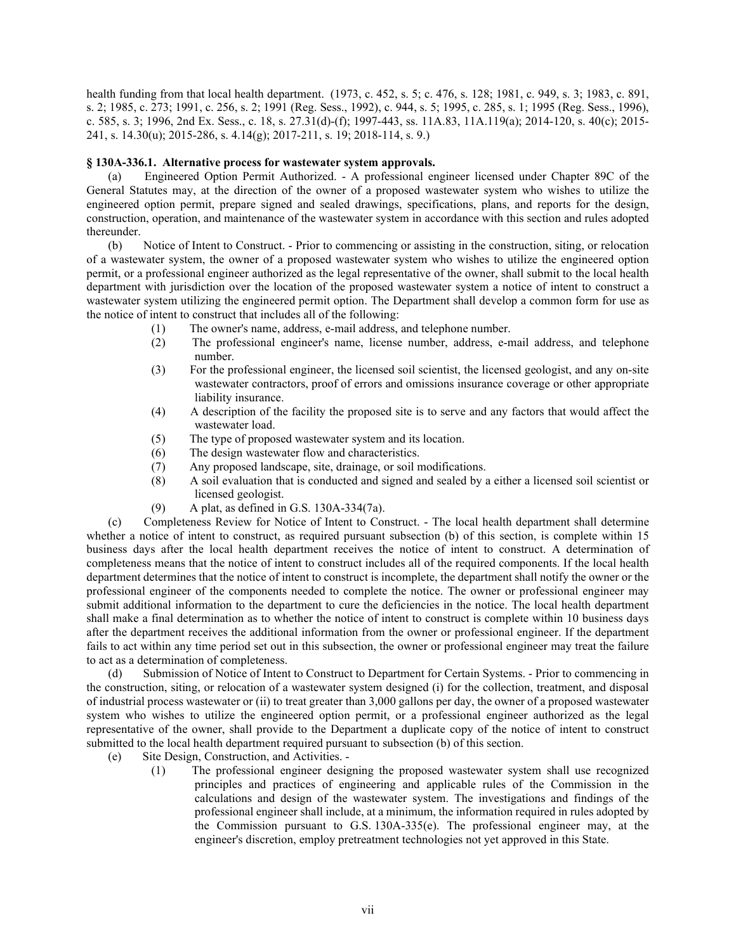health funding from that local health department. (1973, c. 452, s. 5; c. 476, s. 128; 1981, c. 949, s. 3; 1983, c. 891, s. 2; 1985, c. 273; 1991, c. 256, s. 2; 1991 (Reg. Sess., 1992), c. 944, s. 5; 1995, c. 285, s. 1; 1995 (Reg. Sess., 1996), c. 585, s. 3; 1996, 2nd Ex. Sess., c. 18, s. 27.31(d)-(f); 1997-443, ss. 11A.83, 11A.119(a); 2014-120, s. 40(c); 2015- 241, s. 14.30(u); 2015-286, s. 4.14(g); 2017-211, s. 19; 2018-114, s. 9.)

### **§ 130A-336.1. Alternative process for wastewater system approvals.**

(a) Engineered Option Permit Authorized. - A professional engineer licensed under Chapter 89C of the General Statutes may, at the direction of the owner of a proposed wastewater system who wishes to utilize the engineered option permit, prepare signed and sealed drawings, specifications, plans, and reports for the design, construction, operation, and maintenance of the wastewater system in accordance with this section and rules adopted thereunder.

(b) Notice of Intent to Construct. - Prior to commencing or assisting in the construction, siting, or relocation of a wastewater system, the owner of a proposed wastewater system who wishes to utilize the engineered option permit, or a professional engineer authorized as the legal representative of the owner, shall submit to the local health department with jurisdiction over the location of the proposed wastewater system a notice of intent to construct a wastewater system utilizing the engineered permit option. The Department shall develop a common form for use as the notice of intent to construct that includes all of the following:

- (1) The owner's name, address, e-mail address, and telephone number.
- (2) The professional engineer's name, license number, address, e-mail address, and telephone number.
- (3) For the professional engineer, the licensed soil scientist, the licensed geologist, and any on-site wastewater contractors, proof of errors and omissions insurance coverage or other appropriate liability insurance.
- (4) A description of the facility the proposed site is to serve and any factors that would affect the wastewater load.
- (5) The type of proposed wastewater system and its location.
- (6) The design wastewater flow and characteristics.
- (7) Any proposed landscape, site, drainage, or soil modifications.
- (8) A soil evaluation that is conducted and signed and sealed by a either a licensed soil scientist or licensed geologist.
- (9) A plat, as defined in G.S. 130A-334(7a).

(c) Completeness Review for Notice of Intent to Construct. - The local health department shall determine whether a notice of intent to construct, as required pursuant subsection (b) of this section, is complete within 15 business days after the local health department receives the notice of intent to construct. A determination of completeness means that the notice of intent to construct includes all of the required components. If the local health department determines that the notice of intent to construct is incomplete, the department shall notify the owner or the professional engineer of the components needed to complete the notice. The owner or professional engineer may submit additional information to the department to cure the deficiencies in the notice. The local health department shall make a final determination as to whether the notice of intent to construct is complete within 10 business days after the department receives the additional information from the owner or professional engineer. If the department fails to act within any time period set out in this subsection, the owner or professional engineer may treat the failure to act as a determination of completeness.

(d) Submission of Notice of Intent to Construct to Department for Certain Systems. - Prior to commencing in the construction, siting, or relocation of a wastewater system designed (i) for the collection, treatment, and disposal of industrial process wastewater or (ii) to treat greater than 3,000 gallons per day, the owner of a proposed wastewater system who wishes to utilize the engineered option permit, or a professional engineer authorized as the legal representative of the owner, shall provide to the Department a duplicate copy of the notice of intent to construct submitted to the local health department required pursuant to subsection (b) of this section.

- (e) Site Design, Construction, and Activities.
	- (1) The professional engineer designing the proposed wastewater system shall use recognized principles and practices of engineering and applicable rules of the Commission in the calculations and design of the wastewater system. The investigations and findings of the professional engineer shall include, at a minimum, the information required in rules adopted by the Commission pursuant to G.S. 130A-335(e). The professional engineer may, at the engineer's discretion, employ pretreatment technologies not yet approved in this State.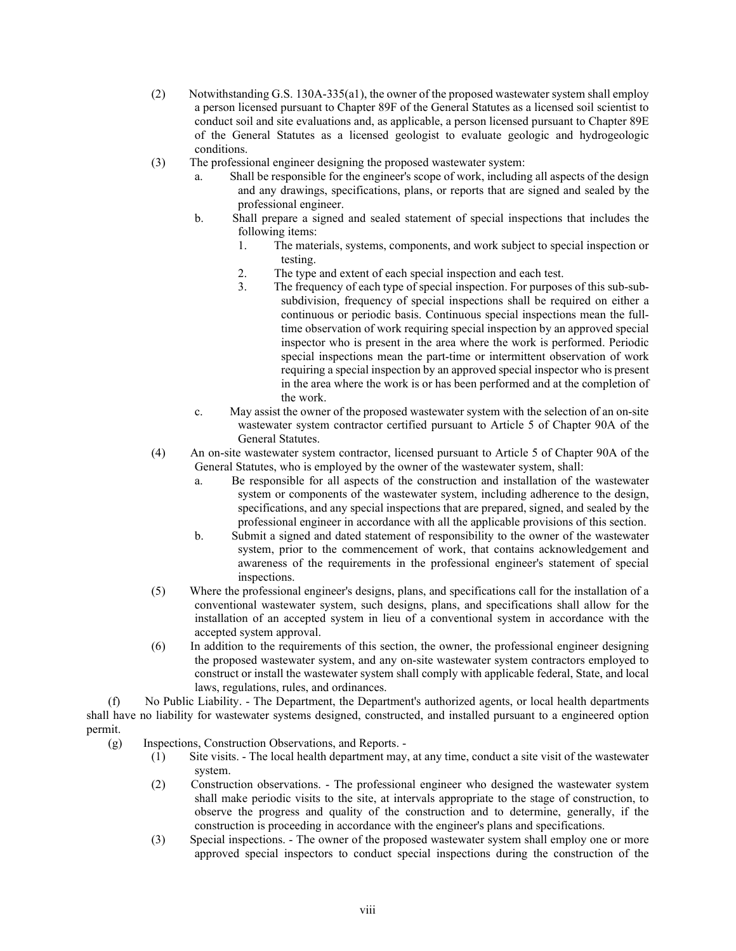- (2) Notwithstanding G.S. 130A-335(a1), the owner of the proposed wastewater system shall employ a person licensed pursuant to Chapter 89F of the General Statutes as a licensed soil scientist to conduct soil and site evaluations and, as applicable, a person licensed pursuant to Chapter 89E of the General Statutes as a licensed geologist to evaluate geologic and hydrogeologic conditions.
- (3) The professional engineer designing the proposed wastewater system:
	- a. Shall be responsible for the engineer's scope of work, including all aspects of the design and any drawings, specifications, plans, or reports that are signed and sealed by the professional engineer.
	- b. Shall prepare a signed and sealed statement of special inspections that includes the following items:
		- 1. The materials, systems, components, and work subject to special inspection or testing.
		- 2. The type and extent of each special inspection and each test.
		- 3. The frequency of each type of special inspection. For purposes of this sub-subsubdivision, frequency of special inspections shall be required on either a continuous or periodic basis. Continuous special inspections mean the fulltime observation of work requiring special inspection by an approved special inspector who is present in the area where the work is performed. Periodic special inspections mean the part-time or intermittent observation of work requiring a special inspection by an approved special inspector who is present in the area where the work is or has been performed and at the completion of the work.
	- c. May assist the owner of the proposed wastewater system with the selection of an on-site wastewater system contractor certified pursuant to Article 5 of Chapter 90A of the General Statutes.
- (4) An on-site wastewater system contractor, licensed pursuant to Article 5 of Chapter 90A of the General Statutes, who is employed by the owner of the wastewater system, shall:
	- a. Be responsible for all aspects of the construction and installation of the wastewater system or components of the wastewater system, including adherence to the design, specifications, and any special inspections that are prepared, signed, and sealed by the professional engineer in accordance with all the applicable provisions of this section.
	- b. Submit a signed and dated statement of responsibility to the owner of the wastewater system, prior to the commencement of work, that contains acknowledgement and awareness of the requirements in the professional engineer's statement of special inspections.
- (5) Where the professional engineer's designs, plans, and specifications call for the installation of a conventional wastewater system, such designs, plans, and specifications shall allow for the installation of an accepted system in lieu of a conventional system in accordance with the accepted system approval.
- (6) In addition to the requirements of this section, the owner, the professional engineer designing the proposed wastewater system, and any on-site wastewater system contractors employed to construct or install the wastewater system shall comply with applicable federal, State, and local laws, regulations, rules, and ordinances.

(f) No Public Liability. - The Department, the Department's authorized agents, or local health departments shall have no liability for wastewater systems designed, constructed, and installed pursuant to a engineered option permit.

- (g) Inspections, Construction Observations, and Reports.
	- (1) Site visits. The local health department may, at any time, conduct a site visit of the wastewater system.
	- (2) Construction observations. The professional engineer who designed the wastewater system shall make periodic visits to the site, at intervals appropriate to the stage of construction, to observe the progress and quality of the construction and to determine, generally, if the construction is proceeding in accordance with the engineer's plans and specifications.
	- (3) Special inspections. The owner of the proposed wastewater system shall employ one or more approved special inspectors to conduct special inspections during the construction of the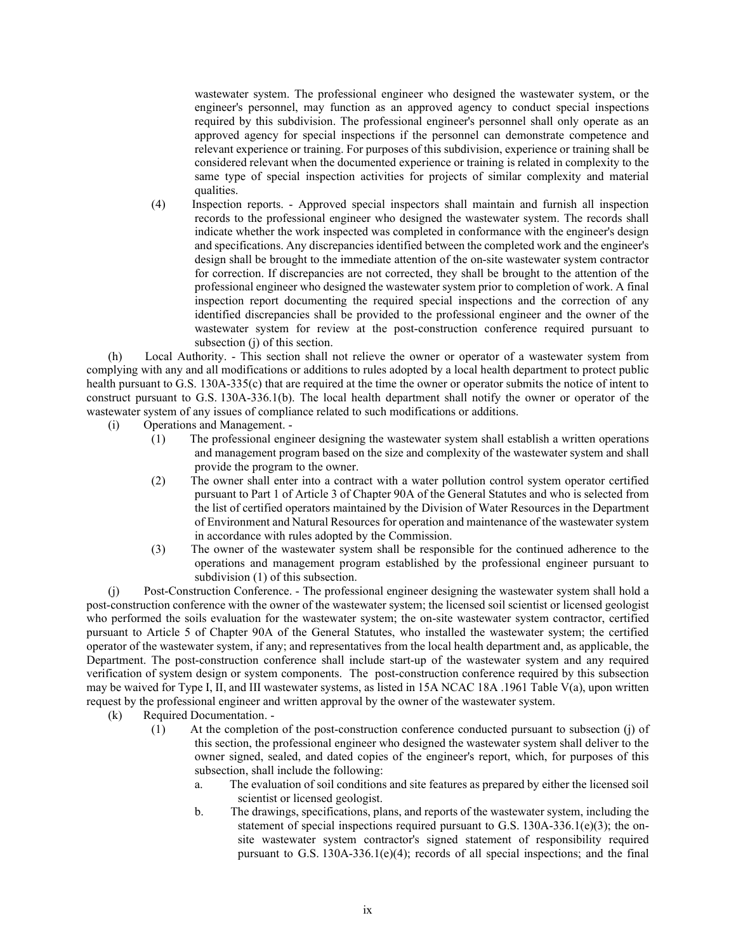wastewater system. The professional engineer who designed the wastewater system, or the engineer's personnel, may function as an approved agency to conduct special inspections required by this subdivision. The professional engineer's personnel shall only operate as an approved agency for special inspections if the personnel can demonstrate competence and relevant experience or training. For purposes of this subdivision, experience or training shall be considered relevant when the documented experience or training is related in complexity to the same type of special inspection activities for projects of similar complexity and material qualities.

(4) Inspection reports. - Approved special inspectors shall maintain and furnish all inspection records to the professional engineer who designed the wastewater system. The records shall indicate whether the work inspected was completed in conformance with the engineer's design and specifications. Any discrepancies identified between the completed work and the engineer's design shall be brought to the immediate attention of the on-site wastewater system contractor for correction. If discrepancies are not corrected, they shall be brought to the attention of the professional engineer who designed the wastewater system prior to completion of work. A final inspection report documenting the required special inspections and the correction of any identified discrepancies shall be provided to the professional engineer and the owner of the wastewater system for review at the post-construction conference required pursuant to subsection (j) of this section.

(h) Local Authority. - This section shall not relieve the owner or operator of a wastewater system from complying with any and all modifications or additions to rules adopted by a local health department to protect public health pursuant to G.S. 130A-335(c) that are required at the time the owner or operator submits the notice of intent to construct pursuant to G.S. 130A-336.1(b). The local health department shall notify the owner or operator of the wastewater system of any issues of compliance related to such modifications or additions.

(i) Operations and Management. -

- (1) The professional engineer designing the wastewater system shall establish a written operations and management program based on the size and complexity of the wastewater system and shall provide the program to the owner.
- (2) The owner shall enter into a contract with a water pollution control system operator certified pursuant to Part 1 of Article 3 of Chapter 90A of the General Statutes and who is selected from the list of certified operators maintained by the Division of Water Resources in the Department of Environment and Natural Resources for operation and maintenance of the wastewater system in accordance with rules adopted by the Commission.
- (3) The owner of the wastewater system shall be responsible for the continued adherence to the operations and management program established by the professional engineer pursuant to subdivision (1) of this subsection.

(j) Post-Construction Conference. - The professional engineer designing the wastewater system shall hold a post-construction conference with the owner of the wastewater system; the licensed soil scientist or licensed geologist who performed the soils evaluation for the wastewater system; the on-site wastewater system contractor, certified pursuant to Article 5 of Chapter 90A of the General Statutes, who installed the wastewater system; the certified operator of the wastewater system, if any; and representatives from the local health department and, as applicable, the Department. The post-construction conference shall include start-up of the wastewater system and any required verification of system design or system components. The post-construction conference required by this subsection may be waived for Type I, II, and III wastewater systems, as listed in 15A NCAC 18A .1961 Table V(a), upon written request by the professional engineer and written approval by the owner of the wastewater system.

- (k) Required Documentation.
	- (1) At the completion of the post-construction conference conducted pursuant to subsection (j) of this section, the professional engineer who designed the wastewater system shall deliver to the owner signed, sealed, and dated copies of the engineer's report, which, for purposes of this subsection, shall include the following:
		- a. The evaluation of soil conditions and site features as prepared by either the licensed soil scientist or licensed geologist.
		- b. The drawings, specifications, plans, and reports of the wastewater system, including the statement of special inspections required pursuant to G.S. 130A-336.1(e)(3); the onsite wastewater system contractor's signed statement of responsibility required pursuant to G.S. 130A-336.1(e)(4); records of all special inspections; and the final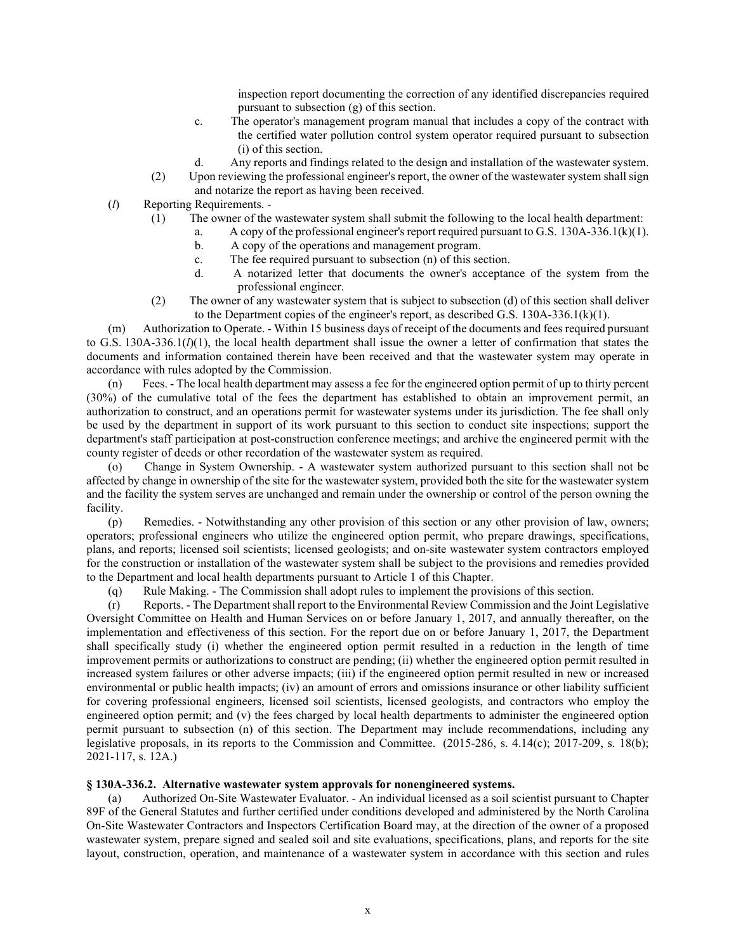inspection report documenting the correction of any identified discrepancies required pursuant to subsection (g) of this section.

- c. The operator's management program manual that includes a copy of the contract with the certified water pollution control system operator required pursuant to subsection (i) of this section.
- d. Any reports and findings related to the design and installation of the wastewater system.
- (2) Upon reviewing the professional engineer's report, the owner of the wastewater system shall sign and notarize the report as having been received.
- (*l*) Reporting Requirements.
	- (1) The owner of the wastewater system shall submit the following to the local health department:
		- a. A copy of the professional engineer's report required pursuant to G.S. 130A-336.1(k)(1).
		- b. A copy of the operations and management program.
		- c. The fee required pursuant to subsection (n) of this section.
		- d. A notarized letter that documents the owner's acceptance of the system from the professional engineer.
	- (2) The owner of any wastewater system that is subject to subsection (d) of this section shall deliver to the Department copies of the engineer's report, as described G.S. 130A-336.1(k)(1).

(m) Authorization to Operate. - Within 15 business days of receipt of the documents and fees required pursuant to G.S. 130A-336.1(*l*)(1), the local health department shall issue the owner a letter of confirmation that states the documents and information contained therein have been received and that the wastewater system may operate in accordance with rules adopted by the Commission.

(n) Fees. - The local health department may assess a fee for the engineered option permit of up to thirty percent (30%) of the cumulative total of the fees the department has established to obtain an improvement permit, an authorization to construct, and an operations permit for wastewater systems under its jurisdiction. The fee shall only be used by the department in support of its work pursuant to this section to conduct site inspections; support the department's staff participation at post-construction conference meetings; and archive the engineered permit with the county register of deeds or other recordation of the wastewater system as required.

(o) Change in System Ownership. - A wastewater system authorized pursuant to this section shall not be affected by change in ownership of the site for the wastewater system, provided both the site for the wastewater system and the facility the system serves are unchanged and remain under the ownership or control of the person owning the facility.

(p) Remedies. - Notwithstanding any other provision of this section or any other provision of law, owners; operators; professional engineers who utilize the engineered option permit, who prepare drawings, specifications, plans, and reports; licensed soil scientists; licensed geologists; and on-site wastewater system contractors employed for the construction or installation of the wastewater system shall be subject to the provisions and remedies provided to the Department and local health departments pursuant to Article 1 of this Chapter.

(q) Rule Making. - The Commission shall adopt rules to implement the provisions of this section.

(r) Reports. - The Department shall report to the Environmental Review Commission and the Joint Legislative Oversight Committee on Health and Human Services on or before January 1, 2017, and annually thereafter, on the implementation and effectiveness of this section. For the report due on or before January 1, 2017, the Department shall specifically study (i) whether the engineered option permit resulted in a reduction in the length of time improvement permits or authorizations to construct are pending; (ii) whether the engineered option permit resulted in increased system failures or other adverse impacts; (iii) if the engineered option permit resulted in new or increased environmental or public health impacts; (iv) an amount of errors and omissions insurance or other liability sufficient for covering professional engineers, licensed soil scientists, licensed geologists, and contractors who employ the engineered option permit; and (v) the fees charged by local health departments to administer the engineered option permit pursuant to subsection (n) of this section. The Department may include recommendations, including any legislative proposals, in its reports to the Commission and Committee. (2015-286, s. 4.14(c); 2017-209, s. 18(b); 2021-117, s. 12A.)

### **§ 130A-336.2. Alternative wastewater system approvals for nonengineered systems.**

(a) Authorized On-Site Wastewater Evaluator. - An individual licensed as a soil scientist pursuant to Chapter 89F of the General Statutes and further certified under conditions developed and administered by the North Carolina On-Site Wastewater Contractors and Inspectors Certification Board may, at the direction of the owner of a proposed wastewater system, prepare signed and sealed soil and site evaluations, specifications, plans, and reports for the site layout, construction, operation, and maintenance of a wastewater system in accordance with this section and rules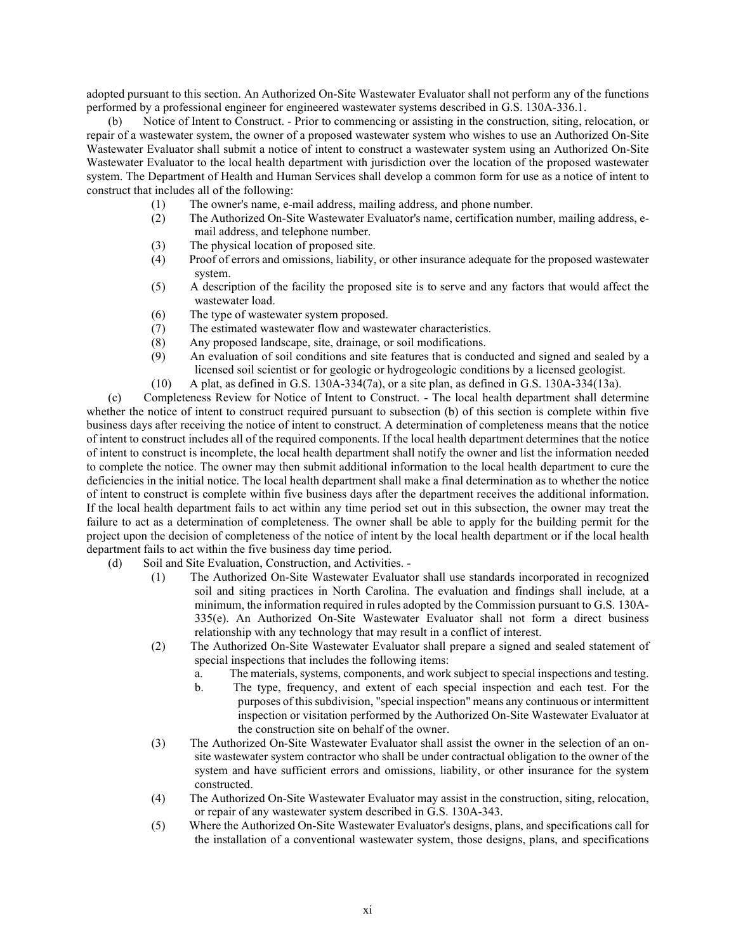adopted pursuant to this section. An Authorized On-Site Wastewater Evaluator shall not perform any of the functions performed by a professional engineer for engineered wastewater systems described in G.S. 130A-336.1.

(b) Notice of Intent to Construct. - Prior to commencing or assisting in the construction, siting, relocation, or repair of a wastewater system, the owner of a proposed wastewater system who wishes to use an Authorized On-Site Wastewater Evaluator shall submit a notice of intent to construct a wastewater system using an Authorized On-Site Wastewater Evaluator to the local health department with jurisdiction over the location of the proposed wastewater system. The Department of Health and Human Services shall develop a common form for use as a notice of intent to construct that includes all of the following:

- (1) The owner's name, e-mail address, mailing address, and phone number.<br>
(2) The Authorized On-Site Wastewater Evaluator's name, certification num
- (2) The Authorized On-Site Wastewater Evaluator's name, certification number, mailing address, email address, and telephone number.
- (3) The physical location of proposed site.
- (4) Proof of errors and omissions, liability, or other insurance adequate for the proposed wastewater system.
- (5) A description of the facility the proposed site is to serve and any factors that would affect the wastewater load.
- (6) The type of wastewater system proposed.
- (7) The estimated wastewater flow and wastewater characteristics.
- (8) Any proposed landscape, site, drainage, or soil modifications.
- (9) An evaluation of soil conditions and site features that is conducted and signed and sealed by a licensed soil scientist or for geologic or hydrogeologic conditions by a licensed geologist.
- (10) A plat, as defined in G.S. 130A-334(7a), or a site plan, as defined in G.S. 130A-334(13a).

(c) Completeness Review for Notice of Intent to Construct. - The local health department shall determine whether the notice of intent to construct required pursuant to subsection (b) of this section is complete within five business days after receiving the notice of intent to construct. A determination of completeness means that the notice of intent to construct includes all of the required components. If the local health department determines that the notice of intent to construct is incomplete, the local health department shall notify the owner and list the information needed to complete the notice. The owner may then submit additional information to the local health department to cure the deficiencies in the initial notice. The local health department shall make a final determination as to whether the notice of intent to construct is complete within five business days after the department receives the additional information. If the local health department fails to act within any time period set out in this subsection, the owner may treat the failure to act as a determination of completeness. The owner shall be able to apply for the building permit for the project upon the decision of completeness of the notice of intent by the local health department or if the local health department fails to act within the five business day time period.

- (d) Soil and Site Evaluation, Construction, and Activities.
	- (1) The Authorized On-Site Wastewater Evaluator shall use standards incorporated in recognized soil and siting practices in North Carolina. The evaluation and findings shall include, at a minimum, the information required in rules adopted by the Commission pursuant to G.S. 130A-335(e). An Authorized On-Site Wastewater Evaluator shall not form a direct business relationship with any technology that may result in a conflict of interest.
	- (2) The Authorized On-Site Wastewater Evaluator shall prepare a signed and sealed statement of special inspections that includes the following items:
		- a. The materials, systems, components, and work subject to special inspections and testing.
		- b. The type, frequency, and extent of each special inspection and each test. For the purposes of this subdivision, "special inspection" means any continuous or intermittent inspection or visitation performed by the Authorized On-Site Wastewater Evaluator at the construction site on behalf of the owner.
	- (3) The Authorized On-Site Wastewater Evaluator shall assist the owner in the selection of an onsite wastewater system contractor who shall be under contractual obligation to the owner of the system and have sufficient errors and omissions, liability, or other insurance for the system constructed.
	- (4) The Authorized On-Site Wastewater Evaluator may assist in the construction, siting, relocation, or repair of any wastewater system described in G.S. 130A-343.
	- (5) Where the Authorized On-Site Wastewater Evaluator's designs, plans, and specifications call for the installation of a conventional wastewater system, those designs, plans, and specifications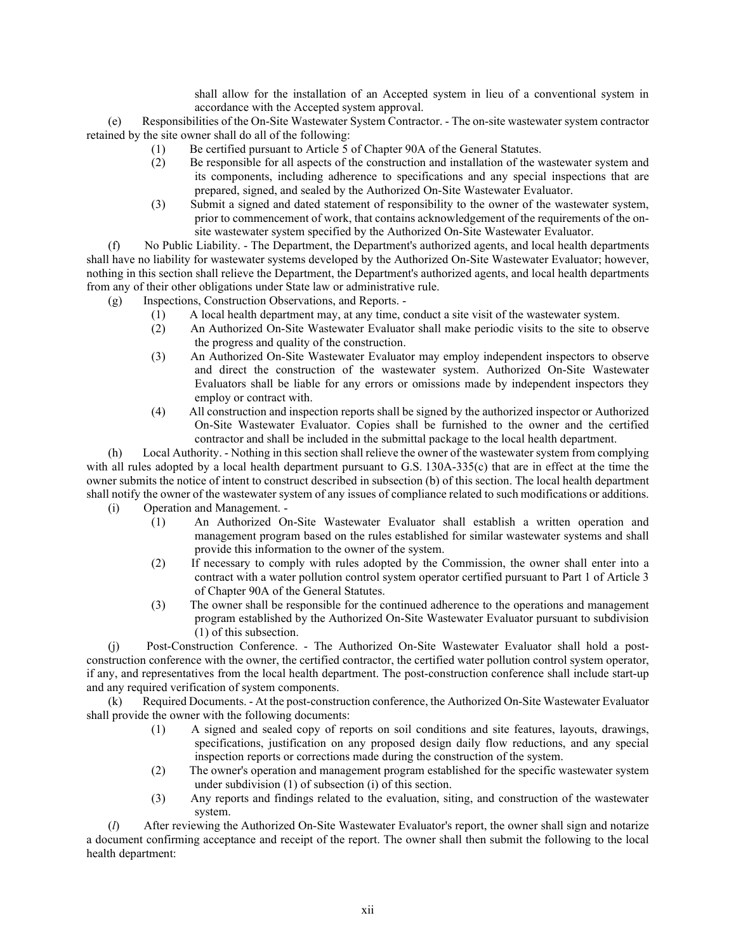shall allow for the installation of an Accepted system in lieu of a conventional system in accordance with the Accepted system approval.

(e) Responsibilities of the On-Site Wastewater System Contractor. - The on-site wastewater system contractor retained by the site owner shall do all of the following:

- (1) Be certified pursuant to Article 5 of Chapter 90A of the General Statutes.
- (2) Be responsible for all aspects of the construction and installation of the wastewater system and its components, including adherence to specifications and any special inspections that are prepared, signed, and sealed by the Authorized On-Site Wastewater Evaluator.
- (3) Submit a signed and dated statement of responsibility to the owner of the wastewater system, prior to commencement of work, that contains acknowledgement of the requirements of the onsite wastewater system specified by the Authorized On-Site Wastewater Evaluator.

(f) No Public Liability. - The Department, the Department's authorized agents, and local health departments shall have no liability for wastewater systems developed by the Authorized On-Site Wastewater Evaluator; however, nothing in this section shall relieve the Department, the Department's authorized agents, and local health departments from any of their other obligations under State law or administrative rule.

- (g) Inspections, Construction Observations, and Reports.
	- (1) A local health department may, at any time, conduct a site visit of the wastewater system.
	- (2) An Authorized On-Site Wastewater Evaluator shall make periodic visits to the site to observe the progress and quality of the construction.
	- (3) An Authorized On-Site Wastewater Evaluator may employ independent inspectors to observe and direct the construction of the wastewater system. Authorized On-Site Wastewater Evaluators shall be liable for any errors or omissions made by independent inspectors they employ or contract with.
	- (4) All construction and inspection reports shall be signed by the authorized inspector or Authorized On-Site Wastewater Evaluator. Copies shall be furnished to the owner and the certified contractor and shall be included in the submittal package to the local health department.

(h) Local Authority. - Nothing in this section shall relieve the owner of the wastewater system from complying with all rules adopted by a local health department pursuant to G.S. 130A-335(c) that are in effect at the time the owner submits the notice of intent to construct described in subsection (b) of this section. The local health department shall notify the owner of the wastewater system of any issues of compliance related to such modifications or additions.

- (i) Operation and Management.
	- (1) An Authorized On-Site Wastewater Evaluator shall establish a written operation and management program based on the rules established for similar wastewater systems and shall provide this information to the owner of the system.
		- (2) If necessary to comply with rules adopted by the Commission, the owner shall enter into a contract with a water pollution control system operator certified pursuant to Part 1 of Article 3 of Chapter 90A of the General Statutes.
		- (3) The owner shall be responsible for the continued adherence to the operations and management program established by the Authorized On-Site Wastewater Evaluator pursuant to subdivision (1) of this subsection.

(j) Post-Construction Conference. - The Authorized On-Site Wastewater Evaluator shall hold a postconstruction conference with the owner, the certified contractor, the certified water pollution control system operator, if any, and representatives from the local health department. The post-construction conference shall include start-up and any required verification of system components.

(k) Required Documents. - At the post-construction conference, the Authorized On-Site Wastewater Evaluator shall provide the owner with the following documents:

- (1) A signed and sealed copy of reports on soil conditions and site features, layouts, drawings, specifications, justification on any proposed design daily flow reductions, and any special inspection reports or corrections made during the construction of the system.
- (2) The owner's operation and management program established for the specific wastewater system under subdivision (1) of subsection (i) of this section.
- (3) Any reports and findings related to the evaluation, siting, and construction of the wastewater system.

(*l*) After reviewing the Authorized On-Site Wastewater Evaluator's report, the owner shall sign and notarize a document confirming acceptance and receipt of the report. The owner shall then submit the following to the local health department: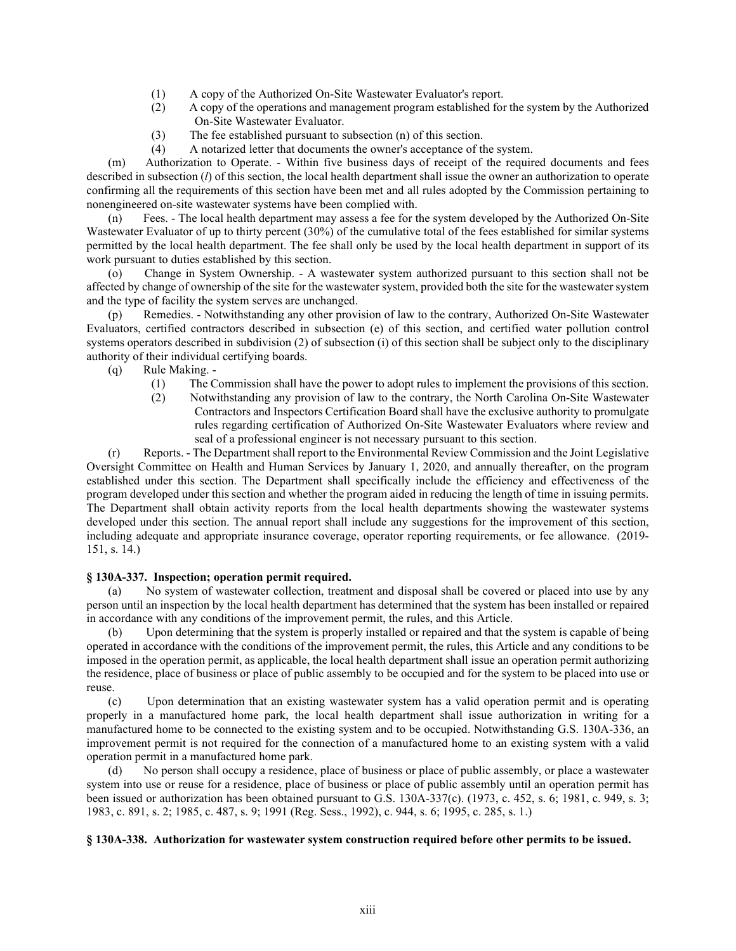- (1) A copy of the Authorized On-Site Wastewater Evaluator's report.
- (2) A copy of the operations and management program established for the system by the Authorized On-Site Wastewater Evaluator.
- (3) The fee established pursuant to subsection (n) of this section.
- (4) A notarized letter that documents the owner's acceptance of the system.

(m) Authorization to Operate. - Within five business days of receipt of the required documents and fees described in subsection (*l*) of this section, the local health department shall issue the owner an authorization to operate confirming all the requirements of this section have been met and all rules adopted by the Commission pertaining to nonengineered on-site wastewater systems have been complied with.

(n) Fees. - The local health department may assess a fee for the system developed by the Authorized On-Site Wastewater Evaluator of up to thirty percent (30%) of the cumulative total of the fees established for similar systems permitted by the local health department. The fee shall only be used by the local health department in support of its work pursuant to duties established by this section.

(o) Change in System Ownership. - A wastewater system authorized pursuant to this section shall not be affected by change of ownership of the site for the wastewater system, provided both the site for the wastewater system and the type of facility the system serves are unchanged.

(p) Remedies. - Notwithstanding any other provision of law to the contrary, Authorized On-Site Wastewater Evaluators, certified contractors described in subsection (e) of this section, and certified water pollution control systems operators described in subdivision (2) of subsection (i) of this section shall be subject only to the disciplinary authority of their individual certifying boards.

(q) Rule Making. -

- (1) The Commission shall have the power to adopt rules to implement the provisions of this section.
- (2) Notwithstanding any provision of law to the contrary, the North Carolina On-Site Wastewater Contractors and Inspectors Certification Board shall have the exclusive authority to promulgate rules regarding certification of Authorized On-Site Wastewater Evaluators where review and seal of a professional engineer is not necessary pursuant to this section.

(r) Reports. - The Department shall report to the Environmental Review Commission and the Joint Legislative Oversight Committee on Health and Human Services by January 1, 2020, and annually thereafter, on the program established under this section. The Department shall specifically include the efficiency and effectiveness of the program developed under this section and whether the program aided in reducing the length of time in issuing permits. The Department shall obtain activity reports from the local health departments showing the wastewater systems developed under this section. The annual report shall include any suggestions for the improvement of this section, including adequate and appropriate insurance coverage, operator reporting requirements, or fee allowance. (2019- 151, s. 14.)

## **§ 130A-337. Inspection; operation permit required.**

(a) No system of wastewater collection, treatment and disposal shall be covered or placed into use by any person until an inspection by the local health department has determined that the system has been installed or repaired in accordance with any conditions of the improvement permit, the rules, and this Article.

(b) Upon determining that the system is properly installed or repaired and that the system is capable of being operated in accordance with the conditions of the improvement permit, the rules, this Article and any conditions to be imposed in the operation permit, as applicable, the local health department shall issue an operation permit authorizing the residence, place of business or place of public assembly to be occupied and for the system to be placed into use or reuse.

(c) Upon determination that an existing wastewater system has a valid operation permit and is operating properly in a manufactured home park, the local health department shall issue authorization in writing for a manufactured home to be connected to the existing system and to be occupied. Notwithstanding G.S. 130A-336, an improvement permit is not required for the connection of a manufactured home to an existing system with a valid operation permit in a manufactured home park.

(d) No person shall occupy a residence, place of business or place of public assembly, or place a wastewater system into use or reuse for a residence, place of business or place of public assembly until an operation permit has been issued or authorization has been obtained pursuant to G.S. 130A-337(c). (1973, c. 452, s. 6; 1981, c. 949, s. 3; 1983, c. 891, s. 2; 1985, c. 487, s. 9; 1991 (Reg. Sess., 1992), c. 944, s. 6; 1995, c. 285, s. 1.)

### **§ 130A-338. Authorization for wastewater system construction required before other permits to be issued.**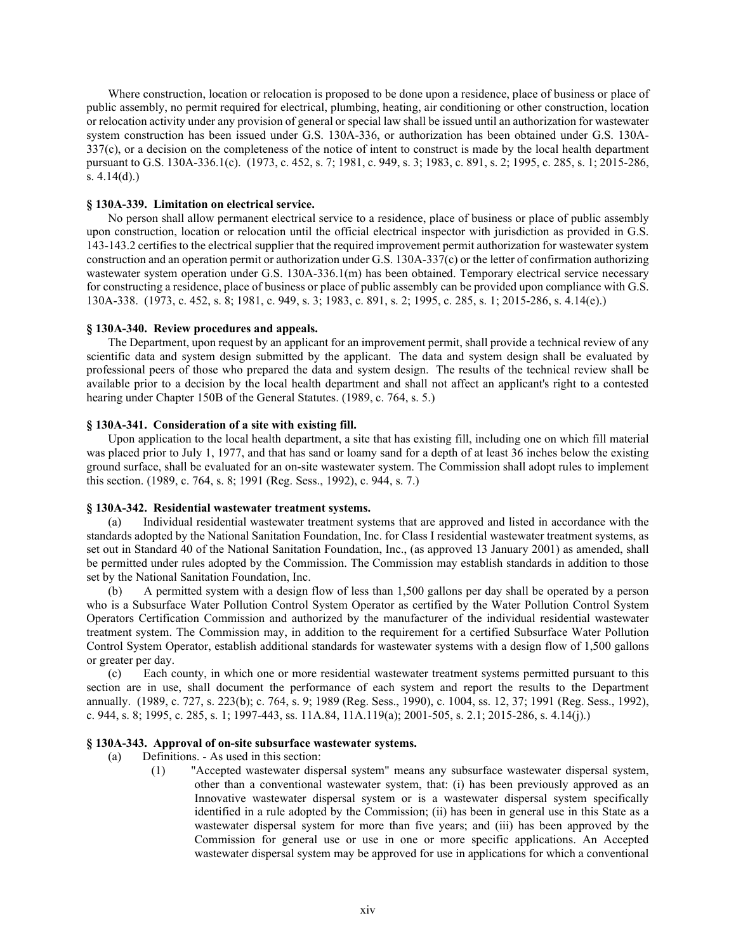Where construction, location or relocation is proposed to be done upon a residence, place of business or place of public assembly, no permit required for electrical, plumbing, heating, air conditioning or other construction, location or relocation activity under any provision of general or special law shall be issued until an authorization for wastewater system construction has been issued under G.S. 130A-336, or authorization has been obtained under G.S. 130A-337(c), or a decision on the completeness of the notice of intent to construct is made by the local health department pursuant to G.S. 130A-336.1(c). (1973, c. 452, s. 7; 1981, c. 949, s. 3; 1983, c. 891, s. 2; 1995, c. 285, s. 1; 2015-286, s. 4.14(d).)

### **§ 130A-339. Limitation on electrical service.**

No person shall allow permanent electrical service to a residence, place of business or place of public assembly upon construction, location or relocation until the official electrical inspector with jurisdiction as provided in G.S. 143-143.2 certifies to the electrical supplier that the required improvement permit authorization for wastewater system construction and an operation permit or authorization under G.S. 130A-337(c) or the letter of confirmation authorizing wastewater system operation under G.S. 130A-336.1(m) has been obtained. Temporary electrical service necessary for constructing a residence, place of business or place of public assembly can be provided upon compliance with G.S. 130A-338. (1973, c. 452, s. 8; 1981, c. 949, s. 3; 1983, c. 891, s. 2; 1995, c. 285, s. 1; 2015-286, s. 4.14(e).)

#### **§ 130A-340. Review procedures and appeals.**

The Department, upon request by an applicant for an improvement permit, shall provide a technical review of any scientific data and system design submitted by the applicant. The data and system design shall be evaluated by professional peers of those who prepared the data and system design. The results of the technical review shall be available prior to a decision by the local health department and shall not affect an applicant's right to a contested hearing under Chapter 150B of the General Statutes. (1989, c. 764, s. 5.)

### **§ 130A-341. Consideration of a site with existing fill.**

Upon application to the local health department, a site that has existing fill, including one on which fill material was placed prior to July 1, 1977, and that has sand or loamy sand for a depth of at least 36 inches below the existing ground surface, shall be evaluated for an on-site wastewater system. The Commission shall adopt rules to implement this section. (1989, c. 764, s. 8; 1991 (Reg. Sess., 1992), c. 944, s. 7.)

### **§ 130A-342. Residential wastewater treatment systems.**

(a) Individual residential wastewater treatment systems that are approved and listed in accordance with the standards adopted by the National Sanitation Foundation, Inc. for Class I residential wastewater treatment systems, as set out in Standard 40 of the National Sanitation Foundation, Inc., (as approved 13 January 2001) as amended, shall be permitted under rules adopted by the Commission. The Commission may establish standards in addition to those set by the National Sanitation Foundation, Inc.

(b) A permitted system with a design flow of less than 1,500 gallons per day shall be operated by a person who is a Subsurface Water Pollution Control System Operator as certified by the Water Pollution Control System Operators Certification Commission and authorized by the manufacturer of the individual residential wastewater treatment system. The Commission may, in addition to the requirement for a certified Subsurface Water Pollution Control System Operator, establish additional standards for wastewater systems with a design flow of 1,500 gallons or greater per day.

(c) Each county, in which one or more residential wastewater treatment systems permitted pursuant to this section are in use, shall document the performance of each system and report the results to the Department annually. (1989, c. 727, s. 223(b); c. 764, s. 9; 1989 (Reg. Sess., 1990), c. 1004, ss. 12, 37; 1991 (Reg. Sess., 1992), c. 944, s. 8; 1995, c. 285, s. 1; 1997-443, ss. 11A.84, 11A.119(a); 2001-505, s. 2.1; 2015-286, s. 4.14(j).)

### **§ 130A-343. Approval of on-site subsurface wastewater systems.**

- (a) Definitions. As used in this section:
	- (1) "Accepted wastewater dispersal system" means any subsurface wastewater dispersal system, other than a conventional wastewater system, that: (i) has been previously approved as an Innovative wastewater dispersal system or is a wastewater dispersal system specifically identified in a rule adopted by the Commission; (ii) has been in general use in this State as a wastewater dispersal system for more than five years; and (iii) has been approved by the Commission for general use or use in one or more specific applications. An Accepted wastewater dispersal system may be approved for use in applications for which a conventional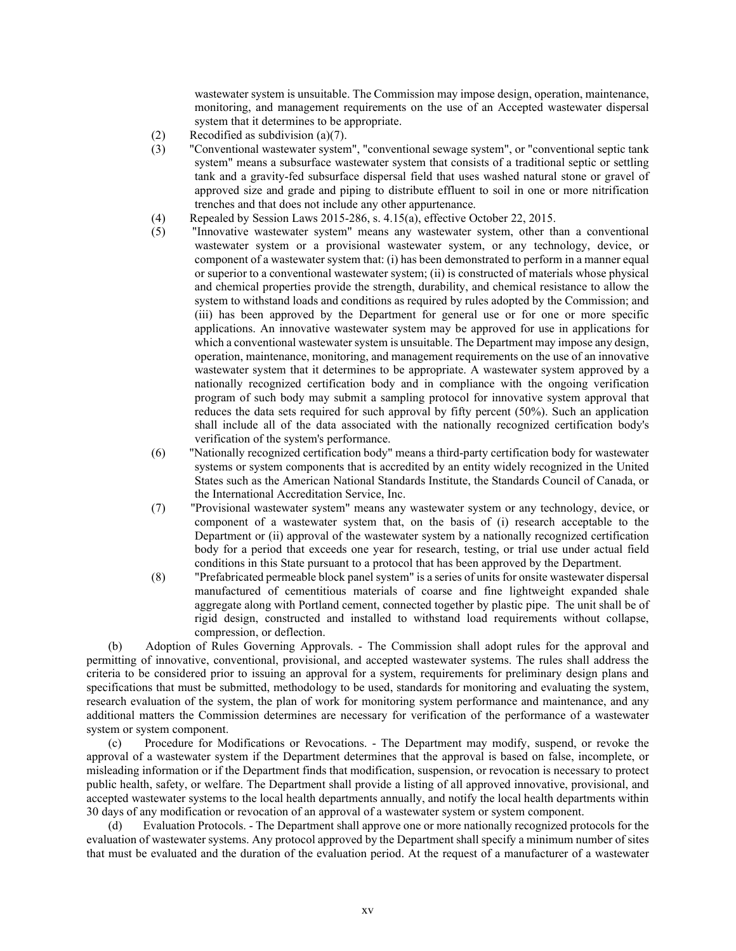wastewater system is unsuitable. The Commission may impose design, operation, maintenance, monitoring, and management requirements on the use of an Accepted wastewater dispersal system that it determines to be appropriate.

- (2) Recodified as subdivision (a)(7).
- (3) "Conventional wastewater system", "conventional sewage system", or "conventional septic tank system" means a subsurface wastewater system that consists of a traditional septic or settling tank and a gravity-fed subsurface dispersal field that uses washed natural stone or gravel of approved size and grade and piping to distribute effluent to soil in one or more nitrification trenches and that does not include any other appurtenance.
- (4) Repealed by Session Laws 2015-286, s. 4.15(a), effective October 22, 2015.
- (5) "Innovative wastewater system" means any wastewater system, other than a conventional wastewater system or a provisional wastewater system, or any technology, device, or component of a wastewater system that: (i) has been demonstrated to perform in a manner equal or superior to a conventional wastewater system; (ii) is constructed of materials whose physical and chemical properties provide the strength, durability, and chemical resistance to allow the system to withstand loads and conditions as required by rules adopted by the Commission; and (iii) has been approved by the Department for general use or for one or more specific applications. An innovative wastewater system may be approved for use in applications for which a conventional wastewater system is unsuitable. The Department may impose any design, operation, maintenance, monitoring, and management requirements on the use of an innovative wastewater system that it determines to be appropriate. A wastewater system approved by a nationally recognized certification body and in compliance with the ongoing verification program of such body may submit a sampling protocol for innovative system approval that reduces the data sets required for such approval by fifty percent (50%). Such an application shall include all of the data associated with the nationally recognized certification body's verification of the system's performance.
- (6) "Nationally recognized certification body" means a third-party certification body for wastewater systems or system components that is accredited by an entity widely recognized in the United States such as the American National Standards Institute, the Standards Council of Canada, or the International Accreditation Service, Inc.
- (7) "Provisional wastewater system" means any wastewater system or any technology, device, or component of a wastewater system that, on the basis of (i) research acceptable to the Department or (ii) approval of the wastewater system by a nationally recognized certification body for a period that exceeds one year for research, testing, or trial use under actual field conditions in this State pursuant to a protocol that has been approved by the Department.
- (8) "Prefabricated permeable block panel system" is a series of units for onsite wastewater dispersal manufactured of cementitious materials of coarse and fine lightweight expanded shale aggregate along with Portland cement, connected together by plastic pipe. The unit shall be of rigid design, constructed and installed to withstand load requirements without collapse, compression, or deflection.

(b) Adoption of Rules Governing Approvals. - The Commission shall adopt rules for the approval and permitting of innovative, conventional, provisional, and accepted wastewater systems. The rules shall address the criteria to be considered prior to issuing an approval for a system, requirements for preliminary design plans and specifications that must be submitted, methodology to be used, standards for monitoring and evaluating the system, research evaluation of the system, the plan of work for monitoring system performance and maintenance, and any additional matters the Commission determines are necessary for verification of the performance of a wastewater system or system component.

(c) Procedure for Modifications or Revocations. - The Department may modify, suspend, or revoke the approval of a wastewater system if the Department determines that the approval is based on false, incomplete, or misleading information or if the Department finds that modification, suspension, or revocation is necessary to protect public health, safety, or welfare. The Department shall provide a listing of all approved innovative, provisional, and accepted wastewater systems to the local health departments annually, and notify the local health departments within 30 days of any modification or revocation of an approval of a wastewater system or system component.

(d) Evaluation Protocols. - The Department shall approve one or more nationally recognized protocols for the evaluation of wastewater systems. Any protocol approved by the Department shall specify a minimum number of sites that must be evaluated and the duration of the evaluation period. At the request of a manufacturer of a wastewater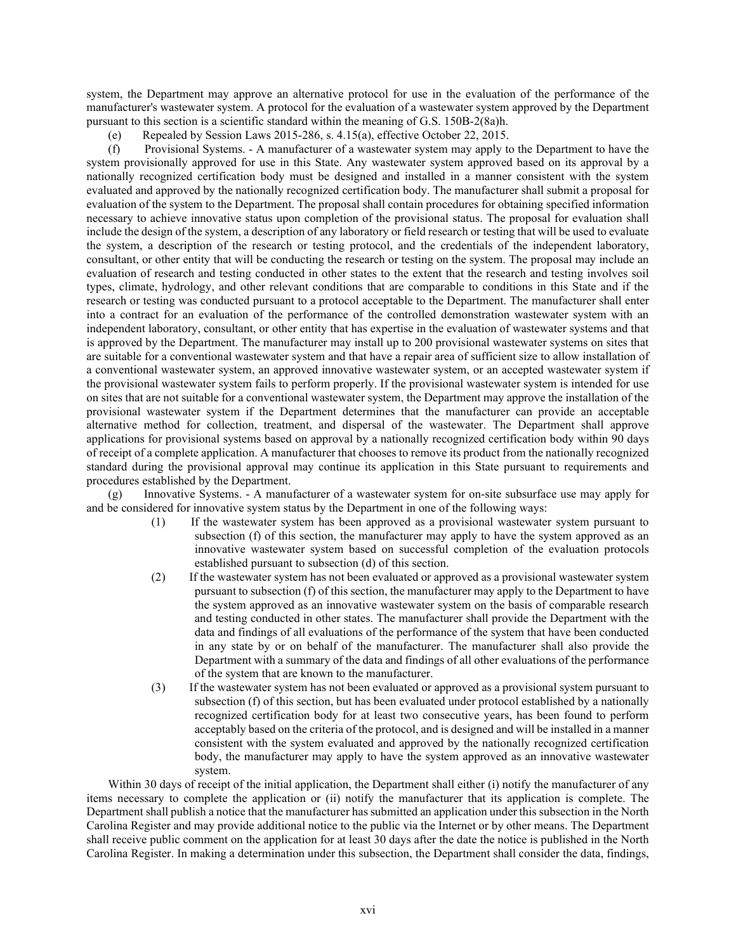system, the Department may approve an alternative protocol for use in the evaluation of the performance of the manufacturer's wastewater system. A protocol for the evaluation of a wastewater system approved by the Department pursuant to this section is a scientific standard within the meaning of G.S. 150B-2(8a)h.

(e) Repealed by Session Laws 2015-286, s. 4.15(a), effective October 22, 2015.

(f) Provisional Systems. - A manufacturer of a wastewater system may apply to the Department to have the system provisionally approved for use in this State. Any wastewater system approved based on its approval by a nationally recognized certification body must be designed and installed in a manner consistent with the system evaluated and approved by the nationally recognized certification body. The manufacturer shall submit a proposal for evaluation of the system to the Department. The proposal shall contain procedures for obtaining specified information necessary to achieve innovative status upon completion of the provisional status. The proposal for evaluation shall include the design of the system, a description of any laboratory or field research or testing that will be used to evaluate the system, a description of the research or testing protocol, and the credentials of the independent laboratory, consultant, or other entity that will be conducting the research or testing on the system. The proposal may include an evaluation of research and testing conducted in other states to the extent that the research and testing involves soil types, climate, hydrology, and other relevant conditions that are comparable to conditions in this State and if the research or testing was conducted pursuant to a protocol acceptable to the Department. The manufacturer shall enter into a contract for an evaluation of the performance of the controlled demonstration wastewater system with an independent laboratory, consultant, or other entity that has expertise in the evaluation of wastewater systems and that is approved by the Department. The manufacturer may install up to 200 provisional wastewater systems on sites that are suitable for a conventional wastewater system and that have a repair area of sufficient size to allow installation of a conventional wastewater system, an approved innovative wastewater system, or an accepted wastewater system if the provisional wastewater system fails to perform properly. If the provisional wastewater system is intended for use on sites that are not suitable for a conventional wastewater system, the Department may approve the installation of the provisional wastewater system if the Department determines that the manufacturer can provide an acceptable alternative method for collection, treatment, and dispersal of the wastewater. The Department shall approve applications for provisional systems based on approval by a nationally recognized certification body within 90 days of receipt of a complete application. A manufacturer that chooses to remove its product from the nationally recognized standard during the provisional approval may continue its application in this State pursuant to requirements and procedures established by the Department.

(g) Innovative Systems. - A manufacturer of a wastewater system for on-site subsurface use may apply for and be considered for innovative system status by the Department in one of the following ways:

- (1) If the wastewater system has been approved as a provisional wastewater system pursuant to subsection (f) of this section, the manufacturer may apply to have the system approved as an innovative wastewater system based on successful completion of the evaluation protocols established pursuant to subsection (d) of this section.
- (2) If the wastewater system has not been evaluated or approved as a provisional wastewater system pursuant to subsection (f) of this section, the manufacturer may apply to the Department to have the system approved as an innovative wastewater system on the basis of comparable research and testing conducted in other states. The manufacturer shall provide the Department with the data and findings of all evaluations of the performance of the system that have been conducted in any state by or on behalf of the manufacturer. The manufacturer shall also provide the Department with a summary of the data and findings of all other evaluations of the performance of the system that are known to the manufacturer.
- (3) If the wastewater system has not been evaluated or approved as a provisional system pursuant to subsection (f) of this section, but has been evaluated under protocol established by a nationally recognized certification body for at least two consecutive years, has been found to perform acceptably based on the criteria of the protocol, and is designed and will be installed in a manner consistent with the system evaluated and approved by the nationally recognized certification body, the manufacturer may apply to have the system approved as an innovative wastewater system.

Within 30 days of receipt of the initial application, the Department shall either (i) notify the manufacturer of any items necessary to complete the application or (ii) notify the manufacturer that its application is complete. The Department shall publish a notice that the manufacturer has submitted an application under this subsection in the North Carolina Register and may provide additional notice to the public via the Internet or by other means. The Department shall receive public comment on the application for at least 30 days after the date the notice is published in the North Carolina Register. In making a determination under this subsection, the Department shall consider the data, findings,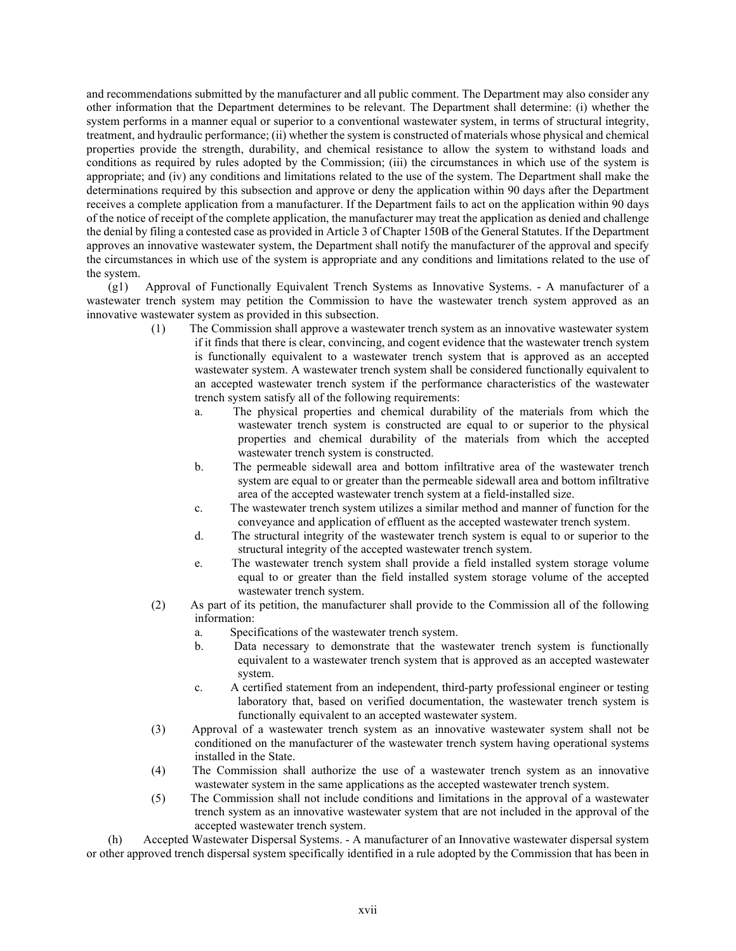and recommendations submitted by the manufacturer and all public comment. The Department may also consider any other information that the Department determines to be relevant. The Department shall determine: (i) whether the system performs in a manner equal or superior to a conventional wastewater system, in terms of structural integrity, treatment, and hydraulic performance; (ii) whether the system is constructed of materials whose physical and chemical properties provide the strength, durability, and chemical resistance to allow the system to withstand loads and conditions as required by rules adopted by the Commission; (iii) the circumstances in which use of the system is appropriate; and (iv) any conditions and limitations related to the use of the system. The Department shall make the determinations required by this subsection and approve or deny the application within 90 days after the Department receives a complete application from a manufacturer. If the Department fails to act on the application within 90 days of the notice of receipt of the complete application, the manufacturer may treat the application as denied and challenge the denial by filing a contested case as provided in Article 3 of Chapter 150B of the General Statutes. If the Department approves an innovative wastewater system, the Department shall notify the manufacturer of the approval and specify the circumstances in which use of the system is appropriate and any conditions and limitations related to the use of the system.

(g1) Approval of Functionally Equivalent Trench Systems as Innovative Systems. - A manufacturer of a wastewater trench system may petition the Commission to have the wastewater trench system approved as an innovative wastewater system as provided in this subsection.

- (1) The Commission shall approve a wastewater trench system as an innovative wastewater system if it finds that there is clear, convincing, and cogent evidence that the wastewater trench system is functionally equivalent to a wastewater trench system that is approved as an accepted wastewater system. A wastewater trench system shall be considered functionally equivalent to an accepted wastewater trench system if the performance characteristics of the wastewater trench system satisfy all of the following requirements:
	- a. The physical properties and chemical durability of the materials from which the wastewater trench system is constructed are equal to or superior to the physical properties and chemical durability of the materials from which the accepted wastewater trench system is constructed.
	- b. The permeable sidewall area and bottom infiltrative area of the wastewater trench system are equal to or greater than the permeable sidewall area and bottom infiltrative area of the accepted wastewater trench system at a field-installed size.
	- c. The wastewater trench system utilizes a similar method and manner of function for the conveyance and application of effluent as the accepted wastewater trench system.
	- d. The structural integrity of the wastewater trench system is equal to or superior to the structural integrity of the accepted wastewater trench system.
	- e. The wastewater trench system shall provide a field installed system storage volume equal to or greater than the field installed system storage volume of the accepted wastewater trench system.
- (2) As part of its petition, the manufacturer shall provide to the Commission all of the following information:
	- a. Specifications of the wastewater trench system.
	- b. Data necessary to demonstrate that the wastewater trench system is functionally equivalent to a wastewater trench system that is approved as an accepted wastewater system.
	- c. A certified statement from an independent, third-party professional engineer or testing laboratory that, based on verified documentation, the wastewater trench system is functionally equivalent to an accepted wastewater system.
- (3) Approval of a wastewater trench system as an innovative wastewater system shall not be conditioned on the manufacturer of the wastewater trench system having operational systems installed in the State.
- (4) The Commission shall authorize the use of a wastewater trench system as an innovative wastewater system in the same applications as the accepted wastewater trench system.
- (5) The Commission shall not include conditions and limitations in the approval of a wastewater trench system as an innovative wastewater system that are not included in the approval of the accepted wastewater trench system.

(h) Accepted Wastewater Dispersal Systems. - A manufacturer of an Innovative wastewater dispersal system or other approved trench dispersal system specifically identified in a rule adopted by the Commission that has been in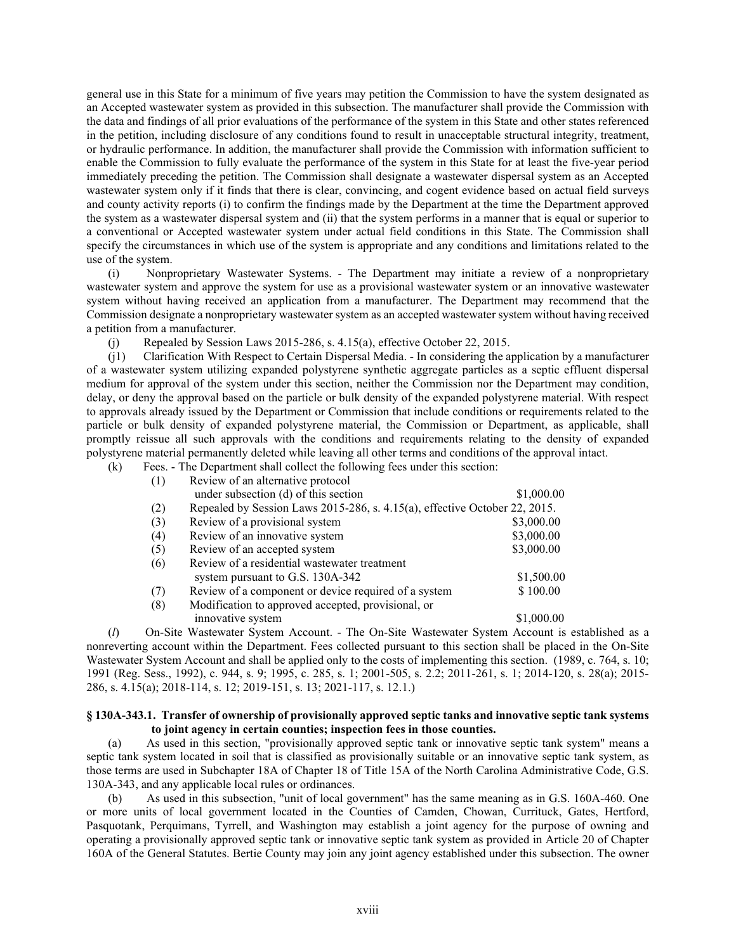general use in this State for a minimum of five years may petition the Commission to have the system designated as an Accepted wastewater system as provided in this subsection. The manufacturer shall provide the Commission with the data and findings of all prior evaluations of the performance of the system in this State and other states referenced in the petition, including disclosure of any conditions found to result in unacceptable structural integrity, treatment, or hydraulic performance. In addition, the manufacturer shall provide the Commission with information sufficient to enable the Commission to fully evaluate the performance of the system in this State for at least the five-year period immediately preceding the petition. The Commission shall designate a wastewater dispersal system as an Accepted wastewater system only if it finds that there is clear, convincing, and cogent evidence based on actual field surveys and county activity reports (i) to confirm the findings made by the Department at the time the Department approved the system as a wastewater dispersal system and (ii) that the system performs in a manner that is equal or superior to a conventional or Accepted wastewater system under actual field conditions in this State. The Commission shall specify the circumstances in which use of the system is appropriate and any conditions and limitations related to the use of the system.

(i) Nonproprietary Wastewater Systems. - The Department may initiate a review of a nonproprietary wastewater system and approve the system for use as a provisional wastewater system or an innovative wastewater system without having received an application from a manufacturer. The Department may recommend that the Commission designate a nonproprietary wastewater system as an accepted wastewater system without having received a petition from a manufacturer.

(j) Repealed by Session Laws 2015-286, s. 4.15(a), effective October 22, 2015.

(j1) Clarification With Respect to Certain Dispersal Media. - In considering the application by a manufacturer of a wastewater system utilizing expanded polystyrene synthetic aggregate particles as a septic effluent dispersal medium for approval of the system under this section, neither the Commission nor the Department may condition, delay, or deny the approval based on the particle or bulk density of the expanded polystyrene material. With respect to approvals already issued by the Department or Commission that include conditions or requirements related to the particle or bulk density of expanded polystyrene material, the Commission or Department, as applicable, shall promptly reissue all such approvals with the conditions and requirements relating to the density of expanded polystyrene material permanently deleted while leaving all other terms and conditions of the approval intact.

(k) Fees. - The Department shall collect the following fees under this section:

| (1) | Review of an alternative protocol                                          |            |
|-----|----------------------------------------------------------------------------|------------|
|     | under subsection (d) of this section                                       | \$1,000.00 |
| (2) | Repealed by Session Laws 2015-286, s. 4.15(a), effective October 22, 2015. |            |
| (3) | Review of a provisional system                                             | \$3,000.00 |
| (4) | Review of an innovative system                                             | \$3,000.00 |
| (5) | Review of an accepted system                                               | \$3,000.00 |
| (6) | Review of a residential wastewater treatment                               |            |
|     | system pursuant to G.S. 130A-342                                           | \$1,500.00 |
| (7) | Review of a component or device required of a system                       | \$100.00   |
| (8) | Modification to approved accepted, provisional, or                         |            |
|     | innovative system                                                          | \$1,000.00 |

(*l*) On-Site Wastewater System Account. - The On-Site Wastewater System Account is established as a nonreverting account within the Department. Fees collected pursuant to this section shall be placed in the On-Site Wastewater System Account and shall be applied only to the costs of implementing this section. (1989, c. 764, s. 10; 1991 (Reg. Sess., 1992), c. 944, s. 9; 1995, c. 285, s. 1; 2001-505, s. 2.2; 2011-261, s. 1; 2014-120, s. 28(a); 2015- 286, s. 4.15(a); 2018-114, s. 12; 2019-151, s. 13; 2021-117, s. 12.1.)

### **§ 130A-343.1. Transfer of ownership of provisionally approved septic tanks and innovative septic tank systems to joint agency in certain counties; inspection fees in those counties.**

(a) As used in this section, "provisionally approved septic tank or innovative septic tank system" means a septic tank system located in soil that is classified as provisionally suitable or an innovative septic tank system, as those terms are used in Subchapter 18A of Chapter 18 of Title 15A of the North Carolina Administrative Code, G.S. 130A-343, and any applicable local rules or ordinances.

(b) As used in this subsection, "unit of local government" has the same meaning as in G.S. 160A-460. One or more units of local government located in the Counties of Camden, Chowan, Currituck, Gates, Hertford, Pasquotank, Perquimans, Tyrrell, and Washington may establish a joint agency for the purpose of owning and operating a provisionally approved septic tank or innovative septic tank system as provided in Article 20 of Chapter 160A of the General Statutes. Bertie County may join any joint agency established under this subsection. The owner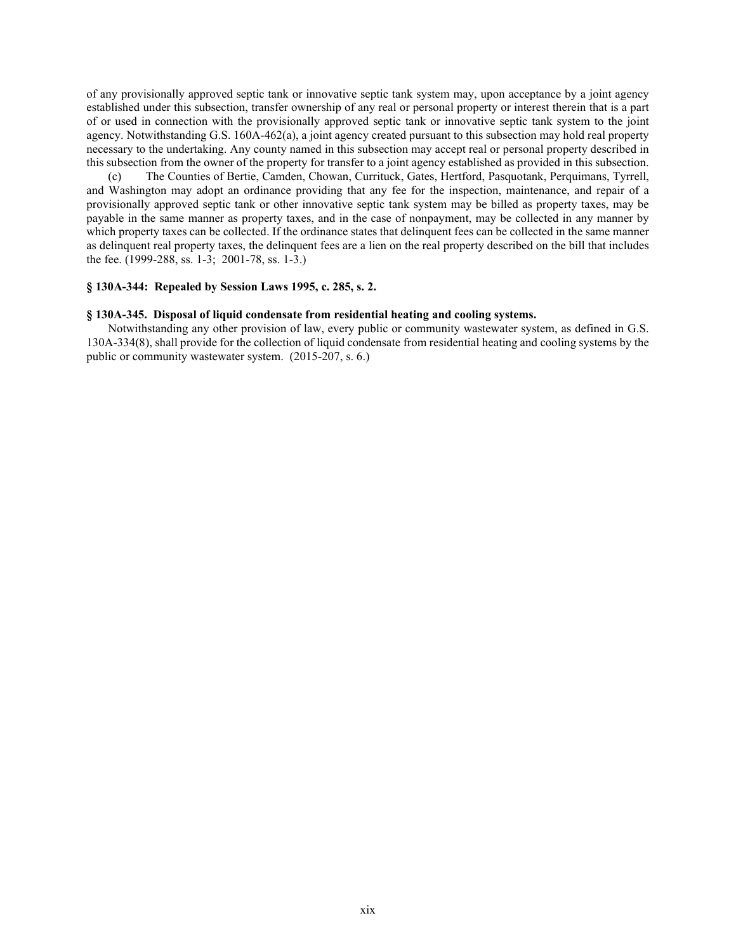of any provisionally approved septic tank or innovative septic tank system may, upon acceptance by a joint agency established under this subsection, transfer ownership of any real or personal property or interest therein that is a part of or used in connection with the provisionally approved septic tank or innovative septic tank system to the joint agency. Notwithstanding G.S. 160A-462(a), a joint agency created pursuant to this subsection may hold real property necessary to the undertaking. Any county named in this subsection may accept real or personal property described in this subsection from the owner of the property for transfer to a joint agency established as provided in this subsection.

(c) The Counties of Bertie, Camden, Chowan, Currituck, Gates, Hertford, Pasquotank, Perquimans, Tyrrell, and Washington may adopt an ordinance providing that any fee for the inspection, maintenance, and repair of a provisionally approved septic tank or other innovative septic tank system may be billed as property taxes, may be payable in the same manner as property taxes, and in the case of nonpayment, may be collected in any manner by which property taxes can be collected. If the ordinance states that delinquent fees can be collected in the same manner as delinquent real property taxes, the delinquent fees are a lien on the real property described on the bill that includes the fee. (1999-288, ss. 1-3; 2001-78, ss. 1-3.)

### **§ 130A-344: Repealed by Session Laws 1995, c. 285, s. 2.**

#### **§ 130A-345. Disposal of liquid condensate from residential heating and cooling systems.**

Notwithstanding any other provision of law, every public or community wastewater system, as defined in G.S. 130A-334(8), shall provide for the collection of liquid condensate from residential heating and cooling systems by the public or community wastewater system. (2015-207, s. 6.)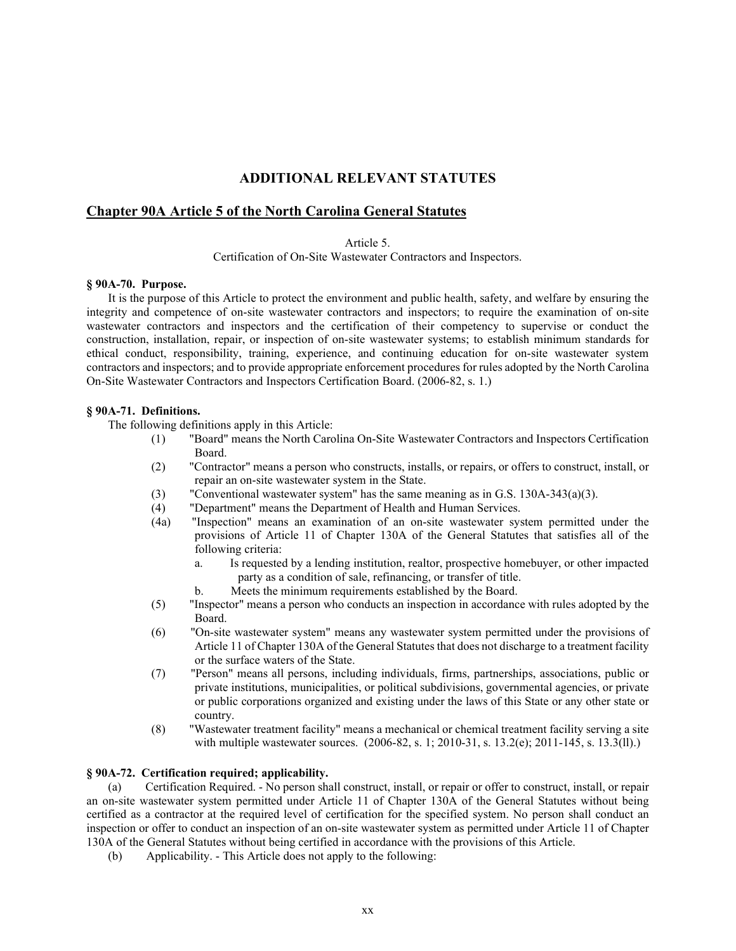# **ADDITIONAL RELEVANT STATUTES**

## **Chapter 90A Article 5 of the North Carolina General Statutes**

Article 5.

Certification of On-Site Wastewater Contractors and Inspectors.

#### **§ 90A-70. Purpose.**

It is the purpose of this Article to protect the environment and public health, safety, and welfare by ensuring the integrity and competence of on-site wastewater contractors and inspectors; to require the examination of on-site wastewater contractors and inspectors and the certification of their competency to supervise or conduct the construction, installation, repair, or inspection of on-site wastewater systems; to establish minimum standards for ethical conduct, responsibility, training, experience, and continuing education for on-site wastewater system contractors and inspectors; and to provide appropriate enforcement procedures for rules adopted by the North Carolina On-Site Wastewater Contractors and Inspectors Certification Board. (2006-82, s. 1.)

### **§ 90A-71. Definitions.**

The following definitions apply in this Article:

- (1) "Board" means the North Carolina On-Site Wastewater Contractors and Inspectors Certification Board.
- (2) "Contractor" means a person who constructs, installs, or repairs, or offers to construct, install, or repair an on-site wastewater system in the State.
- (3) "Conventional wastewater system" has the same meaning as in G.S. 130A-343(a)(3).
- (4) "Department" means the Department of Health and Human Services.
- (4a) "Inspection" means an examination of an on-site wastewater system permitted under the provisions of Article 11 of Chapter 130A of the General Statutes that satisfies all of the following criteria:
	- a. Is requested by a lending institution, realtor, prospective homebuyer, or other impacted party as a condition of sale, refinancing, or transfer of title.
	- b. Meets the minimum requirements established by the Board.
- (5) "Inspector" means a person who conducts an inspection in accordance with rules adopted by the Board.
- (6) "On-site wastewater system" means any wastewater system permitted under the provisions of Article 11 of Chapter 130A of the General Statutes that does not discharge to a treatment facility or the surface waters of the State.
- (7) "Person" means all persons, including individuals, firms, partnerships, associations, public or private institutions, municipalities, or political subdivisions, governmental agencies, or private or public corporations organized and existing under the laws of this State or any other state or country.
- (8) "Wastewater treatment facility" means a mechanical or chemical treatment facility serving a site with multiple wastewater sources. (2006-82, s. 1; 2010-31, s. 13.2(e); 2011-145, s. 13.3(ll).)

#### **§ 90A-72. Certification required; applicability.**

(a) Certification Required. - No person shall construct, install, or repair or offer to construct, install, or repair an on-site wastewater system permitted under Article 11 of Chapter 130A of the General Statutes without being certified as a contractor at the required level of certification for the specified system. No person shall conduct an inspection or offer to conduct an inspection of an on-site wastewater system as permitted under Article 11 of Chapter 130A of the General Statutes without being certified in accordance with the provisions of this Article.

(b) Applicability. - This Article does not apply to the following: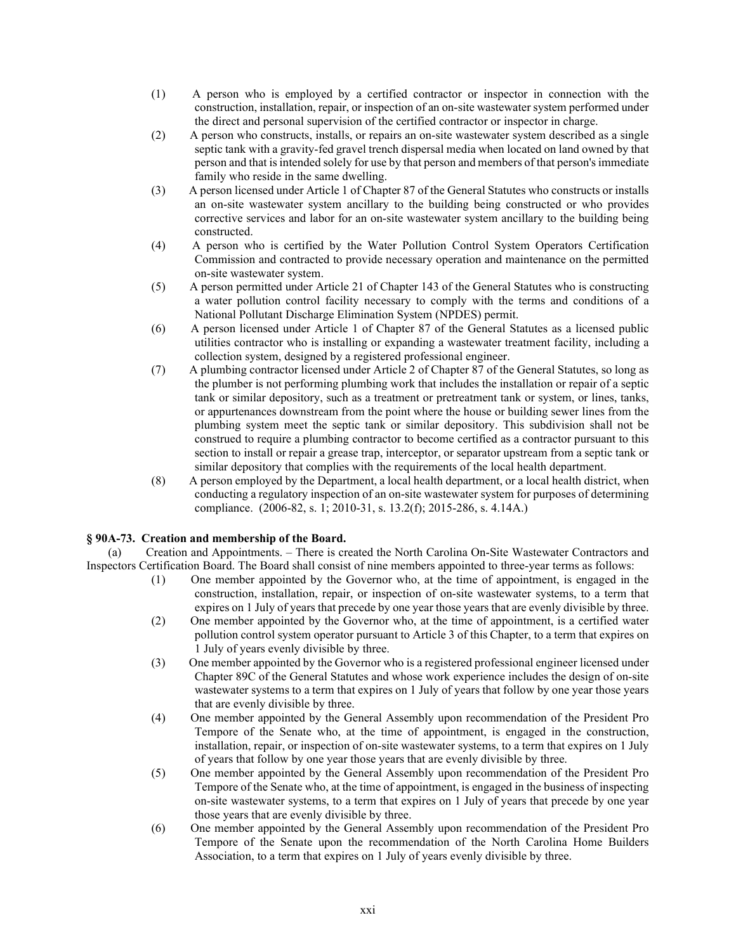- (1) A person who is employed by a certified contractor or inspector in connection with the construction, installation, repair, or inspection of an on-site wastewater system performed under the direct and personal supervision of the certified contractor or inspector in charge.
- (2) A person who constructs, installs, or repairs an on-site wastewater system described as a single septic tank with a gravity-fed gravel trench dispersal media when located on land owned by that person and that is intended solely for use by that person and members of that person's immediate family who reside in the same dwelling.
- (3) A person licensed under Article 1 of Chapter 87 of the General Statutes who constructs or installs an on-site wastewater system ancillary to the building being constructed or who provides corrective services and labor for an on-site wastewater system ancillary to the building being constructed.
- (4) A person who is certified by the Water Pollution Control System Operators Certification Commission and contracted to provide necessary operation and maintenance on the permitted on-site wastewater system.
- (5) A person permitted under Article 21 of Chapter 143 of the General Statutes who is constructing a water pollution control facility necessary to comply with the terms and conditions of a National Pollutant Discharge Elimination System (NPDES) permit.
- (6) A person licensed under Article 1 of Chapter 87 of the General Statutes as a licensed public utilities contractor who is installing or expanding a wastewater treatment facility, including a collection system, designed by a registered professional engineer.
- (7) A plumbing contractor licensed under Article 2 of Chapter 87 of the General Statutes, so long as the plumber is not performing plumbing work that includes the installation or repair of a septic tank or similar depository, such as a treatment or pretreatment tank or system, or lines, tanks, or appurtenances downstream from the point where the house or building sewer lines from the plumbing system meet the septic tank or similar depository. This subdivision shall not be construed to require a plumbing contractor to become certified as a contractor pursuant to this section to install or repair a grease trap, interceptor, or separator upstream from a septic tank or similar depository that complies with the requirements of the local health department.
- (8) A person employed by the Department, a local health department, or a local health district, when conducting a regulatory inspection of an on-site wastewater system for purposes of determining compliance. (2006-82, s. 1; 2010-31, s. 13.2(f); 2015-286, s. 4.14A.)

## **§ 90A-73. Creation and membership of the Board.**

(a) Creation and Appointments. – There is created the North Carolina On-Site Wastewater Contractors and Inspectors Certification Board. The Board shall consist of nine members appointed to three-year terms as follows:

- (1) One member appointed by the Governor who, at the time of appointment, is engaged in the construction, installation, repair, or inspection of on-site wastewater systems, to a term that expires on 1 July of years that precede by one year those years that are evenly divisible by three.
- (2) One member appointed by the Governor who, at the time of appointment, is a certified water pollution control system operator pursuant to Article 3 of this Chapter, to a term that expires on 1 July of years evenly divisible by three.
- (3) One member appointed by the Governor who is a registered professional engineer licensed under Chapter 89C of the General Statutes and whose work experience includes the design of on-site wastewater systems to a term that expires on 1 July of years that follow by one year those years that are evenly divisible by three.
- (4) One member appointed by the General Assembly upon recommendation of the President Pro Tempore of the Senate who, at the time of appointment, is engaged in the construction, installation, repair, or inspection of on-site wastewater systems, to a term that expires on 1 July of years that follow by one year those years that are evenly divisible by three.
- (5) One member appointed by the General Assembly upon recommendation of the President Pro Tempore of the Senate who, at the time of appointment, is engaged in the business of inspecting on-site wastewater systems, to a term that expires on 1 July of years that precede by one year those years that are evenly divisible by three.
- (6) One member appointed by the General Assembly upon recommendation of the President Pro Tempore of the Senate upon the recommendation of the North Carolina Home Builders Association, to a term that expires on 1 July of years evenly divisible by three.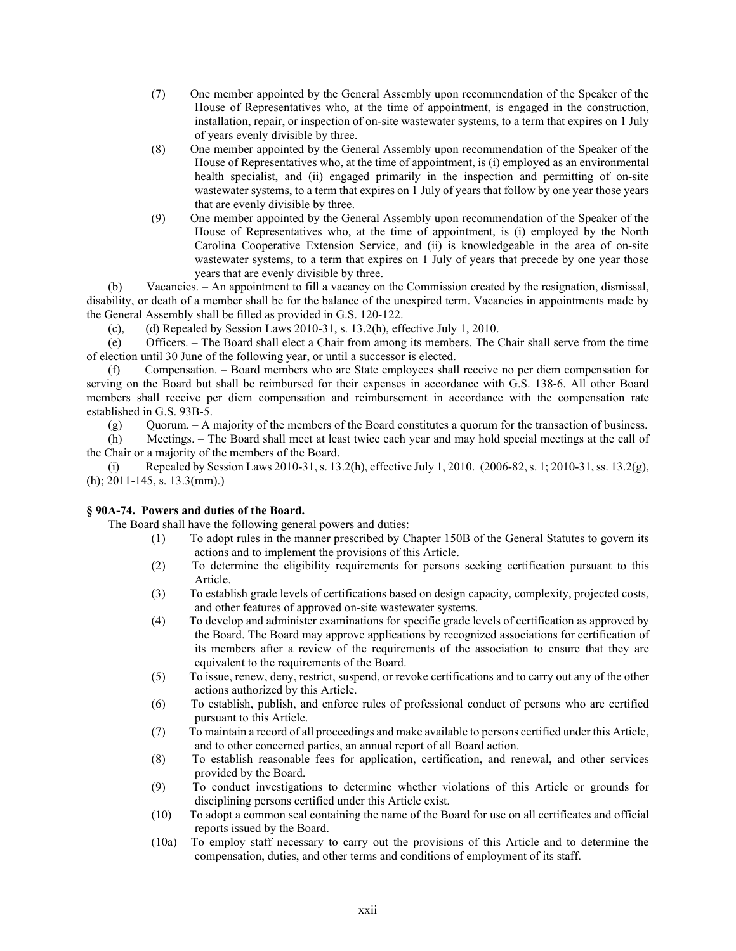- (7) One member appointed by the General Assembly upon recommendation of the Speaker of the House of Representatives who, at the time of appointment, is engaged in the construction, installation, repair, or inspection of on-site wastewater systems, to a term that expires on 1 July of years evenly divisible by three.
- (8) One member appointed by the General Assembly upon recommendation of the Speaker of the House of Representatives who, at the time of appointment, is (i) employed as an environmental health specialist, and (ii) engaged primarily in the inspection and permitting of on-site wastewater systems, to a term that expires on 1 July of years that follow by one year those years that are evenly divisible by three.
- (9) One member appointed by the General Assembly upon recommendation of the Speaker of the House of Representatives who, at the time of appointment, is (i) employed by the North Carolina Cooperative Extension Service, and (ii) is knowledgeable in the area of on-site wastewater systems, to a term that expires on 1 July of years that precede by one year those years that are evenly divisible by three.

(b) Vacancies. – An appointment to fill a vacancy on the Commission created by the resignation, dismissal, disability, or death of a member shall be for the balance of the unexpired term. Vacancies in appointments made by the General Assembly shall be filled as provided in G.S. 120-122.

(c), (d) Repealed by Session Laws 2010-31, s.  $13.2(h)$ , effective July 1, 2010.

(e) Officers. – The Board shall elect a Chair from among its members. The Chair shall serve from the time of election until 30 June of the following year, or until a successor is elected.

(f) Compensation. – Board members who are State employees shall receive no per diem compensation for serving on the Board but shall be reimbursed for their expenses in accordance with G.S. 138-6. All other Board members shall receive per diem compensation and reimbursement in accordance with the compensation rate established in G.S. 93B-5.

(g) Quorum. – A majority of the members of the Board constitutes a quorum for the transaction of business.

(h) Meetings. – The Board shall meet at least twice each year and may hold special meetings at the call of the Chair or a majority of the members of the Board.

(i) Repealed by Session Laws 2010-31, s. 13.2(h), effective July 1, 2010. (2006-82, s. 1; 2010-31, ss. 13.2(g), (h); 2011-145, s. 13.3(mm).)

## **§ 90A-74. Powers and duties of the Board.**

The Board shall have the following general powers and duties:

- (1) To adopt rules in the manner prescribed by Chapter 150B of the General Statutes to govern its actions and to implement the provisions of this Article.
- (2) To determine the eligibility requirements for persons seeking certification pursuant to this Article.
- (3) To establish grade levels of certifications based on design capacity, complexity, projected costs, and other features of approved on-site wastewater systems.
- (4) To develop and administer examinations for specific grade levels of certification as approved by the Board. The Board may approve applications by recognized associations for certification of its members after a review of the requirements of the association to ensure that they are equivalent to the requirements of the Board.
- (5) To issue, renew, deny, restrict, suspend, or revoke certifications and to carry out any of the other actions authorized by this Article.
- (6) To establish, publish, and enforce rules of professional conduct of persons who are certified pursuant to this Article.
- (7) To maintain a record of all proceedings and make available to persons certified under this Article, and to other concerned parties, an annual report of all Board action.
- (8) To establish reasonable fees for application, certification, and renewal, and other services provided by the Board.
- (9) To conduct investigations to determine whether violations of this Article or grounds for disciplining persons certified under this Article exist.
- (10) To adopt a common seal containing the name of the Board for use on all certificates and official reports issued by the Board.
- (10a) To employ staff necessary to carry out the provisions of this Article and to determine the compensation, duties, and other terms and conditions of employment of its staff.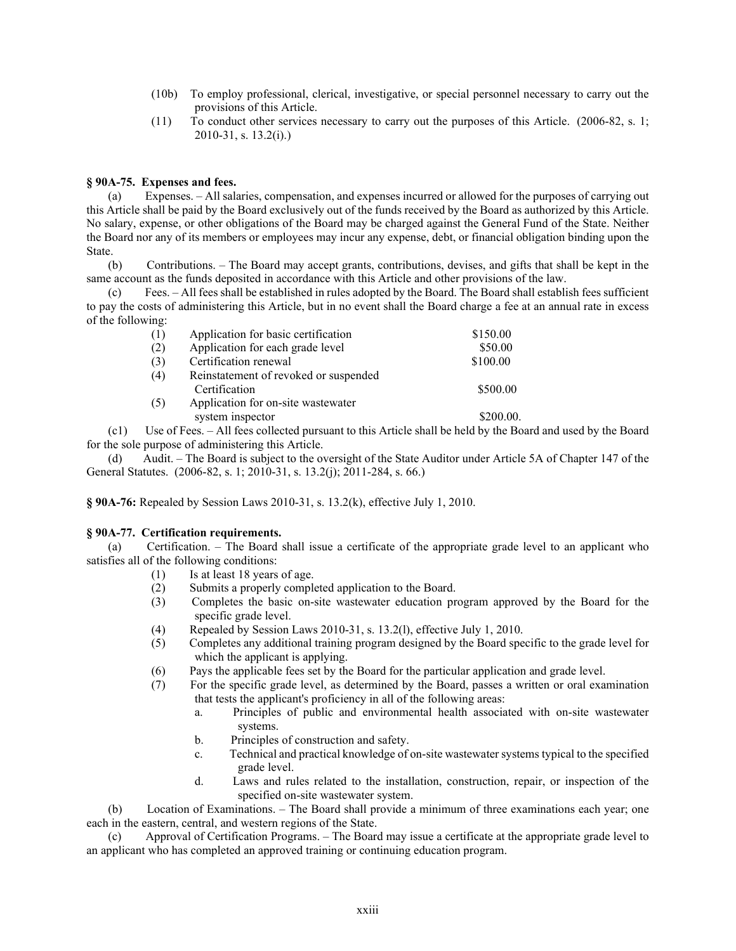- (10b) To employ professional, clerical, investigative, or special personnel necessary to carry out the provisions of this Article.
- (11) To conduct other services necessary to carry out the purposes of this Article. (2006-82, s. 1; 2010-31, s. 13.2(i).)

### **§ 90A-75. Expenses and fees.**

(a) Expenses. – All salaries, compensation, and expenses incurred or allowed for the purposes of carrying out this Article shall be paid by the Board exclusively out of the funds received by the Board as authorized by this Article. No salary, expense, or other obligations of the Board may be charged against the General Fund of the State. Neither the Board nor any of its members or employees may incur any expense, debt, or financial obligation binding upon the State.

(b) Contributions. – The Board may accept grants, contributions, devises, and gifts that shall be kept in the same account as the funds deposited in accordance with this Article and other provisions of the law.

(c) Fees. – All fees shall be established in rules adopted by the Board. The Board shall establish fees sufficient to pay the costs of administering this Article, but in no event shall the Board charge a fee at an annual rate in excess of the following:

| (1) | Application for basic certification                    | \$150.00  |
|-----|--------------------------------------------------------|-----------|
| (2) | Application for each grade level                       | \$50.00   |
| (3) | Certification renewal                                  | \$100.00  |
| (4) | Reinstatement of revoked or suspended<br>Certification | \$500.00  |
| (5) | Application for on-site wastewater<br>system inspector | \$200.00. |

(c1) Use of Fees. – All fees collected pursuant to this Article shall be held by the Board and used by the Board for the sole purpose of administering this Article.

(d) Audit. – The Board is subject to the oversight of the State Auditor under Article 5A of Chapter 147 of the General Statutes. (2006-82, s. 1; 2010-31, s. 13.2(j); 2011-284, s. 66.)

**§ 90A-76:** Repealed by Session Laws 2010-31, s. 13.2(k), effective July 1, 2010.

### **§ 90A-77. Certification requirements.**

(a) Certification. – The Board shall issue a certificate of the appropriate grade level to an applicant who satisfies all of the following conditions:

- (1) Is at least 18 years of age.<br>(2) Submits a properly comple
- Submits a properly completed application to the Board.
- (3) Completes the basic on-site wastewater education program approved by the Board for the specific grade level.
- (4) Repealed by Session Laws 2010-31, s. 13.2(l), effective July 1, 2010.
- (5) Completes any additional training program designed by the Board specific to the grade level for which the applicant is applying.
- (6) Pays the applicable fees set by the Board for the particular application and grade level.
- (7) For the specific grade level, as determined by the Board, passes a written or oral examination that tests the applicant's proficiency in all of the following areas:
	- a. Principles of public and environmental health associated with on-site wastewater systems.
	- b. Principles of construction and safety.
	- c. Technical and practical knowledge of on-site wastewater systems typical to the specified grade level.
	- d. Laws and rules related to the installation, construction, repair, or inspection of the specified on-site wastewater system.

(b) Location of Examinations. – The Board shall provide a minimum of three examinations each year; one each in the eastern, central, and western regions of the State.

(c) Approval of Certification Programs. – The Board may issue a certificate at the appropriate grade level to an applicant who has completed an approved training or continuing education program.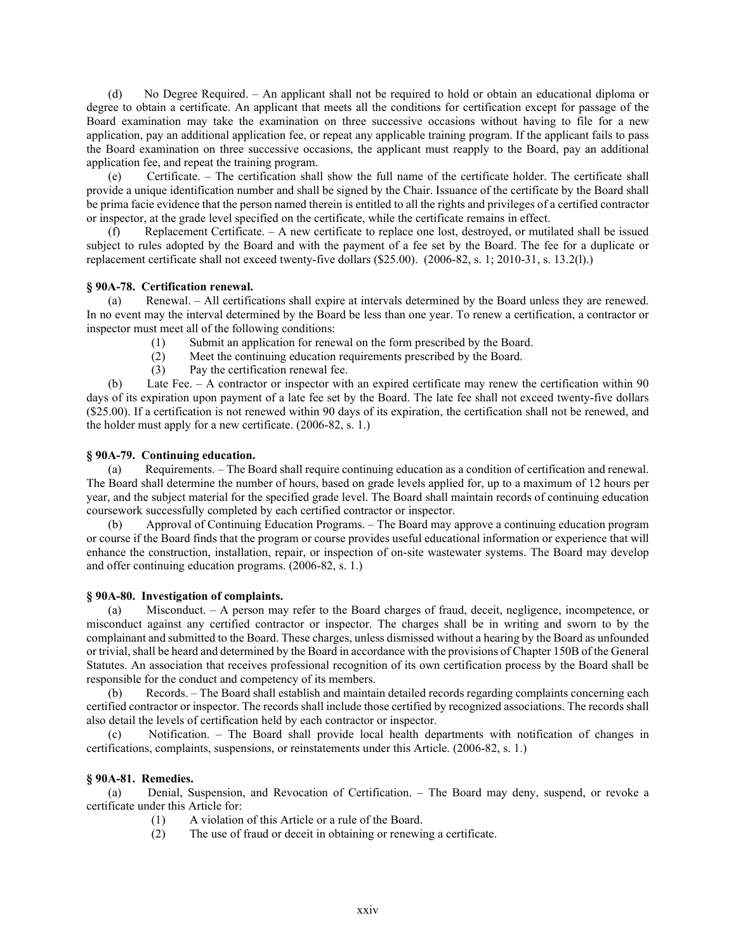(d) No Degree Required. – An applicant shall not be required to hold or obtain an educational diploma or degree to obtain a certificate. An applicant that meets all the conditions for certification except for passage of the Board examination may take the examination on three successive occasions without having to file for a new application, pay an additional application fee, or repeat any applicable training program. If the applicant fails to pass the Board examination on three successive occasions, the applicant must reapply to the Board, pay an additional application fee, and repeat the training program.

(e) Certificate. – The certification shall show the full name of the certificate holder. The certificate shall provide a unique identification number and shall be signed by the Chair. Issuance of the certificate by the Board shall be prima facie evidence that the person named therein is entitled to all the rights and privileges of a certified contractor or inspector, at the grade level specified on the certificate, while the certificate remains in effect.

(f) Replacement Certificate. – A new certificate to replace one lost, destroyed, or mutilated shall be issued subject to rules adopted by the Board and with the payment of a fee set by the Board. The fee for a duplicate or replacement certificate shall not exceed twenty-five dollars (\$25.00). (2006-82, s. 1; 2010-31, s. 13.2(l).)

### **§ 90A-78. Certification renewal.**

(a) Renewal. – All certifications shall expire at intervals determined by the Board unless they are renewed. In no event may the interval determined by the Board be less than one year. To renew a certification, a contractor or inspector must meet all of the following conditions:

(1) Submit an application for renewal on the form prescribed by the Board.

- (2) Meet the continuing education requirements prescribed by the Board.
- (3) Pay the certification renewal fee.

(b) Late Fee. – A contractor or inspector with an expired certificate may renew the certification within 90 days of its expiration upon payment of a late fee set by the Board. The late fee shall not exceed twenty-five dollars (\$25.00). If a certification is not renewed within 90 days of its expiration, the certification shall not be renewed, and the holder must apply for a new certificate. (2006-82, s. 1.)

### **§ 90A-79. Continuing education.**

(a) Requirements. – The Board shall require continuing education as a condition of certification and renewal. The Board shall determine the number of hours, based on grade levels applied for, up to a maximum of 12 hours per year, and the subject material for the specified grade level. The Board shall maintain records of continuing education coursework successfully completed by each certified contractor or inspector.

(b) Approval of Continuing Education Programs. – The Board may approve a continuing education program or course if the Board finds that the program or course provides useful educational information or experience that will enhance the construction, installation, repair, or inspection of on-site wastewater systems. The Board may develop and offer continuing education programs. (2006-82, s. 1.)

### **§ 90A-80. Investigation of complaints.**

(a) Misconduct. – A person may refer to the Board charges of fraud, deceit, negligence, incompetence, or misconduct against any certified contractor or inspector. The charges shall be in writing and sworn to by the complainant and submitted to the Board. These charges, unless dismissed without a hearing by the Board as unfounded or trivial, shall be heard and determined by the Board in accordance with the provisions of Chapter 150B of the General Statutes. An association that receives professional recognition of its own certification process by the Board shall be responsible for the conduct and competency of its members.

(b) Records. – The Board shall establish and maintain detailed records regarding complaints concerning each certified contractor or inspector. The records shall include those certified by recognized associations. The records shall also detail the levels of certification held by each contractor or inspector.

(c) Notification. – The Board shall provide local health departments with notification of changes in certifications, complaints, suspensions, or reinstatements under this Article. (2006-82, s. 1.)

## **§ 90A-81. Remedies.**

(a) Denial, Suspension, and Revocation of Certification. – The Board may deny, suspend, or revoke a certificate under this Article for:

- (1) A violation of this Article or a rule of the Board.
- (2) The use of fraud or deceit in obtaining or renewing a certificate.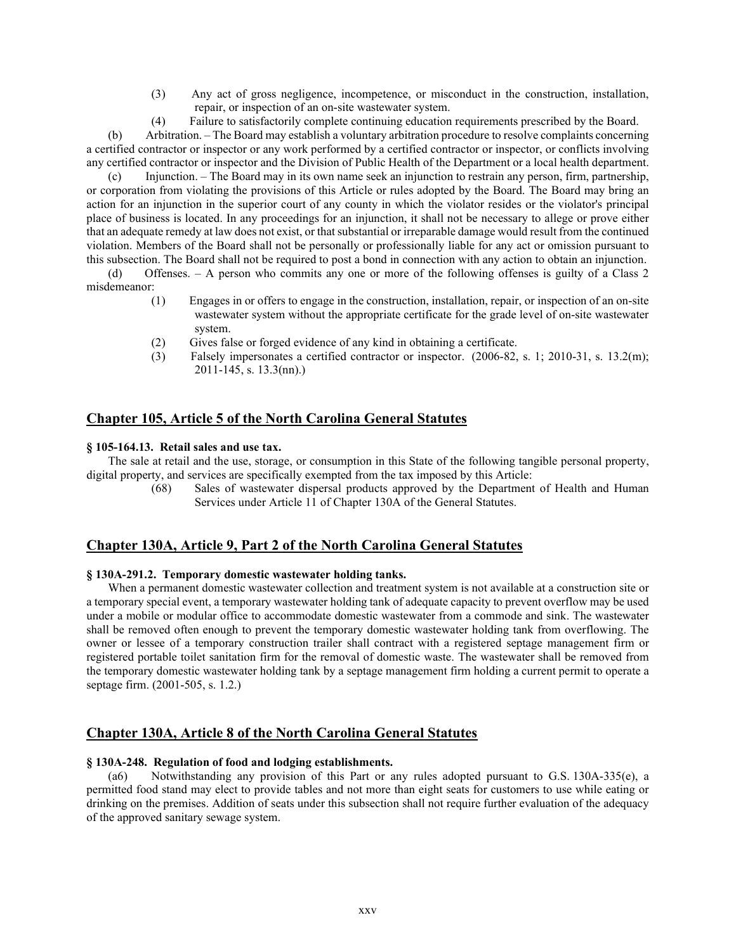- (3) Any act of gross negligence, incompetence, or misconduct in the construction, installation, repair, or inspection of an on-site wastewater system.
- (4) Failure to satisfactorily complete continuing education requirements prescribed by the Board.

(b) Arbitration. – The Board may establish a voluntary arbitration procedure to resolve complaints concerning a certified contractor or inspector or any work performed by a certified contractor or inspector, or conflicts involving any certified contractor or inspector and the Division of Public Health of the Department or a local health department.

(c) Injunction. – The Board may in its own name seek an injunction to restrain any person, firm, partnership, or corporation from violating the provisions of this Article or rules adopted by the Board. The Board may bring an action for an injunction in the superior court of any county in which the violator resides or the violator's principal place of business is located. In any proceedings for an injunction, it shall not be necessary to allege or prove either that an adequate remedy at law does not exist, or that substantial or irreparable damage would result from the continued violation. Members of the Board shall not be personally or professionally liable for any act or omission pursuant to this subsection. The Board shall not be required to post a bond in connection with any action to obtain an injunction.

(d) Offenses. – A person who commits any one or more of the following offenses is guilty of a Class 2 misdemeanor:

- (1) Engages in or offers to engage in the construction, installation, repair, or inspection of an on-site wastewater system without the appropriate certificate for the grade level of on-site wastewater system.
- (2) Gives false or forged evidence of any kind in obtaining a certificate.
- (3) Falsely impersonates a certified contractor or inspector. (2006-82, s. 1; 2010-31, s. 13.2(m); 2011-145, s. 13.3(nn).)

# **Chapter 105, Article 5 of the North Carolina General Statutes**

### **§ 105-164.13. Retail sales and use tax.**

The sale at retail and the use, storage, or consumption in this State of the following tangible personal property, digital property, and services are specifically exempted from the tax imposed by this Article:

> (68) Sales of wastewater dispersal products approved by the Department of Health and Human Services under Article 11 of Chapter 130A of the General Statutes.

## **Chapter 130A, Article 9, Part 2 of the North Carolina General Statutes**

### **§ 130A-291.2. Temporary domestic wastewater holding tanks.**

When a permanent domestic wastewater collection and treatment system is not available at a construction site or a temporary special event, a temporary wastewater holding tank of adequate capacity to prevent overflow may be used under a mobile or modular office to accommodate domestic wastewater from a commode and sink. The wastewater shall be removed often enough to prevent the temporary domestic wastewater holding tank from overflowing. The owner or lessee of a temporary construction trailer shall contract with a registered septage management firm or registered portable toilet sanitation firm for the removal of domestic waste. The wastewater shall be removed from the temporary domestic wastewater holding tank by a septage management firm holding a current permit to operate a septage firm. (2001-505, s. 1.2.)

# **Chapter 130A, Article 8 of the North Carolina General Statutes**

### **§ 130A-248. Regulation of food and lodging establishments.**

(a6) Notwithstanding any provision of this Part or any rules adopted pursuant to G.S. 130A-335(e), a permitted food stand may elect to provide tables and not more than eight seats for customers to use while eating or drinking on the premises. Addition of seats under this subsection shall not require further evaluation of the adequacy of the approved sanitary sewage system.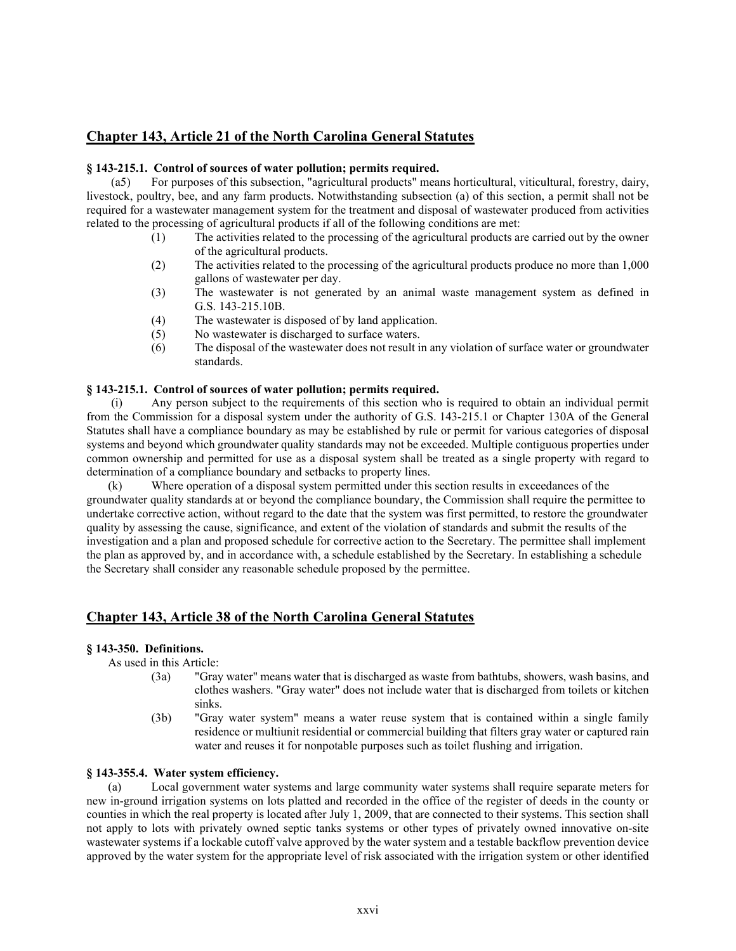# **Chapter 143, Article 21 of the North Carolina General Statutes**

### **§ 143-215.1. Control of sources of water pollution; permits required.**

(a5) For purposes of this subsection, "agricultural products" means horticultural, viticultural, forestry, dairy, livestock, poultry, bee, and any farm products. Notwithstanding subsection (a) of this section, a permit shall not be required for a wastewater management system for the treatment and disposal of wastewater produced from activities related to the processing of agricultural products if all of the following conditions are met:

- (1) The activities related to the processing of the agricultural products are carried out by the owner of the agricultural products.
- (2) The activities related to the processing of the agricultural products produce no more than 1,000 gallons of wastewater per day.
- (3) The wastewater is not generated by an animal waste management system as defined in G.S. 143-215.10B.
- (4) The wastewater is disposed of by land application.
- (5) No wastewater is discharged to surface waters.
- (6) The disposal of the wastewater does not result in any violation of surface water or groundwater standards.

## **§ 143-215.1. Control of sources of water pollution; permits required.**

(i) Any person subject to the requirements of this section who is required to obtain an individual permit from the Commission for a disposal system under the authority of G.S. 143-215.1 or Chapter 130A of the General Statutes shall have a compliance boundary as may be established by rule or permit for various categories of disposal systems and beyond which groundwater quality standards may not be exceeded. Multiple contiguous properties under common ownership and permitted for use as a disposal system shall be treated as a single property with regard to determination of a compliance boundary and setbacks to property lines.

(k) Where operation of a disposal system permitted under this section results in exceedances of the groundwater quality standards at or beyond the compliance boundary, the Commission shall require the permittee to undertake corrective action, without regard to the date that the system was first permitted, to restore the groundwater quality by assessing the cause, significance, and extent of the violation of standards and submit the results of the investigation and a plan and proposed schedule for corrective action to the Secretary. The permittee shall implement the plan as approved by, and in accordance with, a schedule established by the Secretary. In establishing a schedule the Secretary shall consider any reasonable schedule proposed by the permittee.

# **Chapter 143, Article 38 of the North Carolina General Statutes**

### **§ 143-350. Definitions.**

As used in this Article:

- (3a) "Gray water" means water that is discharged as waste from bathtubs, showers, wash basins, and clothes washers. "Gray water" does not include water that is discharged from toilets or kitchen sinks.
- (3b) "Gray water system" means a water reuse system that is contained within a single family residence or multiunit residential or commercial building that filters gray water or captured rain water and reuses it for nonpotable purposes such as toilet flushing and irrigation.

### **§ 143-355.4. Water system efficiency.**

(a) Local government water systems and large community water systems shall require separate meters for new in-ground irrigation systems on lots platted and recorded in the office of the register of deeds in the county or counties in which the real property is located after July 1, 2009, that are connected to their systems. This section shall not apply to lots with privately owned septic tanks systems or other types of privately owned innovative on-site wastewater systems if a lockable cutoff valve approved by the water system and a testable backflow prevention device approved by the water system for the appropriate level of risk associated with the irrigation system or other identified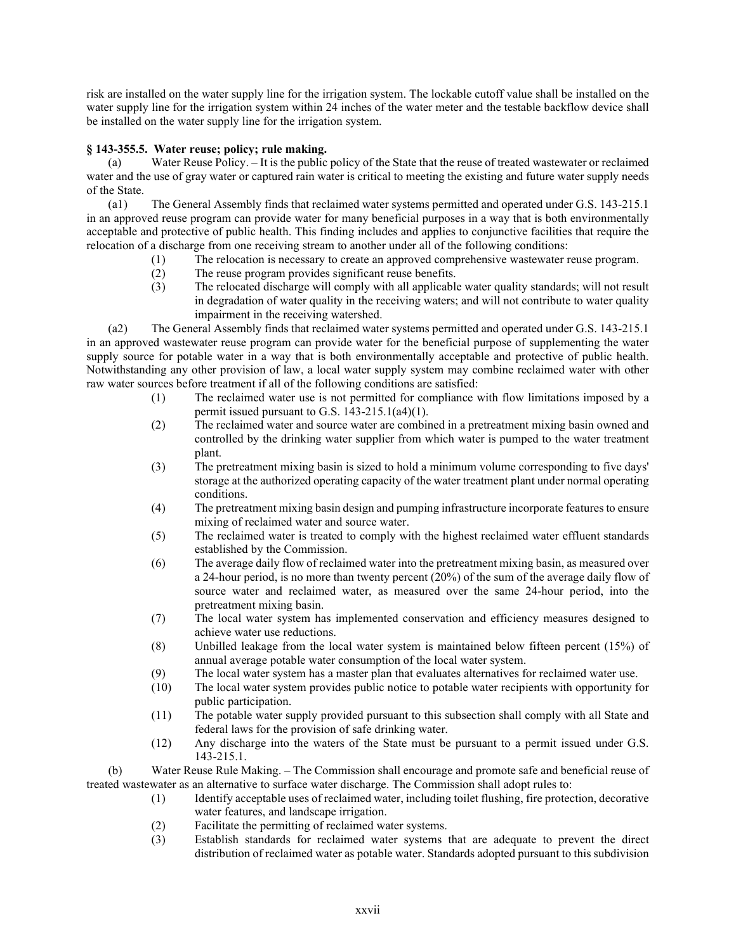risk are installed on the water supply line for the irrigation system. The lockable cutoff value shall be installed on the water supply line for the irrigation system within 24 inches of the water meter and the testable backflow device shall be installed on the water supply line for the irrigation system.

# **§ 143-355.5. Water reuse; policy; rule making.**

(a) Water Reuse Policy. – It is the public policy of the State that the reuse of treated wastewater or reclaimed water and the use of gray water or captured rain water is critical to meeting the existing and future water supply needs of the State.

(a1) The General Assembly finds that reclaimed water systems permitted and operated under G.S. 143-215.1 in an approved reuse program can provide water for many beneficial purposes in a way that is both environmentally acceptable and protective of public health. This finding includes and applies to conjunctive facilities that require the relocation of a discharge from one receiving stream to another under all of the following conditions:

- (1) The relocation is necessary to create an approved comprehensive wastewater reuse program.
- (2) The reuse program provides significant reuse benefits.
- (3) The relocated discharge will comply with all applicable water quality standards; will not result in degradation of water quality in the receiving waters; and will not contribute to water quality impairment in the receiving watershed.

(a2) The General Assembly finds that reclaimed water systems permitted and operated under G.S. 143-215.1 in an approved wastewater reuse program can provide water for the beneficial purpose of supplementing the water supply source for potable water in a way that is both environmentally acceptable and protective of public health. Notwithstanding any other provision of law, a local water supply system may combine reclaimed water with other raw water sources before treatment if all of the following conditions are satisfied:

- (1) The reclaimed water use is not permitted for compliance with flow limitations imposed by a permit issued pursuant to G.S. 143-215.1(a4)(1).
- (2) The reclaimed water and source water are combined in a pretreatment mixing basin owned and controlled by the drinking water supplier from which water is pumped to the water treatment plant.
- (3) The pretreatment mixing basin is sized to hold a minimum volume corresponding to five days' storage at the authorized operating capacity of the water treatment plant under normal operating conditions.
- (4) The pretreatment mixing basin design and pumping infrastructure incorporate features to ensure mixing of reclaimed water and source water.
- (5) The reclaimed water is treated to comply with the highest reclaimed water effluent standards established by the Commission.
- (6) The average daily flow of reclaimed water into the pretreatment mixing basin, as measured over a 24-hour period, is no more than twenty percent (20%) of the sum of the average daily flow of source water and reclaimed water, as measured over the same 24-hour period, into the pretreatment mixing basin.
- (7) The local water system has implemented conservation and efficiency measures designed to achieve water use reductions.
- (8) Unbilled leakage from the local water system is maintained below fifteen percent (15%) of annual average potable water consumption of the local water system.
- (9) The local water system has a master plan that evaluates alternatives for reclaimed water use.
- (10) The local water system provides public notice to potable water recipients with opportunity for public participation.
- (11) The potable water supply provided pursuant to this subsection shall comply with all State and federal laws for the provision of safe drinking water.
- (12) Any discharge into the waters of the State must be pursuant to a permit issued under G.S. 143-215.1.

(b) Water Reuse Rule Making. – The Commission shall encourage and promote safe and beneficial reuse of treated wastewater as an alternative to surface water discharge. The Commission shall adopt rules to:

- (1) Identify acceptable uses of reclaimed water, including toilet flushing, fire protection, decorative water features, and landscape irrigation.
- (2) Facilitate the permitting of reclaimed water systems.
- (3) Establish standards for reclaimed water systems that are adequate to prevent the direct distribution of reclaimed water as potable water. Standards adopted pursuant to this subdivision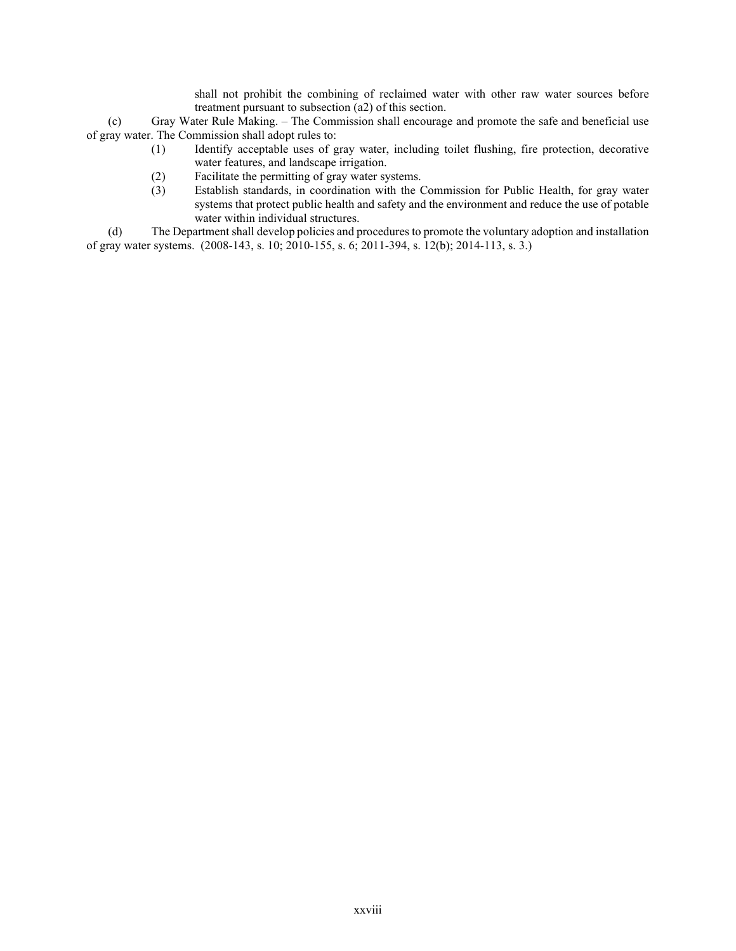shall not prohibit the combining of reclaimed water with other raw water sources before treatment pursuant to subsection (a2) of this section.

(c) Gray Water Rule Making. – The Commission shall encourage and promote the safe and beneficial use of gray water. The Commission shall adopt rules to:

- (1) Identify acceptable uses of gray water, including toilet flushing, fire protection, decorative water features, and landscape irrigation.
- (2) Facilitate the permitting of gray water systems.
- (3) Establish standards, in coordination with the Commission for Public Health, for gray water systems that protect public health and safety and the environment and reduce the use of potable water within individual structures.

(d) The Department shall develop policies and procedures to promote the voluntary adoption and installation of gray water systems. (2008-143, s. 10; 2010-155, s. 6; 2011-394, s. 12(b); 2014-113, s. 3.)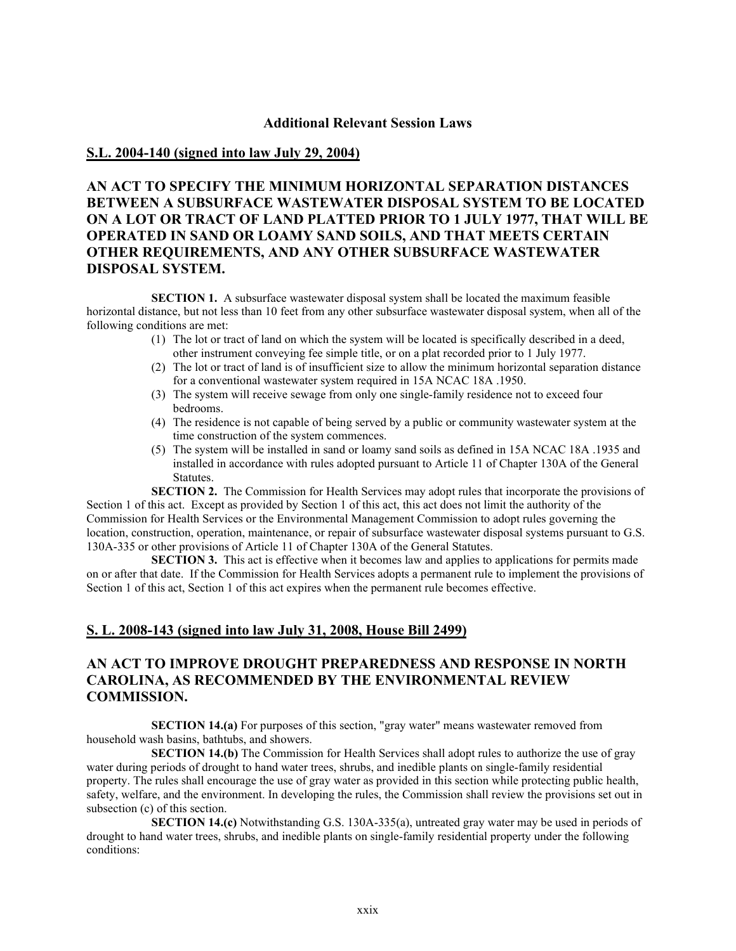## **Additional Relevant Session Laws**

# **S.L. 2004-140 (signed into law July 29, 2004)**

# **AN ACT TO SPECIFY THE MINIMUM HORIZONTAL SEPARATION DISTANCES BETWEEN A SUBSURFACE WASTEWATER DISPOSAL SYSTEM TO BE LOCATED ON A LOT OR TRACT OF LAND PLATTED PRIOR TO 1 JULY 1977, THAT WILL BE OPERATED IN SAND OR LOAMY SAND SOILS, AND THAT MEETS CERTAIN OTHER REQUIREMENTS, AND ANY OTHER SUBSURFACE WASTEWATER DISPOSAL SYSTEM.**

**SECTION 1.** A subsurface wastewater disposal system shall be located the maximum feasible horizontal distance, but not less than 10 feet from any other subsurface wastewater disposal system, when all of the following conditions are met:

- (1) The lot or tract of land on which the system will be located is specifically described in a deed, other instrument conveying fee simple title, or on a plat recorded prior to 1 July 1977.
- (2) The lot or tract of land is of insufficient size to allow the minimum horizontal separation distance for a conventional wastewater system required in 15A NCAC 18A .1950.
- (3) The system will receive sewage from only one single-family residence not to exceed four bedrooms.
- (4) The residence is not capable of being served by a public or community wastewater system at the time construction of the system commences.
- (5) The system will be installed in sand or loamy sand soils as defined in 15A NCAC 18A .1935 and installed in accordance with rules adopted pursuant to Article 11 of Chapter 130A of the General Statutes.

**SECTION 2.** The Commission for Health Services may adopt rules that incorporate the provisions of Section 1 of this act. Except as provided by Section 1 of this act, this act does not limit the authority of the Commission for Health Services or the Environmental Management Commission to adopt rules governing the location, construction, operation, maintenance, or repair of subsurface wastewater disposal systems pursuant to G.S. 130A-335 or other provisions of Article 11 of Chapter 130A of the General Statutes.

**SECTION 3.** This act is effective when it becomes law and applies to applications for permits made on or after that date. If the Commission for Health Services adopts a permanent rule to implement the provisions of Section 1 of this act, Section 1 of this act expires when the permanent rule becomes effective.

# **S. L. 2008-143 (signed into law July 31, 2008, House Bill 2499)**

# **AN ACT TO IMPROVE DROUGHT PREPAREDNESS AND RESPONSE IN NORTH CAROLINA, AS RECOMMENDED BY THE ENVIRONMENTAL REVIEW COMMISSION.**

**SECTION 14.(a)** For purposes of this section, "gray water" means wastewater removed from household wash basins, bathtubs, and showers.

**SECTION 14.(b)** The Commission for Health Services shall adopt rules to authorize the use of gray water during periods of drought to hand water trees, shrubs, and inedible plants on single-family residential property. The rules shall encourage the use of gray water as provided in this section while protecting public health, safety, welfare, and the environment. In developing the rules, the Commission shall review the provisions set out in subsection (c) of this section.

**SECTION 14.(c)** Notwithstanding G.S. 130A-335(a), untreated gray water may be used in periods of drought to hand water trees, shrubs, and inedible plants on single-family residential property under the following conditions: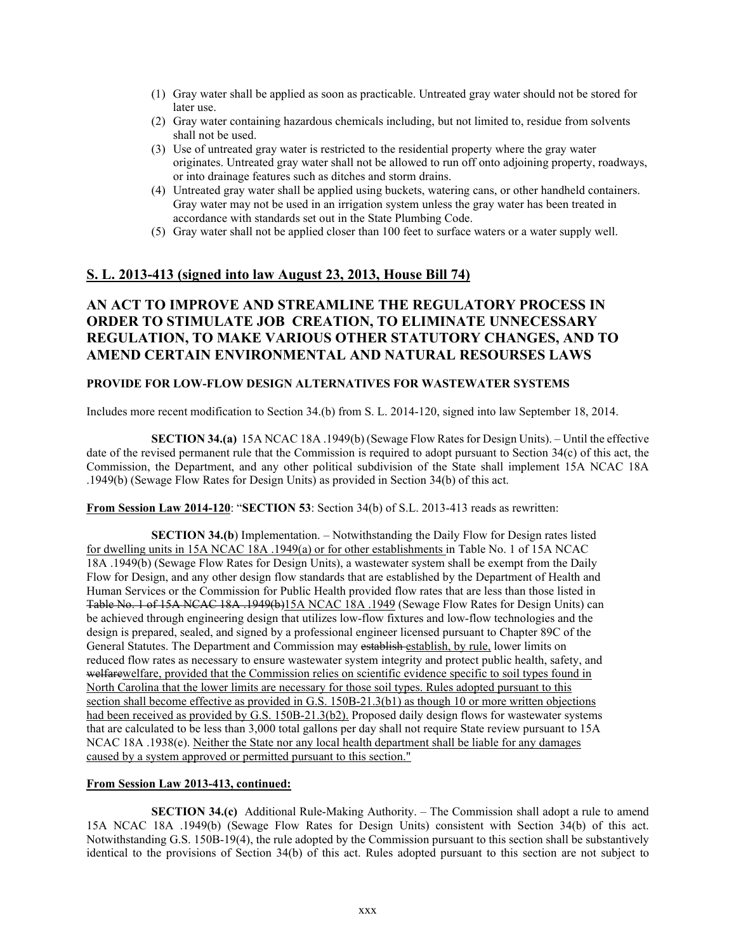- (1) Gray water shall be applied as soon as practicable. Untreated gray water should not be stored for later use.
- (2) Gray water containing hazardous chemicals including, but not limited to, residue from solvents shall not be used.
- (3) Use of untreated gray water is restricted to the residential property where the gray water originates. Untreated gray water shall not be allowed to run off onto adjoining property, roadways, or into drainage features such as ditches and storm drains.
- (4) Untreated gray water shall be applied using buckets, watering cans, or other handheld containers. Gray water may not be used in an irrigation system unless the gray water has been treated in accordance with standards set out in the State Plumbing Code.
- (5) Gray water shall not be applied closer than 100 feet to surface waters or a water supply well.

# **S. L. 2013-413 (signed into law August 23, 2013, House Bill 74)**

# **AN ACT TO IMPROVE AND STREAMLINE THE REGULATORY PROCESS IN ORDER TO STIMULATE JOB CREATION, TO ELIMINATE UNNECESSARY REGULATION, TO MAKE VARIOUS OTHER STATUTORY CHANGES, AND TO AMEND CERTAIN ENVIRONMENTAL AND NATURAL RESOURSES LAWS**

### **PROVIDE FOR LOW-FLOW DESIGN ALTERNATIVES FOR WASTEWATER SYSTEMS**

Includes more recent modification to Section 34.(b) from S. L. 2014-120, signed into law September 18, 2014.

**SECTION 34.(a)** 15A NCAC 18A .1949(b) (Sewage Flow Rates for Design Units). – Until the effective date of the revised permanent rule that the Commission is required to adopt pursuant to Section 34(c) of this act, the Commission, the Department, and any other political subdivision of the State shall implement 15A NCAC 18A .1949(b) (Sewage Flow Rates for Design Units) as provided in Section 34(b) of this act.

**From Session Law 2014-120**: "**SECTION 53**: Section 34(b) of S.L. 2013-413 reads as rewritten:

**SECTION 34.(b**) Implementation. – Notwithstanding the Daily Flow for Design rates listed for dwelling units in 15A NCAC 18A .1949(a) or for other establishments in Table No. 1 of 15A NCAC 18A .1949(b) (Sewage Flow Rates for Design Units), a wastewater system shall be exempt from the Daily Flow for Design, and any other design flow standards that are established by the Department of Health and Human Services or the Commission for Public Health provided flow rates that are less than those listed in Table No. 1 of 15A NCAC 18A .1949(b)15A NCAC 18A .1949 (Sewage Flow Rates for Design Units) can be achieved through engineering design that utilizes low-flow fixtures and low-flow technologies and the design is prepared, sealed, and signed by a professional engineer licensed pursuant to Chapter 89C of the General Statutes. The Department and Commission may establish-establish, by rule, lower limits on reduced flow rates as necessary to ensure wastewater system integrity and protect public health, safety, and welfarewelfare, provided that the Commission relies on scientific evidence specific to soil types found in North Carolina that the lower limits are necessary for those soil types. Rules adopted pursuant to this section shall become effective as provided in G.S. 150B-21.3(b1) as though 10 or more written objections had been received as provided by G.S. 150B-21.3(b2). Proposed daily design flows for wastewater systems that are calculated to be less than 3,000 total gallons per day shall not require State review pursuant to 15A NCAC 18A .1938(e). Neither the State nor any local health department shall be liable for any damages caused by a system approved or permitted pursuant to this section."

# **From Session Law 2013-413, continued:**

**SECTION 34.(c)** Additional Rule-Making Authority. – The Commission shall adopt a rule to amend 15A NCAC 18A .1949(b) (Sewage Flow Rates for Design Units) consistent with Section 34(b) of this act. Notwithstanding G.S. 150B-19(4), the rule adopted by the Commission pursuant to this section shall be substantively identical to the provisions of Section 34(b) of this act. Rules adopted pursuant to this section are not subject to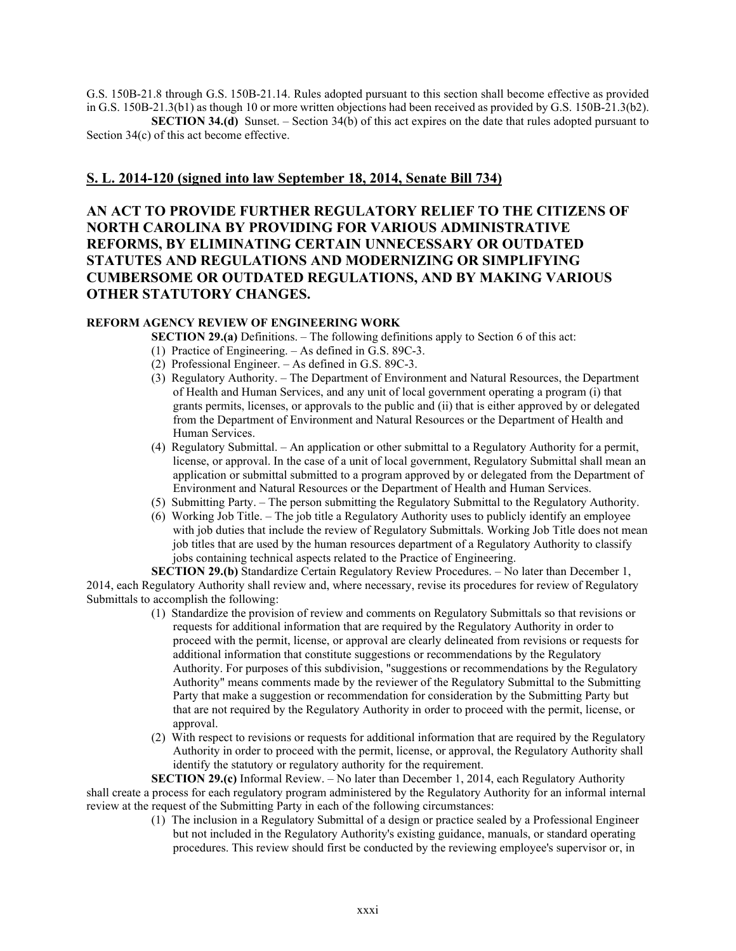G.S. 150B-21.8 through G.S. 150B-21.14. Rules adopted pursuant to this section shall become effective as provided in G.S. 150B-21.3(b1) as though 10 or more written objections had been received as provided by G.S. 150B-21.3(b2).

**SECTION 34.(d)** Sunset. – Section 34(b) of this act expires on the date that rules adopted pursuant to Section 34(c) of this act become effective.

# **S. L. 2014-120 (signed into law September 18, 2014, Senate Bill 734)**

**AN ACT TO PROVIDE FURTHER REGULATORY RELIEF TO THE CITIZENS OF NORTH CAROLINA BY PROVIDING FOR VARIOUS ADMINISTRATIVE REFORMS, BY ELIMINATING CERTAIN UNNECESSARY OR OUTDATED STATUTES AND REGULATIONS AND MODERNIZING OR SIMPLIFYING CUMBERSOME OR OUTDATED REGULATIONS, AND BY MAKING VARIOUS OTHER STATUTORY CHANGES.** 

# **REFORM AGENCY REVIEW OF ENGINEERING WORK**

**SECTION 29.(a)** Definitions. – The following definitions apply to Section 6 of this act:

- (1) Practice of Engineering. As defined in G.S. 89C-3.
- (2) Professional Engineer. As defined in G.S. 89C-3.
- (3) Regulatory Authority. The Department of Environment and Natural Resources, the Department of Health and Human Services, and any unit of local government operating a program (i) that grants permits, licenses, or approvals to the public and (ii) that is either approved by or delegated from the Department of Environment and Natural Resources or the Department of Health and Human Services.
- (4) Regulatory Submittal. An application or other submittal to a Regulatory Authority for a permit, license, or approval. In the case of a unit of local government, Regulatory Submittal shall mean an application or submittal submitted to a program approved by or delegated from the Department of Environment and Natural Resources or the Department of Health and Human Services.
- (5) Submitting Party. The person submitting the Regulatory Submittal to the Regulatory Authority.
- (6) Working Job Title. The job title a Regulatory Authority uses to publicly identify an employee with job duties that include the review of Regulatory Submittals. Working Job Title does not mean job titles that are used by the human resources department of a Regulatory Authority to classify jobs containing technical aspects related to the Practice of Engineering.

**SECTION 29.(b)** Standardize Certain Regulatory Review Procedures. – No later than December 1, 2014, each Regulatory Authority shall review and, where necessary, revise its procedures for review of Regulatory Submittals to accomplish the following:

- (1) Standardize the provision of review and comments on Regulatory Submittals so that revisions or requests for additional information that are required by the Regulatory Authority in order to proceed with the permit, license, or approval are clearly delineated from revisions or requests for additional information that constitute suggestions or recommendations by the Regulatory Authority. For purposes of this subdivision, "suggestions or recommendations by the Regulatory Authority" means comments made by the reviewer of the Regulatory Submittal to the Submitting Party that make a suggestion or recommendation for consideration by the Submitting Party but that are not required by the Regulatory Authority in order to proceed with the permit, license, or approval.
- (2) With respect to revisions or requests for additional information that are required by the Regulatory Authority in order to proceed with the permit, license, or approval, the Regulatory Authority shall identify the statutory or regulatory authority for the requirement.

**SECTION 29.(c)** Informal Review. – No later than December 1, 2014, each Regulatory Authority shall create a process for each regulatory program administered by the Regulatory Authority for an informal internal review at the request of the Submitting Party in each of the following circumstances:

(1) The inclusion in a Regulatory Submittal of a design or practice sealed by a Professional Engineer but not included in the Regulatory Authority's existing guidance, manuals, or standard operating procedures. This review should first be conducted by the reviewing employee's supervisor or, in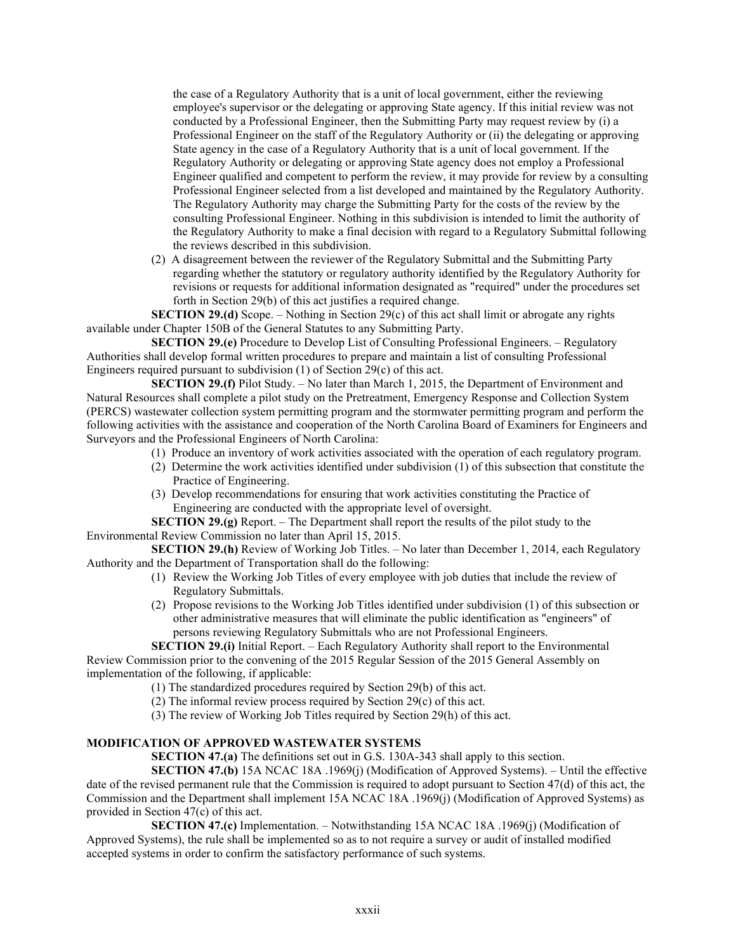the case of a Regulatory Authority that is a unit of local government, either the reviewing employee's supervisor or the delegating or approving State agency. If this initial review was not conducted by a Professional Engineer, then the Submitting Party may request review by (i) a Professional Engineer on the staff of the Regulatory Authority or (ii) the delegating or approving State agency in the case of a Regulatory Authority that is a unit of local government. If the Regulatory Authority or delegating or approving State agency does not employ a Professional Engineer qualified and competent to perform the review, it may provide for review by a consulting Professional Engineer selected from a list developed and maintained by the Regulatory Authority. The Regulatory Authority may charge the Submitting Party for the costs of the review by the consulting Professional Engineer. Nothing in this subdivision is intended to limit the authority of the Regulatory Authority to make a final decision with regard to a Regulatory Submittal following the reviews described in this subdivision.

(2) A disagreement between the reviewer of the Regulatory Submittal and the Submitting Party regarding whether the statutory or regulatory authority identified by the Regulatory Authority for revisions or requests for additional information designated as "required" under the procedures set forth in Section 29(b) of this act justifies a required change.

**SECTION 29.(d)** Scope. – Nothing in Section 29(c) of this act shall limit or abrogate any rights available under Chapter 150B of the General Statutes to any Submitting Party.

**SECTION 29.(e)** Procedure to Develop List of Consulting Professional Engineers. – Regulatory Authorities shall develop formal written procedures to prepare and maintain a list of consulting Professional Engineers required pursuant to subdivision (1) of Section 29(c) of this act.

**SECTION 29.(f)** Pilot Study. – No later than March 1, 2015, the Department of Environment and Natural Resources shall complete a pilot study on the Pretreatment, Emergency Response and Collection System (PERCS) wastewater collection system permitting program and the stormwater permitting program and perform the following activities with the assistance and cooperation of the North Carolina Board of Examiners for Engineers and Surveyors and the Professional Engineers of North Carolina:

- (1) Produce an inventory of work activities associated with the operation of each regulatory program.
- (2) Determine the work activities identified under subdivision (1) of this subsection that constitute the Practice of Engineering.
- (3) Develop recommendations for ensuring that work activities constituting the Practice of Engineering are conducted with the appropriate level of oversight.

**SECTION 29.(g)** Report. – The Department shall report the results of the pilot study to the Environmental Review Commission no later than April 15, 2015.

**SECTION 29.(h)** Review of Working Job Titles. – No later than December 1, 2014, each Regulatory Authority and the Department of Transportation shall do the following:

- (1) Review the Working Job Titles of every employee with job duties that include the review of Regulatory Submittals.
- (2) Propose revisions to the Working Job Titles identified under subdivision (1) of this subsection or other administrative measures that will eliminate the public identification as "engineers" of persons reviewing Regulatory Submittals who are not Professional Engineers.

**SECTION 29.(i)** Initial Report. – Each Regulatory Authority shall report to the Environmental Review Commission prior to the convening of the 2015 Regular Session of the 2015 General Assembly on implementation of the following, if applicable:

- (1) The standardized procedures required by Section 29(b) of this act.
- (2) The informal review process required by Section 29(c) of this act.
- (3) The review of Working Job Titles required by Section 29(h) of this act.

# **MODIFICATION OF APPROVED WASTEWATER SYSTEMS**

**SECTION 47.(a)** The definitions set out in G.S. 130A-343 shall apply to this section.

**SECTION 47.(b)** 15A NCAC 18A .1969(j) (Modification of Approved Systems). – Until the effective date of the revised permanent rule that the Commission is required to adopt pursuant to Section 47(d) of this act, the Commission and the Department shall implement 15A NCAC 18A .1969(j) (Modification of Approved Systems) as provided in Section 47(c) of this act.

**SECTION 47.(c)** Implementation. – Notwithstanding 15A NCAC 18A .1969(j) (Modification of Approved Systems), the rule shall be implemented so as to not require a survey or audit of installed modified accepted systems in order to confirm the satisfactory performance of such systems.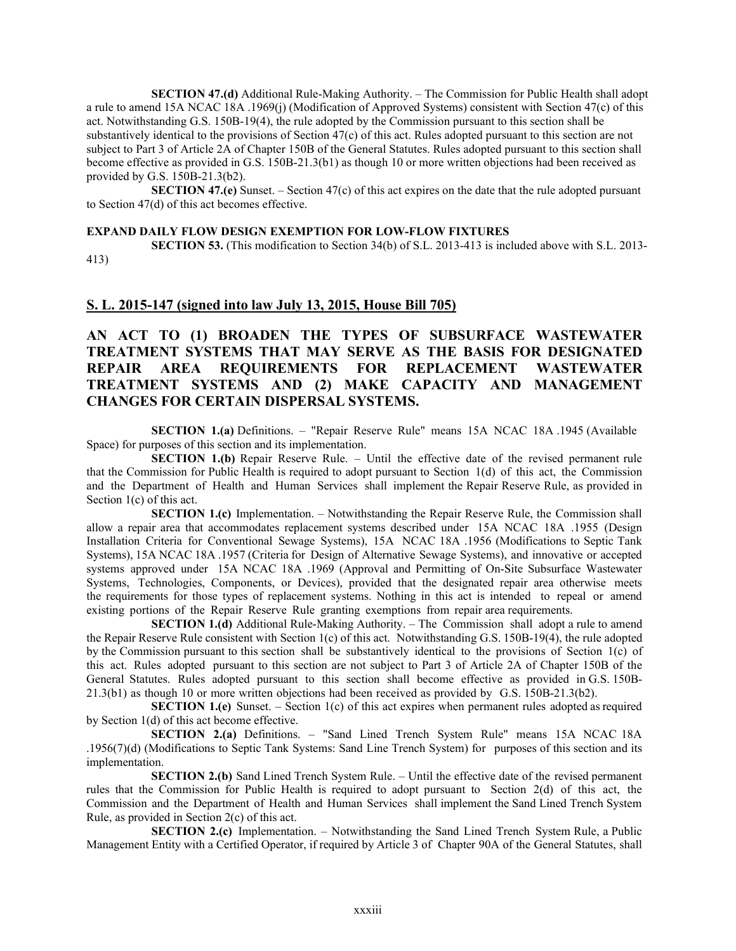**SECTION 47.(d)** Additional Rule-Making Authority. – The Commission for Public Health shall adopt a rule to amend 15A NCAC 18A .1969(j) (Modification of Approved Systems) consistent with Section 47(c) of this act. Notwithstanding G.S. 150B-19(4), the rule adopted by the Commission pursuant to this section shall be substantively identical to the provisions of Section 47(c) of this act. Rules adopted pursuant to this section are not subject to Part 3 of Article 2A of Chapter 150B of the General Statutes. Rules adopted pursuant to this section shall become effective as provided in G.S. 150B-21.3(b1) as though 10 or more written objections had been received as provided by G.S. 150B-21.3(b2).

**SECTION 47.(e)** Sunset. – Section 47(c) of this act expires on the date that the rule adopted pursuant to Section 47(d) of this act becomes effective.

### **EXPAND DAILY FLOW DESIGN EXEMPTION FOR LOW-FLOW FIXTURES**

**SECTION 53.** (This modification to Section 34(b) of S.L. 2013-413 is included above with S.L. 2013- 413)

### **S. L. 2015-147 (signed into law July 13, 2015, House Bill 705)**

**AN ACT TO (1) BROADEN THE TYPES OF SUBSURFACE WASTEWATER TREATMENT SYSTEMS THAT MAY SERVE AS THE BASIS FOR DESIGNATED REPAIR AREA REQUIREMENTS FOR REPLACEMENT WASTEWATER TREATMENT SYSTEMS AND (2) MAKE CAPACITY AND MANAGEMENT CHANGES FOR CERTAIN DISPERSAL SYSTEMS.**

**SECTION 1.(a)** Definitions. – "Repair Reserve Rule" means 15A NCAC 18A .1945 (Available Space) for purposes of this section and its implementation.

**SECTION 1.(b)** Repair Reserve Rule. – Until the effective date of the revised permanent rule that the Commission for Public Health is required to adopt pursuant to Section 1(d) of this act, the Commission and the Department of Health and Human Services shall implement the Repair Reserve Rule, as provided in Section 1(c) of this act.

**SECTION 1.(c)** Implementation. – Notwithstanding the Repair Reserve Rule, the Commission shall allow a repair area that accommodates replacement systems described under 15A NCAC 18A .1955 (Design Installation Criteria for Conventional Sewage Systems), 15A NCAC 18A .1956 (Modifications to Septic Tank Systems), 15A NCAC 18A .1957 (Criteria for Design of Alternative Sewage Systems), and innovative or accepted systems approved under 15A NCAC 18A .1969 (Approval and Permitting of On-Site Subsurface Wastewater Systems, Technologies, Components, or Devices), provided that the designated repair area otherwise meets the requirements for those types of replacement systems. Nothing in this act is intended to repeal or amend existing portions of the Repair Reserve Rule granting exemptions from repair area requirements.

**SECTION 1.(d)** Additional Rule-Making Authority. – The Commission shall adopt a rule to amend the Repair Reserve Rule consistent with Section 1(c) of this act. Notwithstanding G.S. 150B-19(4), the rule adopted by the Commission pursuant to this section shall be substantively identical to the provisions of Section 1(c) of this act. Rules adopted pursuant to this section are not subject to Part 3 of Article 2A of Chapter 150B of the General Statutes. Rules adopted pursuant to this section shall become effective as provided in G.S. 150B-21.3(b1) as though 10 or more written objections had been received as provided by G.S. 150B-21.3(b2).

**SECTION 1.(e)** Sunset. – Section 1(c) of this act expires when permanent rules adopted asrequired by Section 1(d) of this act become effective.

**SECTION 2.(a)** Definitions. – "Sand Lined Trench System Rule" means 15A NCAC 18A .1956(7)(d) (Modifications to Septic Tank Systems: Sand Line Trench System) for purposes of this section and its implementation.

**SECTION 2.(b)** Sand Lined Trench System Rule. – Until the effective date of the revised permanent rules that the Commission for Public Health is required to adopt pursuant to Section 2(d) of this act, the Commission and the Department of Health and Human Services shall implement the Sand Lined Trench System Rule, as provided in Section 2(c) of this act.

**SECTION 2.(c)** Implementation. – Notwithstanding the Sand Lined Trench System Rule, a Public Management Entity with a Certified Operator, if required by Article 3 of Chapter 90A of the General Statutes, shall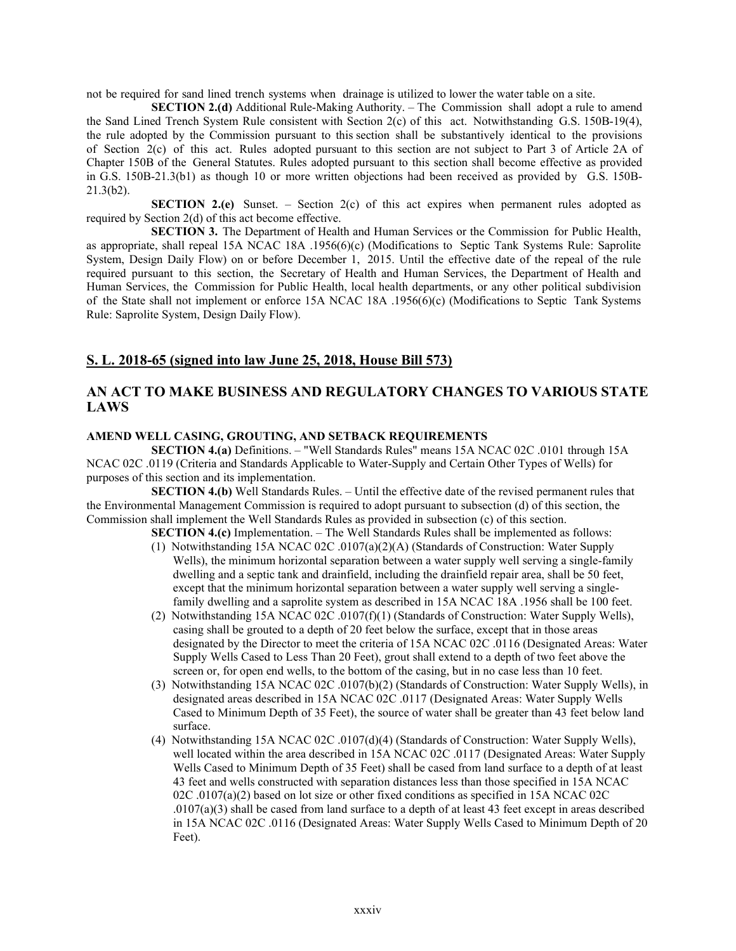not be required for sand lined trench systems when drainage is utilized to lower the water table on a site.

**SECTION 2.(d)** Additional Rule-Making Authority. – The Commission shall adopt a rule to amend the Sand Lined Trench System Rule consistent with Section 2(c) of this act. Notwithstanding G.S. 150B-19(4), the rule adopted by the Commission pursuant to this section shall be substantively identical to the provisions of Section 2(c) of this act. Rules adopted pursuant to this section are not subject to Part 3 of Article 2A of Chapter 150B of the General Statutes. Rules adopted pursuant to this section shall become effective as provided in G.S. 150B-21.3(b1) as though 10 or more written objections had been received as provided by G.S. 150B-21.3(b2).

**SECTION** 2.(e) Sunset. – Section 2(c) of this act expires when permanent rules adopted as required by Section 2(d) of this act become effective.

**SECTION 3.** The Department of Health and Human Services or the Commission for Public Health, as appropriate, shall repeal 15A NCAC 18A .1956(6)(c) (Modifications to Septic Tank Systems Rule: Saprolite System, Design Daily Flow) on or before December 1, 2015. Until the effective date of the repeal of the rule required pursuant to this section, the Secretary of Health and Human Services, the Department of Health and Human Services, the Commission for Public Health, local health departments, or any other political subdivision of the State shall not implement or enforce 15A NCAC 18A .1956(6)(c) (Modifications to Septic Tank Systems Rule: Saprolite System, Design Daily Flow).

# **S. L. 2018-65 (signed into law June 25, 2018, House Bill 573)**

# **AN ACT TO MAKE BUSINESS AND REGULATORY CHANGES TO VARIOUS STATE LAWS**

## **AMEND WELL CASING, GROUTING, AND SETBACK REQUIREMENTS**

**SECTION 4.(a)** Definitions. – "Well Standards Rules" means 15A NCAC 02C .0101 through 15A NCAC 02C .0119 (Criteria and Standards Applicable to Water-Supply and Certain Other Types of Wells) for purposes of this section and its implementation.

**SECTION 4.(b)** Well Standards Rules. – Until the effective date of the revised permanent rules that the Environmental Management Commission is required to adopt pursuant to subsection (d) of this section, the Commission shall implement the Well Standards Rules as provided in subsection (c) of this section.

**SECTION 4.(c)** Implementation. – The Well Standards Rules shall be implemented as follows:

- (1) Notwithstanding 15A NCAC 02C .0107(a)(2)(A) (Standards of Construction: Water Supply Wells), the minimum horizontal separation between a water supply well serving a single-family dwelling and a septic tank and drainfield, including the drainfield repair area, shall be 50 feet, except that the minimum horizontal separation between a water supply well serving a singlefamily dwelling and a saprolite system as described in 15A NCAC 18A .1956 shall be 100 feet.
- (2) Notwithstanding 15A NCAC 02C .0107(f)(1) (Standards of Construction: Water Supply Wells), casing shall be grouted to a depth of 20 feet below the surface, except that in those areas designated by the Director to meet the criteria of 15A NCAC 02C .0116 (Designated Areas: Water Supply Wells Cased to Less Than 20 Feet), grout shall extend to a depth of two feet above the screen or, for open end wells, to the bottom of the casing, but in no case less than 10 feet.
- (3) Notwithstanding 15A NCAC 02C .0107(b)(2) (Standards of Construction: Water Supply Wells), in designated areas described in 15A NCAC 02C .0117 (Designated Areas: Water Supply Wells Cased to Minimum Depth of 35 Feet), the source of water shall be greater than 43 feet below land surface.
- (4) Notwithstanding 15A NCAC 02C .0107(d)(4) (Standards of Construction: Water Supply Wells), well located within the area described in 15A NCAC 02C .0117 (Designated Areas: Water Supply Wells Cased to Minimum Depth of 35 Feet) shall be cased from land surface to a depth of at least 43 feet and wells constructed with separation distances less than those specified in 15A NCAC 02C .0107(a)(2) based on lot size or other fixed conditions as specified in 15A NCAC 02C  $.0107(a)(3)$  shall be cased from land surface to a depth of at least 43 feet except in areas described in 15A NCAC 02C .0116 (Designated Areas: Water Supply Wells Cased to Minimum Depth of 20 Feet).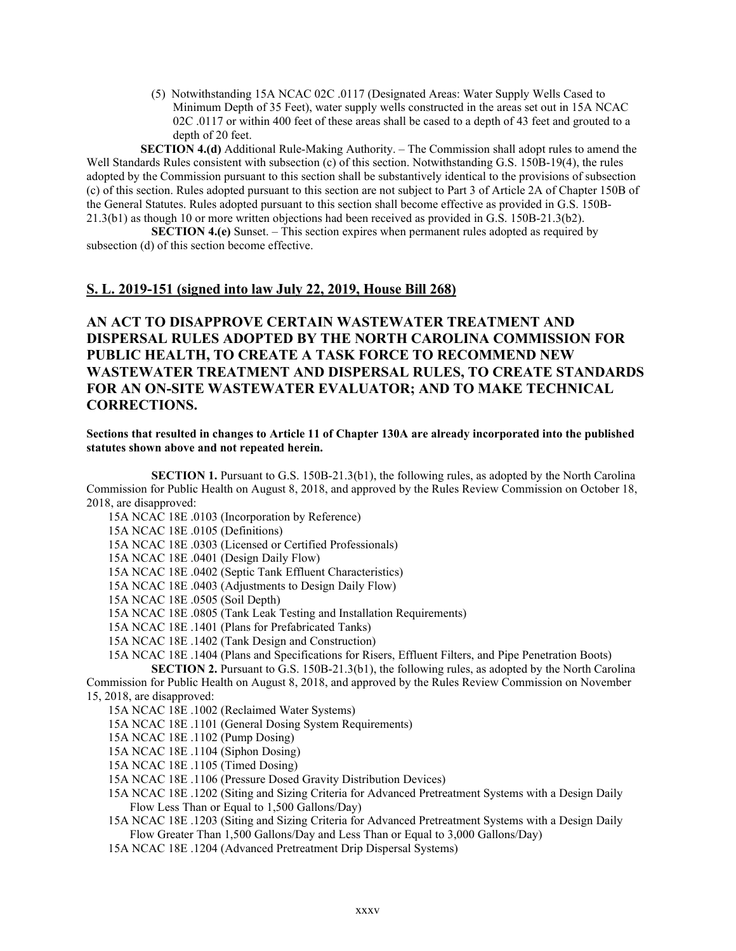(5) Notwithstanding 15A NCAC 02C .0117 (Designated Areas: Water Supply Wells Cased to Minimum Depth of 35 Feet), water supply wells constructed in the areas set out in 15A NCAC 02C .0117 or within 400 feet of these areas shall be cased to a depth of 43 feet and grouted to a depth of 20 feet.

**SECTION 4.(d)** Additional Rule-Making Authority. – The Commission shall adopt rules to amend the Well Standards Rules consistent with subsection (c) of this section. Notwithstanding G.S. 150B-19(4), the rules adopted by the Commission pursuant to this section shall be substantively identical to the provisions of subsection (c) of this section. Rules adopted pursuant to this section are not subject to Part 3 of Article 2A of Chapter 150B of the General Statutes. Rules adopted pursuant to this section shall become effective as provided in G.S. 150B-21.3(b1) as though 10 or more written objections had been received as provided in G.S. 150B-21.3(b2).

**SECTION 4.(e)** Sunset. – This section expires when permanent rules adopted as required by subsection (d) of this section become effective.

# **S. L. 2019-151 (signed into law July 22, 2019, House Bill 268)**

# **AN ACT TO DISAPPROVE CERTAIN WASTEWATER TREATMENT AND DISPERSAL RULES ADOPTED BY THE NORTH CAROLINA COMMISSION FOR PUBLIC HEALTH, TO CREATE A TASK FORCE TO RECOMMEND NEW WASTEWATER TREATMENT AND DISPERSAL RULES, TO CREATE STANDARDS FOR AN ON-SITE WASTEWATER EVALUATOR; AND TO MAKE TECHNICAL CORRECTIONS.**

## **Sections that resulted in changes to Article 11 of Chapter 130A are already incorporated into the published statutes shown above and not repeated herein.**

**SECTION 1.** Pursuant to G.S. 150B-21.3(b1), the following rules, as adopted by the North Carolina Commission for Public Health on August 8, 2018, and approved by the Rules Review Commission on October 18, 2018, are disapproved:

15A NCAC 18E .0103 (Incorporation by Reference)

15A NCAC 18E .0105 (Definitions)

15A NCAC 18E .0303 (Licensed or Certified Professionals)

15A NCAC 18E .0401 (Design Daily Flow)

15A NCAC 18E .0402 (Septic Tank Effluent Characteristics)

15A NCAC 18E .0403 (Adjustments to Design Daily Flow)

15A NCAC 18E .0505 (Soil Depth)

15A NCAC 18E .0805 (Tank Leak Testing and Installation Requirements)

15A NCAC 18E .1401 (Plans for Prefabricated Tanks)

15A NCAC 18E .1402 (Tank Design and Construction)

15A NCAC 18E .1404 (Plans and Specifications for Risers, Effluent Filters, and Pipe Penetration Boots) **SECTION 2.** Pursuant to G.S. 150B-21.3(b1), the following rules, as adopted by the North Carolina

Commission for Public Health on August 8, 2018, and approved by the Rules Review Commission on November 15, 2018, are disapproved:

15A NCAC 18E .1002 (Reclaimed Water Systems)

15A NCAC 18E .1101 (General Dosing System Requirements)

15A NCAC 18E .1102 (Pump Dosing)

15A NCAC 18E .1104 (Siphon Dosing)

15A NCAC 18E .1105 (Timed Dosing)

15A NCAC 18E .1106 (Pressure Dosed Gravity Distribution Devices)

15A NCAC 18E .1202 (Siting and Sizing Criteria for Advanced Pretreatment Systems with a Design Daily Flow Less Than or Equal to 1,500 Gallons/Day)

15A NCAC 18E .1203 (Siting and Sizing Criteria for Advanced Pretreatment Systems with a Design Daily Flow Greater Than 1,500 Gallons/Day and Less Than or Equal to 3,000 Gallons/Day)

15A NCAC 18E .1204 (Advanced Pretreatment Drip Dispersal Systems)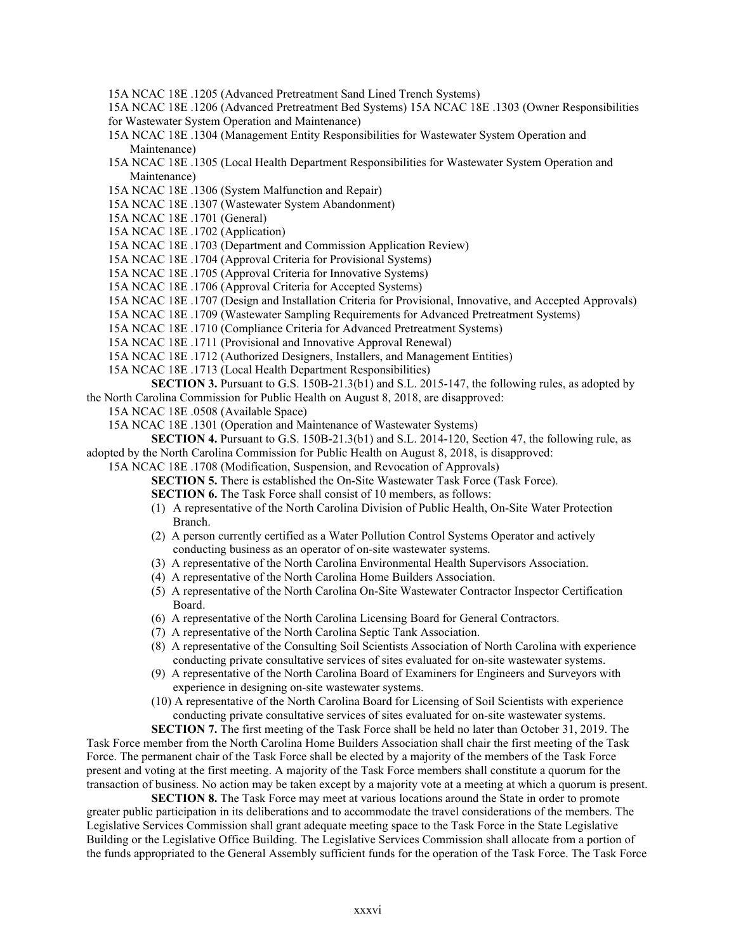15A NCAC 18E .1205 (Advanced Pretreatment Sand Lined Trench Systems)

15A NCAC 18E .1206 (Advanced Pretreatment Bed Systems) 15A NCAC 18E .1303 (Owner Responsibilities for Wastewater System Operation and Maintenance)

15A NCAC 18E .1304 (Management Entity Responsibilities for Wastewater System Operation and Maintenance)

15A NCAC 18E .1305 (Local Health Department Responsibilities for Wastewater System Operation and Maintenance)

15A NCAC 18E .1306 (System Malfunction and Repair)

15A NCAC 18E .1307 (Wastewater System Abandonment)

15A NCAC 18E .1701 (General)

15A NCAC 18E .1702 (Application)

15A NCAC 18E .1703 (Department and Commission Application Review)

15A NCAC 18E .1704 (Approval Criteria for Provisional Systems)

15A NCAC 18E .1705 (Approval Criteria for Innovative Systems)

15A NCAC 18E .1706 (Approval Criteria for Accepted Systems)

15A NCAC 18E .1707 (Design and Installation Criteria for Provisional, Innovative, and Accepted Approvals)

- 15A NCAC 18E .1709 (Wastewater Sampling Requirements for Advanced Pretreatment Systems)
- 15A NCAC 18E .1710 (Compliance Criteria for Advanced Pretreatment Systems)

15A NCAC 18E .1711 (Provisional and Innovative Approval Renewal)

15A NCAC 18E .1712 (Authorized Designers, Installers, and Management Entities)

15A NCAC 18E .1713 (Local Health Department Responsibilities)

**SECTION 3.** Pursuant to G.S. 150B-21.3(b1) and S.L. 2015-147, the following rules, as adopted by the North Carolina Commission for Public Health on August 8, 2018, are disapproved:

15A NCAC 18E .0508 (Available Space)

15A NCAC 18E .1301 (Operation and Maintenance of Wastewater Systems)

**SECTION 4.** Pursuant to G.S. 150B-21.3(b1) and S.L. 2014-120, Section 47, the following rule, as adopted by the North Carolina Commission for Public Health on August 8, 2018, is disapproved:

15A NCAC 18E .1708 (Modification, Suspension, and Revocation of Approvals)

**SECTION 5.** There is established the On-Site Wastewater Task Force (Task Force).

**SECTION 6.** The Task Force shall consist of 10 members, as follows:

- (1) A representative of the North Carolina Division of Public Health, On-Site Water Protection Branch.
- (2) A person currently certified as a Water Pollution Control Systems Operator and actively conducting business as an operator of on-site wastewater systems.
- (3) A representative of the North Carolina Environmental Health Supervisors Association.
- (4) A representative of the North Carolina Home Builders Association.
- (5) A representative of the North Carolina On-Site Wastewater Contractor Inspector Certification Board.
- (6) A representative of the North Carolina Licensing Board for General Contractors.
- (7) A representative of the North Carolina Septic Tank Association.
- (8) A representative of the Consulting Soil Scientists Association of North Carolina with experience conducting private consultative services of sites evaluated for on-site wastewater systems.
- (9) A representative of the North Carolina Board of Examiners for Engineers and Surveyors with experience in designing on-site wastewater systems.
- (10) A representative of the North Carolina Board for Licensing of Soil Scientists with experience conducting private consultative services of sites evaluated for on-site wastewater systems.

**SECTION 7.** The first meeting of the Task Force shall be held no later than October 31, 2019. The Task Force member from the North Carolina Home Builders Association shall chair the first meeting of the Task Force. The permanent chair of the Task Force shall be elected by a majority of the members of the Task Force present and voting at the first meeting. A majority of the Task Force members shall constitute a quorum for the transaction of business. No action may be taken except by a majority vote at a meeting at which a quorum is present.

**SECTION 8.** The Task Force may meet at various locations around the State in order to promote greater public participation in its deliberations and to accommodate the travel considerations of the members. The Legislative Services Commission shall grant adequate meeting space to the Task Force in the State Legislative Building or the Legislative Office Building. The Legislative Services Commission shall allocate from a portion of the funds appropriated to the General Assembly sufficient funds for the operation of the Task Force. The Task Force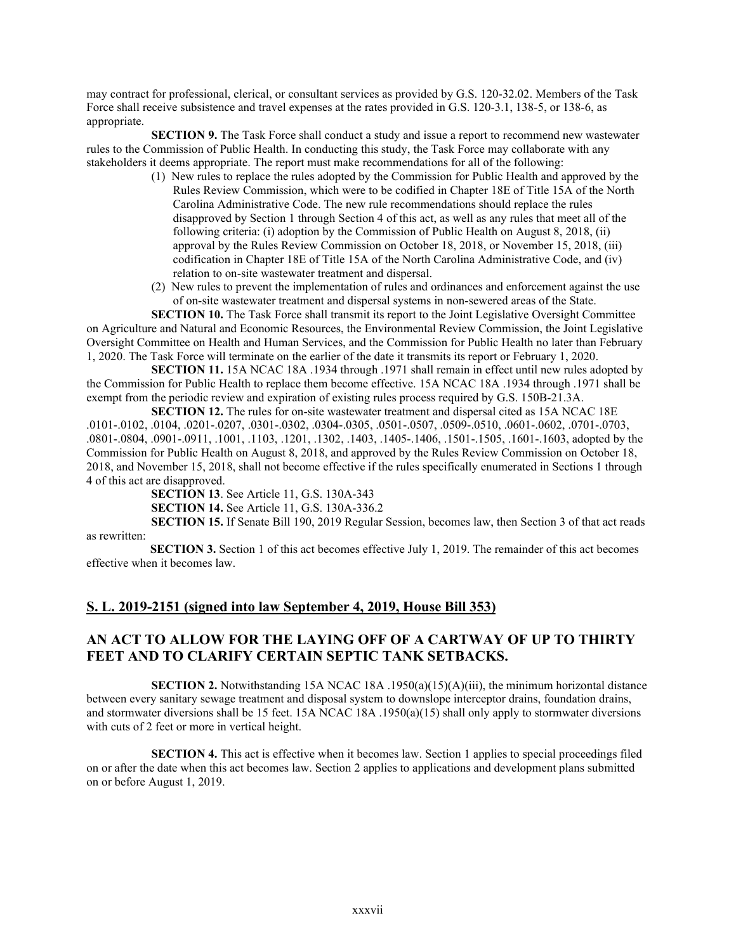may contract for professional, clerical, or consultant services as provided by G.S. 120-32.02. Members of the Task Force shall receive subsistence and travel expenses at the rates provided in G.S. 120-3.1, 138-5, or 138-6, as appropriate.

**SECTION 9.** The Task Force shall conduct a study and issue a report to recommend new wastewater rules to the Commission of Public Health. In conducting this study, the Task Force may collaborate with any stakeholders it deems appropriate. The report must make recommendations for all of the following:

- (1) New rules to replace the rules adopted by the Commission for Public Health and approved by the Rules Review Commission, which were to be codified in Chapter 18E of Title 15A of the North Carolina Administrative Code. The new rule recommendations should replace the rules disapproved by Section 1 through Section 4 of this act, as well as any rules that meet all of the following criteria: (i) adoption by the Commission of Public Health on August 8, 2018, (ii) approval by the Rules Review Commission on October 18, 2018, or November 15, 2018, (iii) codification in Chapter 18E of Title 15A of the North Carolina Administrative Code, and (iv) relation to on-site wastewater treatment and dispersal.
- (2) New rules to prevent the implementation of rules and ordinances and enforcement against the use of on-site wastewater treatment and dispersal systems in non-sewered areas of the State.

**SECTION 10.** The Task Force shall transmit its report to the Joint Legislative Oversight Committee on Agriculture and Natural and Economic Resources, the Environmental Review Commission, the Joint Legislative Oversight Committee on Health and Human Services, and the Commission for Public Health no later than February 1, 2020. The Task Force will terminate on the earlier of the date it transmits its report or February 1, 2020.

**SECTION 11.** 15A NCAC 18A .1934 through .1971 shall remain in effect until new rules adopted by the Commission for Public Health to replace them become effective. 15A NCAC 18A .1934 through .1971 shall be exempt from the periodic review and expiration of existing rules process required by G.S. 150B-21.3A.

**SECTION 12.** The rules for on-site wastewater treatment and dispersal cited as 15A NCAC 18E .0101-.0102, .0104, .0201-.0207, .0301-.0302, .0304-.0305, .0501-.0507, .0509-.0510, .0601-.0602, .0701-.0703, .0801-.0804, .0901-.0911, .1001, .1103, .1201, .1302, .1403, .1405-.1406, .1501-.1505, .1601-.1603, adopted by the Commission for Public Health on August 8, 2018, and approved by the Rules Review Commission on October 18, 2018, and November 15, 2018, shall not become effective if the rules specifically enumerated in Sections 1 through 4 of this act are disapproved.

> **SECTION 13**. See Article 11, G.S. 130A-343 **SECTION 14.** See Article 11, G.S. 130A-336.2

**SECTION 15.** If Senate Bill 190, 2019 Regular Session, becomes law, then Section 3 of that act reads as rewritten:

 **SECTION 3.** Section 1 of this act becomes effective July 1, 2019. The remainder of this act becomes effective when it becomes law.

# **S. L. 2019-2151 (signed into law September 4, 2019, House Bill 353)**

# **AN ACT TO ALLOW FOR THE LAYING OFF OF A CARTWAY OF UP TO THIRTY FEET AND TO CLARIFY CERTAIN SEPTIC TANK SETBACKS.**

**SECTION 2.** Notwithstanding 15A NCAC 18A .1950(a)(15)(A)(iii), the minimum horizontal distance between every sanitary sewage treatment and disposal system to downslope interceptor drains, foundation drains, and stormwater diversions shall be 15 feet. 15A NCAC 18A .1950(a)(15) shall only apply to stormwater diversions with cuts of 2 feet or more in vertical height.

**SECTION 4.** This act is effective when it becomes law. Section 1 applies to special proceedings filed on or after the date when this act becomes law. Section 2 applies to applications and development plans submitted on or before August 1, 2019.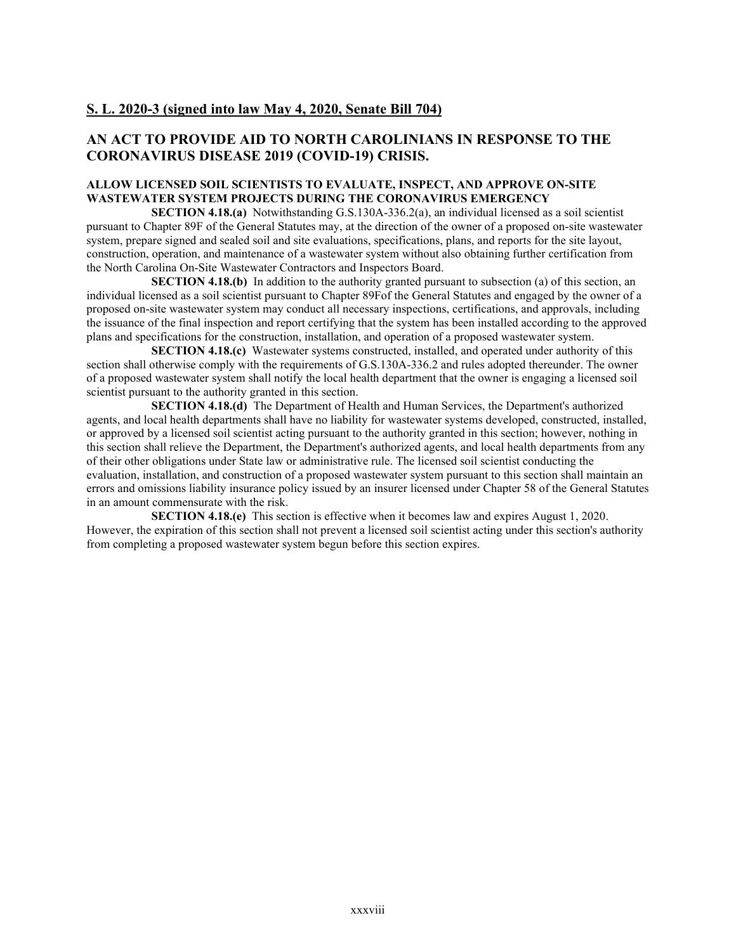# **S. L. 2020-3 (signed into law May 4, 2020, Senate Bill 704)**

# **AN ACT TO PROVIDE AID TO NORTH CAROLINIANS IN RESPONSE TO THE CORONAVIRUS DISEASE 2019 (COVID-19) CRISIS.**

# **ALLOW LICENSED SOIL SCIENTISTS TO EVALUATE, INSPECT, AND APPROVE ON-SITE WASTEWATER SYSTEM PROJECTS DURING THE CORONAVIRUS EMERGENCY**

**SECTION 4.18.(a)** Notwithstanding G.S.130A-336.2(a), an individual licensed as a soil scientist pursuant to Chapter 89F of the General Statutes may, at the direction of the owner of a proposed on-site wastewater system, prepare signed and sealed soil and site evaluations, specifications, plans, and reports for the site layout, construction, operation, and maintenance of a wastewater system without also obtaining further certification from the North Carolina On-Site Wastewater Contractors and Inspectors Board.

**SECTION 4.18.(b)** In addition to the authority granted pursuant to subsection (a) of this section, an individual licensed as a soil scientist pursuant to Chapter 89Fof the General Statutes and engaged by the owner of a proposed on-site wastewater system may conduct all necessary inspections, certifications, and approvals, including the issuance of the final inspection and report certifying that the system has been installed according to the approved plans and specifications for the construction, installation, and operation of a proposed wastewater system.

**SECTION 4.18.(c)** Wastewater systems constructed, installed, and operated under authority of this section shall otherwise comply with the requirements of G.S.130A-336.2 and rules adopted thereunder. The owner of a proposed wastewater system shall notify the local health department that the owner is engaging a licensed soil scientist pursuant to the authority granted in this section.

**SECTION 4.18.(d)** The Department of Health and Human Services, the Department's authorized agents, and local health departments shall have no liability for wastewater systems developed, constructed, installed, or approved by a licensed soil scientist acting pursuant to the authority granted in this section; however, nothing in this section shall relieve the Department, the Department's authorized agents, and local health departments from any of their other obligations under State law or administrative rule. The licensed soil scientist conducting the evaluation, installation, and construction of a proposed wastewater system pursuant to this section shall maintain an errors and omissions liability insurance policy issued by an insurer licensed under Chapter 58 of the General Statutes in an amount commensurate with the risk.

**SECTION 4.18.(e)** This section is effective when it becomes law and expires August 1, 2020. However, the expiration of this section shall not prevent a licensed soil scientist acting under this section's authority from completing a proposed wastewater system begun before this section expires.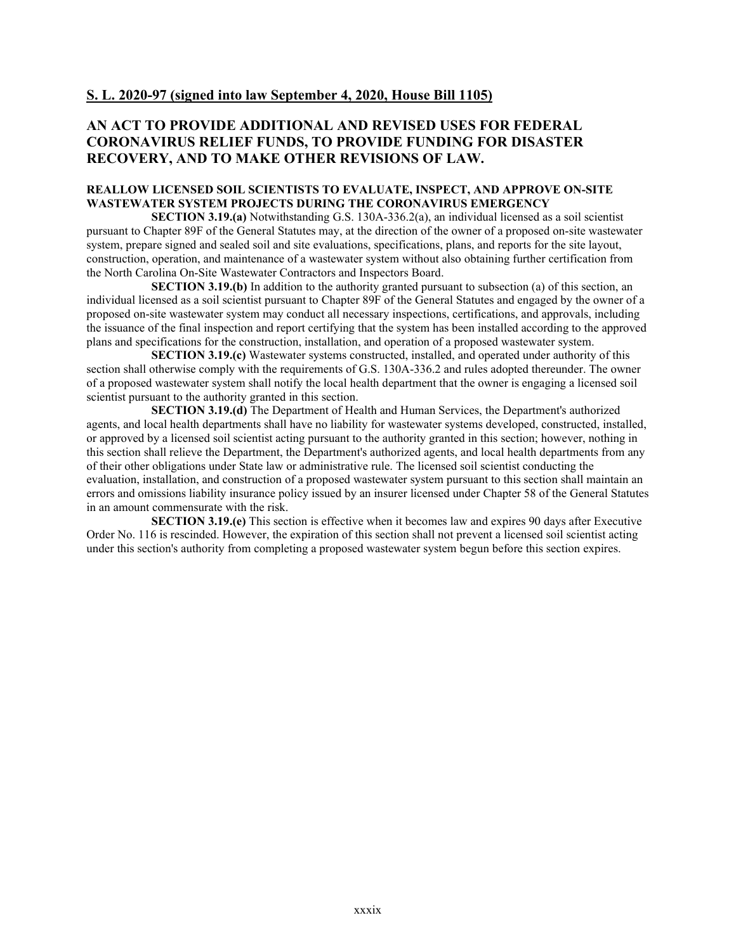# **S. L. 2020-97 (signed into law September 4, 2020, House Bill 1105)**

# **AN ACT TO PROVIDE ADDITIONAL AND REVISED USES FOR FEDERAL CORONAVIRUS RELIEF FUNDS, TO PROVIDE FUNDING FOR DISASTER RECOVERY, AND TO MAKE OTHER REVISIONS OF LAW.**

## **REALLOW LICENSED SOIL SCIENTISTS TO EVALUATE, INSPECT, AND APPROVE ON-SITE WASTEWATER SYSTEM PROJECTS DURING THE CORONAVIRUS EMERGENCY**

**SECTION 3.19.(a)** Notwithstanding G.S. 130A-336.2(a), an individual licensed as a soil scientist pursuant to Chapter 89F of the General Statutes may, at the direction of the owner of a proposed on-site wastewater system, prepare signed and sealed soil and site evaluations, specifications, plans, and reports for the site layout, construction, operation, and maintenance of a wastewater system without also obtaining further certification from the North Carolina On-Site Wastewater Contractors and Inspectors Board.

**SECTION 3.19.(b)** In addition to the authority granted pursuant to subsection (a) of this section, an individual licensed as a soil scientist pursuant to Chapter 89F of the General Statutes and engaged by the owner of a proposed on-site wastewater system may conduct all necessary inspections, certifications, and approvals, including the issuance of the final inspection and report certifying that the system has been installed according to the approved plans and specifications for the construction, installation, and operation of a proposed wastewater system.

**SECTION 3.19.(c)** Wastewater systems constructed, installed, and operated under authority of this section shall otherwise comply with the requirements of G.S. 130A-336.2 and rules adopted thereunder. The owner of a proposed wastewater system shall notify the local health department that the owner is engaging a licensed soil scientist pursuant to the authority granted in this section.

**SECTION 3.19.(d)** The Department of Health and Human Services, the Department's authorized agents, and local health departments shall have no liability for wastewater systems developed, constructed, installed, or approved by a licensed soil scientist acting pursuant to the authority granted in this section; however, nothing in this section shall relieve the Department, the Department's authorized agents, and local health departments from any of their other obligations under State law or administrative rule. The licensed soil scientist conducting the evaluation, installation, and construction of a proposed wastewater system pursuant to this section shall maintain an errors and omissions liability insurance policy issued by an insurer licensed under Chapter 58 of the General Statutes in an amount commensurate with the risk.

**SECTION 3.19.(e)** This section is effective when it becomes law and expires 90 days after Executive Order No. 116 is rescinded. However, the expiration of this section shall not prevent a licensed soil scientist acting under this section's authority from completing a proposed wastewater system begun before this section expires.